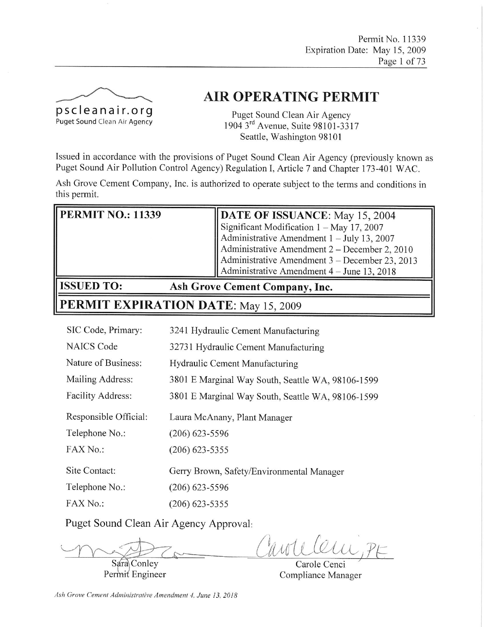

# **AIR OPERATING PERMIT**

Puget Sound Clean Air Agency 1904 3rd Avenue, Suite 98101-3317 Seattle, Washington 98101

Issued in accordance with the provisions of Puget Sound Clean Air Agency (previously known as Puget Sound Air Pollution Control Agency) Regulation I, Article 7 and Chapter 173-401 WAC.

Ash Grove Cement Company, Inc. is authorized to operate subject to the terms and conditions in this permit.

| <b>PERMIT NO.: 11339</b> | DATE OF ISSUANCE: May 15, 2004                     |
|--------------------------|----------------------------------------------------|
|                          | Significant Modification $1 - May$ 17, 2007        |
|                          | Administrative Amendment $1 -$ July 13, 2007       |
|                          | Administrative Amendment $2 -$ December 2, 2010    |
|                          | Administrative Amendment $3 -$ December 23, 2013   |
|                          | $\vert$ Administrative Amendment 4 – June 13, 2018 |
|                          | $\sim$ $\sim$                                      |

## **ISSUED TO:**

**Ash Grove Cement Company, Inc.** 

# PERMIT EXPIRATION DATE: May 15, 2009

| 3241 Hydraulic Cement Manufacturing               |
|---------------------------------------------------|
| 32731 Hydraulic Cement Manufacturing              |
| Hydraulic Cement Manufacturing                    |
| 3801 E Marginal Way South, Seattle WA, 98106-1599 |
| 3801 E Marginal Way South, Seattle WA, 98106-1599 |
| Laura McAnany, Plant Manager                      |
| $(206)$ 623-5596                                  |
| $(206)$ 623-5355                                  |
| Gerry Brown, Safety/Environmental Manager         |
| $(206)$ 623-5596                                  |
| $(206)$ 623-5355                                  |
|                                                   |

Puget Sound Clean Air Agency Approval:

ande

Sara Conley Permit Engineer

Carole Cenci Compliance Manager

Ash Grove Cement Administrative Amendment 4, June 13, 2018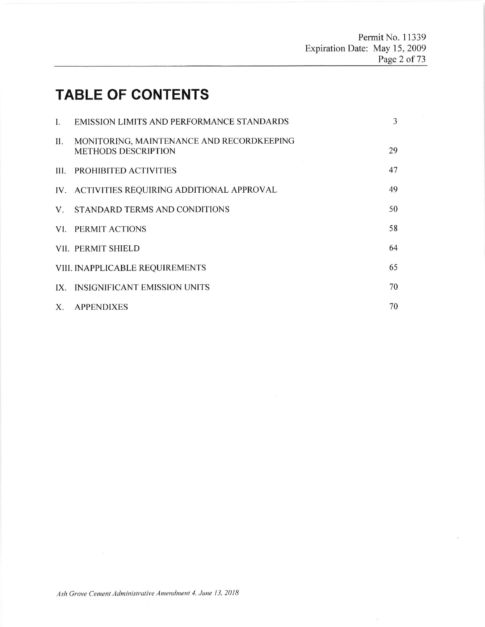# **TABLE OF CONTENTS**

| I.  | EMISSION LIMITS AND PERFORMANCE STANDARDS                               | 3  |
|-----|-------------------------------------------------------------------------|----|
| П.  | MONITORING, MAINTENANCE AND RECORDKEEPING<br><b>METHODS DESCRIPTION</b> | 29 |
|     | III. PROHIBITED ACTIVITIES                                              | 47 |
|     | IV. ACTIVITIES REQUIRING ADDITIONAL APPROVAL                            | 49 |
| V.  | STANDARD TERMS AND CONDITIONS                                           | 50 |
|     | VI. PERMIT ACTIONS                                                      | 58 |
|     | VII. PERMIT SHIELD                                                      | 64 |
|     | VIII. INAPPLICABLE REQUIREMENTS                                         | 65 |
| IX. | <b>INSIGNIFICANT EMISSION UNITS</b>                                     | 70 |
|     | X. APPENDIXES                                                           | 70 |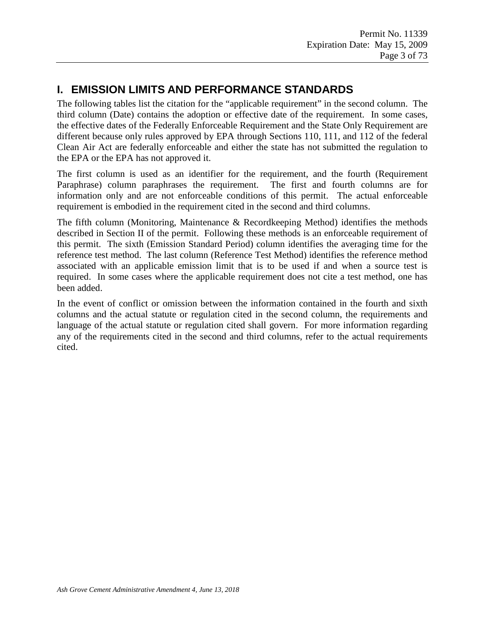## **I. EMISSION LIMITS AND PERFORMANCE STANDARDS**

The following tables list the citation for the "applicable requirement" in the second column. The third column (Date) contains the adoption or effective date of the requirement. In some cases, the effective dates of the Federally Enforceable Requirement and the State Only Requirement are different because only rules approved by EPA through Sections 110, 111, and 112 of the federal Clean Air Act are federally enforceable and either the state has not submitted the regulation to the EPA or the EPA has not approved it.

The first column is used as an identifier for the requirement, and the fourth (Requirement Paraphrase) column paraphrases the requirement. The first and fourth columns are for information only and are not enforceable conditions of this permit. The actual enforceable requirement is embodied in the requirement cited in the second and third columns.

The fifth column (Monitoring, Maintenance & Recordkeeping Method) identifies the methods described in Section II of the permit. Following these methods is an enforceable requirement of this permit. The sixth (Emission Standard Period) column identifies the averaging time for the reference test method. The last column (Reference Test Method) identifies the reference method associated with an applicable emission limit that is to be used if and when a source test is required. In some cases where the applicable requirement does not cite a test method, one has been added.

In the event of conflict or omission between the information contained in the fourth and sixth columns and the actual statute or regulation cited in the second column, the requirements and language of the actual statute or regulation cited shall govern. For more information regarding any of the requirements cited in the second and third columns, refer to the actual requirements cited.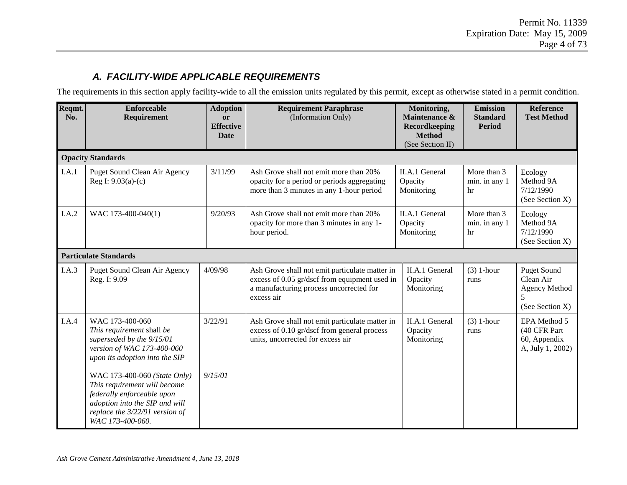## *A. FACILITY-WIDE APPLICABLE REQUIREMENTS*

The requirements in this section apply facility-wide to all the emission units regulated by this permit, except as otherwise stated in a permit condition.

| Reqmt.<br>No. | <b>Enforceable</b><br>Requirement                                                                                                                                                  | <b>Adoption</b><br><b>or</b><br><b>Effective</b><br><b>Date</b> | <b>Requirement Paraphrase</b><br>(Information Only)                                                                                                      | Monitoring,<br>Maintenance &<br><b>Recordkeeping</b><br><b>Method</b><br>(See Section II) | <b>Emission</b><br><b>Standard</b><br><b>Period</b> | <b>Reference</b><br><b>Test Method</b>                                                         |
|---------------|------------------------------------------------------------------------------------------------------------------------------------------------------------------------------------|-----------------------------------------------------------------|----------------------------------------------------------------------------------------------------------------------------------------------------------|-------------------------------------------------------------------------------------------|-----------------------------------------------------|------------------------------------------------------------------------------------------------|
|               | <b>Opacity Standards</b>                                                                                                                                                           |                                                                 |                                                                                                                                                          |                                                                                           |                                                     |                                                                                                |
| I.A.1         | Puget Sound Clean Air Agency<br>Reg I: $9.03(a)-(c)$                                                                                                                               | 3/11/99                                                         | Ash Grove shall not emit more than 20%<br>opacity for a period or periods aggregating<br>more than 3 minutes in any 1-hour period                        | II.A.1 General<br>Opacity<br>Monitoring                                                   | More than 3<br>min. in any 1<br>hr                  | Ecology<br>Method 9A<br>7/12/1990<br>(See Section X)                                           |
| I.A.2         | WAC 173-400-040(1)                                                                                                                                                                 | 9/20/93                                                         | Ash Grove shall not emit more than 20%<br>opacity for more than 3 minutes in any 1-<br>hour period.                                                      | II.A.1 General<br>Opacity<br>Monitoring                                                   | More than 3<br>min. in any 1<br>hr                  | Ecology<br>Method 9A<br>7/12/1990<br>(See Section X)                                           |
|               | <b>Particulate Standards</b>                                                                                                                                                       |                                                                 |                                                                                                                                                          |                                                                                           |                                                     |                                                                                                |
| I.A.3         | Puget Sound Clean Air Agency<br>Reg. I: 9.09                                                                                                                                       | 4/09/98                                                         | Ash Grove shall not emit particulate matter in<br>excess of 0.05 gr/dscf from equipment used in<br>a manufacturing process uncorrected for<br>excess air | II.A.1 General<br>Opacity<br>Monitoring                                                   | $(3)$ 1-hour<br>runs                                | <b>Puget Sound</b><br>Clean Air<br>Agency Method<br>$\overline{\mathbf{z}}$<br>(See Section X) |
| I.A.4         | WAC 173-400-060<br>This requirement shall be<br>superseded by the 9/15/01<br>version of WAC 173-400-060<br>upon its adoption into the SIP                                          | 3/22/91                                                         | Ash Grove shall not emit particulate matter in<br>excess of 0.10 gr/dscf from general process<br>units, uncorrected for excess air                       | II.A.1 General<br>Opacity<br>Monitoring                                                   | $(3)$ 1-hour<br>runs                                | EPA Method 5<br>(40 CFR Part<br>60, Appendix<br>A, July 1, 2002)                               |
|               | WAC 173-400-060 (State Only)<br>This requirement will become<br>federally enforceable upon<br>adoption into the SIP and will<br>replace the 3/22/91 version of<br>WAC 173-400-060. | 9/15/01                                                         |                                                                                                                                                          |                                                                                           |                                                     |                                                                                                |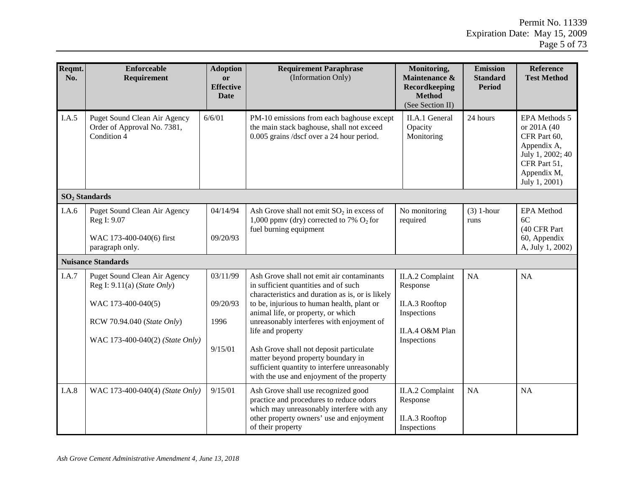| Reqmt.<br>No. | <b>Enforceable</b><br>Requirement                                          | <b>Adoption</b><br>or<br><b>Effective</b><br><b>Date</b> | <b>Requirement Paraphrase</b><br>(Information Only)                                                                                                                                          | Monitoring,<br>Maintenance &<br>Recordkeeping<br><b>Method</b><br>(See Section II) | <b>Emission</b><br><b>Standard</b><br><b>Period</b> | Reference<br><b>Test Method</b>                                                                                                 |  |
|---------------|----------------------------------------------------------------------------|----------------------------------------------------------|----------------------------------------------------------------------------------------------------------------------------------------------------------------------------------------------|------------------------------------------------------------------------------------|-----------------------------------------------------|---------------------------------------------------------------------------------------------------------------------------------|--|
| I.A.5         | Puget Sound Clean Air Agency<br>Order of Approval No. 7381,<br>Condition 4 | 6/6/01                                                   | PM-10 emissions from each baghouse except<br>the main stack baghouse, shall not exceed<br>0.005 grains /dscf over a 24 hour period.                                                          | II.A.1 General<br>Opacity<br>Monitoring                                            | 24 hours                                            | EPA Methods 5<br>or 201A (40<br>CFR Part 60,<br>Appendix A,<br>July 1, 2002; 40<br>CFR Part 51,<br>Appendix M,<br>July 1, 2001) |  |
|               | SO <sub>2</sub> Standards                                                  |                                                          |                                                                                                                                                                                              |                                                                                    |                                                     |                                                                                                                                 |  |
| I.A.6         | Puget Sound Clean Air Agency<br>Reg I: 9.07                                | 04/14/94                                                 | Ash Grove shall not emit $SO_2$ in excess of<br>1,000 ppmv (dry) corrected to 7% $O_2$ for<br>fuel burning equipment                                                                         | No monitoring<br>required                                                          | $(3)$ 1-hour<br>runs                                | <b>EPA</b> Method<br>6C<br>(40 CFR Part                                                                                         |  |
|               | WAC 173-400-040(6) first<br>paragraph only.                                | 09/20/93                                                 |                                                                                                                                                                                              |                                                                                    |                                                     | 60, Appendix<br>A, July 1, 2002)                                                                                                |  |
|               | <b>Nuisance Standards</b>                                                  |                                                          |                                                                                                                                                                                              |                                                                                    |                                                     |                                                                                                                                 |  |
| I.A.7         | Puget Sound Clean Air Agency<br>Reg I: $9.11(a)$ ( <i>State Only</i> )     | 03/11/99                                                 | Ash Grove shall not emit air contaminants<br>in sufficient quantities and of such<br>characteristics and duration as is, or is likely                                                        | II.A.2 Complaint<br>Response                                                       | NA                                                  | <b>NA</b>                                                                                                                       |  |
|               | WAC 173-400-040(5)                                                         | 09/20/93                                                 | to be, injurious to human health, plant or<br>animal life, or property, or which                                                                                                             | II.A.3 Rooftop<br>Inspections                                                      |                                                     |                                                                                                                                 |  |
|               | RCW 70.94.040 (State Only)                                                 | 1996                                                     | unreasonably interferes with enjoyment of<br>life and property                                                                                                                               | II.A.4 O&M Plan                                                                    |                                                     |                                                                                                                                 |  |
|               | WAC 173-400-040(2) (State Only)                                            | 9/15/01                                                  | Ash Grove shall not deposit particulate<br>matter beyond property boundary in<br>sufficient quantity to interfere unreasonably<br>with the use and enjoyment of the property                 | Inspections                                                                        |                                                     |                                                                                                                                 |  |
| I.A.8         | WAC 173-400-040(4) (State Only)                                            | 9/15/01                                                  | Ash Grove shall use recognized good<br>practice and procedures to reduce odors<br>which may unreasonably interfere with any<br>other property owners' use and enjoyment<br>of their property | II.A.2 Complaint<br>Response<br>II.A.3 Rooftop<br>Inspections                      | NA                                                  | <b>NA</b>                                                                                                                       |  |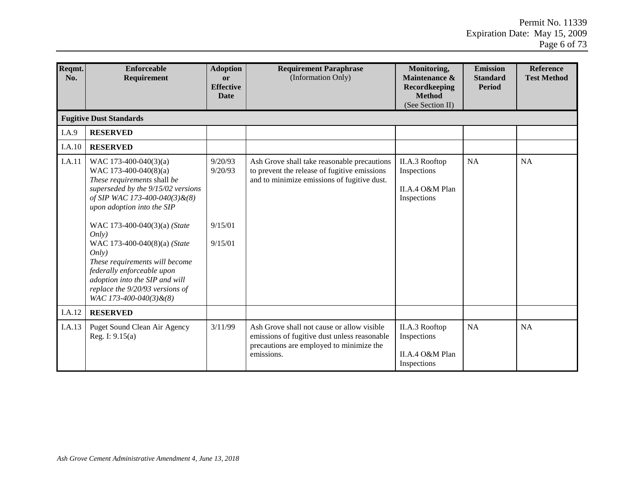| Reqmt.<br>No. | Enforceable<br>Requirement                                                                                                                                                                                                                                                                                                                                                                                                         | <b>Adoption</b><br>or<br><b>Effective</b><br><b>Date</b> | <b>Requirement Paraphrase</b><br>(Information Only)                                                                                                  | Monitoring,<br>Maintenance &<br>Recordkeeping<br><b>Method</b><br>(See Section II) | <b>Emission</b><br><b>Standard</b><br><b>Period</b> | <b>Reference</b><br><b>Test Method</b> |
|---------------|------------------------------------------------------------------------------------------------------------------------------------------------------------------------------------------------------------------------------------------------------------------------------------------------------------------------------------------------------------------------------------------------------------------------------------|----------------------------------------------------------|------------------------------------------------------------------------------------------------------------------------------------------------------|------------------------------------------------------------------------------------|-----------------------------------------------------|----------------------------------------|
|               | <b>Fugitive Dust Standards</b>                                                                                                                                                                                                                                                                                                                                                                                                     |                                                          |                                                                                                                                                      |                                                                                    |                                                     |                                        |
| I.A.9         | <b>RESERVED</b>                                                                                                                                                                                                                                                                                                                                                                                                                    |                                                          |                                                                                                                                                      |                                                                                    |                                                     |                                        |
| I.A.10        | <b>RESERVED</b>                                                                                                                                                                                                                                                                                                                                                                                                                    |                                                          |                                                                                                                                                      |                                                                                    |                                                     |                                        |
| <b>I.A.11</b> | WAC 173-400-040(3)(a)<br>WAC 173-400-040(8)(a)<br>These requirements shall be<br>superseded by the 9/15/02 versions<br>of SIP WAC 173-400-040(3)&(8)<br>upon adoption into the SIP<br>WAC 173-400-040(3)(a) (State<br>Onlv<br>WAC 173-400-040(8)(a) (State<br>Only)<br>These requirements will become<br>federally enforceable upon<br>adoption into the SIP and will<br>replace the 9/20/93 versions of<br>WAC 173-400-040(3)&(8) | 9/20/93<br>9/20/93<br>9/15/01<br>9/15/01                 | Ash Grove shall take reasonable precautions<br>to prevent the release of fugitive emissions<br>and to minimize emissions of fugitive dust.           | II.A.3 Rooftop<br>Inspections<br>II.A.4 O&M Plan<br>Inspections                    | <b>NA</b>                                           | <b>NA</b>                              |
| I.A.12        | <b>RESERVED</b>                                                                                                                                                                                                                                                                                                                                                                                                                    |                                                          |                                                                                                                                                      |                                                                                    |                                                     |                                        |
| I.A.13        | Puget Sound Clean Air Agency<br>Reg. I: $9.15(a)$                                                                                                                                                                                                                                                                                                                                                                                  | 3/11/99                                                  | Ash Grove shall not cause or allow visible<br>emissions of fugitive dust unless reasonable<br>precautions are employed to minimize the<br>emissions. | II.A.3 Rooftop<br>Inspections<br>II.A.4 O&M Plan<br>Inspections                    | <b>NA</b>                                           | NA                                     |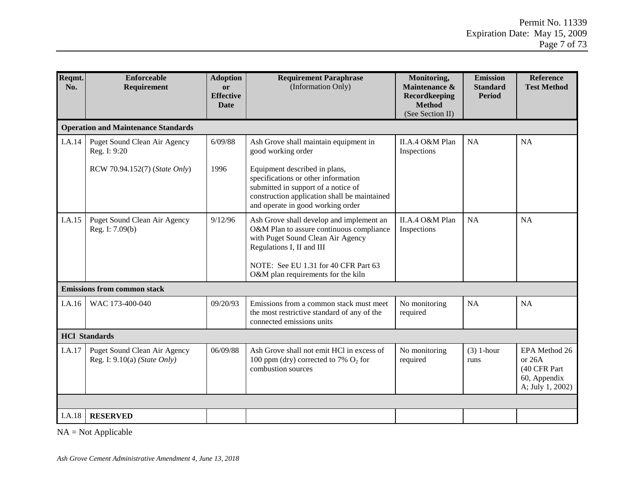| Reqmt.<br>No. | <b>Enforceable</b><br><b>Requirement</b>                       | <b>Adoption</b><br><b>or</b><br><b>Effective</b><br><b>Date</b> | <b>Requirement Paraphrase</b><br>(Information Only)                                                                                                                                                                                  | Monitoring,<br>Maintenance &<br>Recordkeeping<br><b>Method</b><br>(See Section II) | <b>Emission</b><br><b>Standard</b><br><b>Period</b> | <b>Reference</b><br><b>Test Method</b>                                        |
|---------------|----------------------------------------------------------------|-----------------------------------------------------------------|--------------------------------------------------------------------------------------------------------------------------------------------------------------------------------------------------------------------------------------|------------------------------------------------------------------------------------|-----------------------------------------------------|-------------------------------------------------------------------------------|
|               | <b>Operation and Maintenance Standards</b>                     |                                                                 |                                                                                                                                                                                                                                      |                                                                                    |                                                     |                                                                               |
| I.A.14        | Puget Sound Clean Air Agency<br>Reg. I: 9:20                   | 6/09/88                                                         | Ash Grove shall maintain equipment in<br>good working order                                                                                                                                                                          | II.A.4 O&M Plan<br>Inspections                                                     | NA                                                  | <b>NA</b>                                                                     |
|               | RCW 70.94.152(7) (State Only)                                  | 1996                                                            | Equipment described in plans,<br>specifications or other information<br>submitted in support of a notice of<br>construction application shall be maintained<br>and operate in good working order                                     |                                                                                    |                                                     |                                                                               |
| I.A.15        | Puget Sound Clean Air Agency<br>Reg. I: 7.09(b)                | 9/12/96                                                         | Ash Grove shall develop and implement an<br>O&M Plan to assure continuous compliance<br>with Puget Sound Clean Air Agency<br>Regulations I, II and III<br>NOTE: See EU 1.31 for 40 CFR Part 63<br>O&M plan requirements for the kiln | II.A.4 O&M Plan<br>Inspections                                                     | <b>NA</b>                                           | <b>NA</b>                                                                     |
|               | <b>Emissions from common stack</b>                             |                                                                 |                                                                                                                                                                                                                                      |                                                                                    |                                                     |                                                                               |
| I.A.16        | WAC 173-400-040                                                | 09/20/93                                                        | Emissions from a common stack must meet<br>the most restrictive standard of any of the<br>connected emissions units                                                                                                                  | No monitoring<br>required                                                          | <b>NA</b>                                           | <b>NA</b>                                                                     |
|               | <b>HCl Standards</b>                                           |                                                                 |                                                                                                                                                                                                                                      |                                                                                    |                                                     |                                                                               |
| I.A.17        | Puget Sound Clean Air Agency<br>Reg. I: $9.10(a)$ (State Only) | 06/09/88                                                        | Ash Grove shall not emit HCl in excess of<br>100 ppm (dry) corrected to 7% $O_2$ for<br>combustion sources                                                                                                                           | No monitoring<br>required                                                          | $(3)$ 1-hour<br>runs                                | EPA Method 26<br>or $26A$<br>(40 CFR Part<br>60, Appendix<br>A; July 1, 2002) |
|               |                                                                |                                                                 |                                                                                                                                                                                                                                      |                                                                                    |                                                     |                                                                               |
| I.A.18        | <b>RESERVED</b>                                                |                                                                 |                                                                                                                                                                                                                                      |                                                                                    |                                                     |                                                                               |

NA = Not Applicable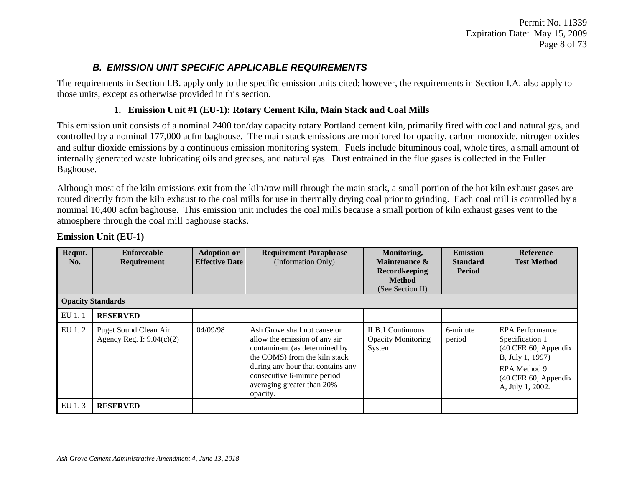## *B. EMISSION UNIT SPECIFIC APPLICABLE REQUIREMENTS*

The requirements in Section I.B. apply only to the specific emission units cited; however, the requirements in Section I.A. also apply to those units, except as otherwise provided in this section.

#### **1. Emission Unit #1 (EU-1): Rotary Cement Kiln, Main Stack and Coal Mills**

This emission unit consists of a nominal 2400 ton/day capacity rotary Portland cement kiln, primarily fired with coal and natural gas, and controlled by a nominal 177,000 acfm baghouse. The main stack emissions are monitored for opacity, carbon monoxide, nitrogen oxides and sulfur dioxide emissions by a continuous emission monitoring system. Fuels include bituminous coal, whole tires, a small amount of internally generated waste lubricating oils and greases, and natural gas. Dust entrained in the flue gases is collected in the Fuller Baghouse.

Although most of the kiln emissions exit from the kiln/raw mill through the main stack, a small portion of the hot kiln exhaust gases are routed directly from the kiln exhaust to the coal mills for use in thermally drying coal prior to grinding. Each coal mill is controlled by a nominal 10,400 acfm baghouse. This emission unit includes the coal mills because a small portion of kiln exhaust gases vent to the atmosphere through the coal mill baghouse stacks.

| Reqmt.<br>No. | <b>Enforceable</b><br>Requirement                    | <b>Adoption or</b><br><b>Effective Date</b> | <b>Requirement Paraphrase</b><br>(Information Only)                                                                                                                                                                                           | Monitoring,<br>Maintenance &<br><b>Recordkeeping</b><br><b>Method</b><br>(See Section II) | <b>Emission</b><br><b>Standard</b><br>Period | <b>Reference</b><br><b>Test Method</b>                                                                                                            |
|---------------|------------------------------------------------------|---------------------------------------------|-----------------------------------------------------------------------------------------------------------------------------------------------------------------------------------------------------------------------------------------------|-------------------------------------------------------------------------------------------|----------------------------------------------|---------------------------------------------------------------------------------------------------------------------------------------------------|
|               | <b>Opacity Standards</b>                             |                                             |                                                                                                                                                                                                                                               |                                                                                           |                                              |                                                                                                                                                   |
| EU 1.1        | <b>RESERVED</b>                                      |                                             |                                                                                                                                                                                                                                               |                                                                                           |                                              |                                                                                                                                                   |
| EU 1.2        | Puget Sound Clean Air<br>Agency Reg. I: $9.04(c)(2)$ | 04/09/98                                    | Ash Grove shall not cause or<br>allow the emission of any air<br>contaminant (as determined by<br>the COMS) from the kiln stack<br>during any hour that contains any<br>consecutive 6-minute period<br>averaging greater than 20%<br>opacity. | <b>II.B.1 Continuous</b><br><b>Opacity Monitoring</b><br>System                           | 6-minute<br>period                           | <b>EPA</b> Performance<br>Specification 1<br>(40 CFR 60, Appendix<br>B, July 1, 1997)<br>EPA Method 9<br>(40 CFR 60, Appendix<br>A, July 1, 2002. |
| EU 1.3        | <b>RESERVED</b>                                      |                                             |                                                                                                                                                                                                                                               |                                                                                           |                                              |                                                                                                                                                   |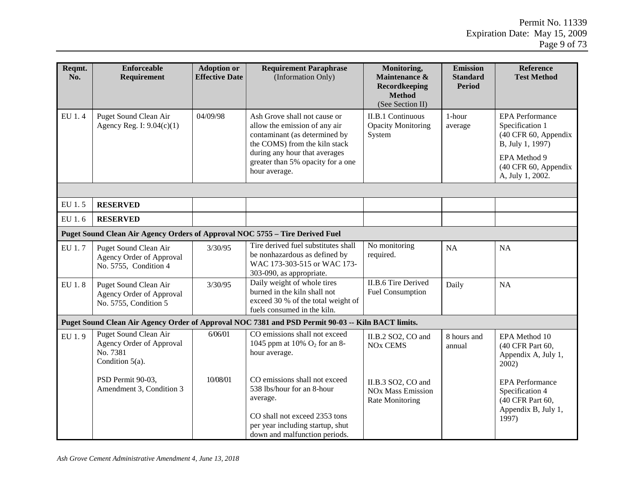| Reqmt. | <b>Enforceable</b>                                                                         | <b>Adoption or</b>    | <b>Requirement Paraphrase</b>                                                                                                                                                                                          | Monitoring,                                                                | <b>Emission</b>                  | <b>Reference</b>                                                                                                                                  |  |  |
|--------|--------------------------------------------------------------------------------------------|-----------------------|------------------------------------------------------------------------------------------------------------------------------------------------------------------------------------------------------------------------|----------------------------------------------------------------------------|----------------------------------|---------------------------------------------------------------------------------------------------------------------------------------------------|--|--|
| No.    | Requirement                                                                                | <b>Effective Date</b> | (Information Only)                                                                                                                                                                                                     | Maintenance &<br><b>Recordkeeping</b><br><b>Method</b><br>(See Section II) | <b>Standard</b><br><b>Period</b> | <b>Test Method</b>                                                                                                                                |  |  |
| EU 1.4 | Puget Sound Clean Air<br>Agency Reg. I: 9.04(c)(1)                                         | 04/09/98              | Ash Grove shall not cause or<br>allow the emission of any air<br>contaminant (as determined by<br>the COMS) from the kiln stack<br>during any hour that averages<br>greater than 5% opacity for a one<br>hour average. | <b>II.B.1 Continuous</b><br><b>Opacity Monitoring</b><br>System            | 1-hour<br>average                | <b>EPA</b> Performance<br>Specification 1<br>(40 CFR 60, Appendix<br>B, July 1, 1997)<br>EPA Method 9<br>(40 CFR 60, Appendix<br>A, July 1, 2002. |  |  |
|        |                                                                                            |                       |                                                                                                                                                                                                                        |                                                                            |                                  |                                                                                                                                                   |  |  |
| EU 1.5 | <b>RESERVED</b>                                                                            |                       |                                                                                                                                                                                                                        |                                                                            |                                  |                                                                                                                                                   |  |  |
| EU 1.6 | <b>RESERVED</b>                                                                            |                       |                                                                                                                                                                                                                        |                                                                            |                                  |                                                                                                                                                   |  |  |
|        | Puget Sound Clean Air Agency Orders of Approval NOC 5755 - Tire Derived Fuel               |                       |                                                                                                                                                                                                                        |                                                                            |                                  |                                                                                                                                                   |  |  |
| EU 1.7 | Puget Sound Clean Air<br>Agency Order of Approval<br>No. 5755, Condition 4                 | 3/30/95               | Tire derived fuel substitutes shall<br>be nonhazardous as defined by<br>WAC 173-303-515 or WAC 173-<br>303-090, as appropriate.                                                                                        | No monitoring<br>required.                                                 | NA                               | <b>NA</b>                                                                                                                                         |  |  |
| EU 1.8 | Puget Sound Clean Air<br>Agency Order of Approval<br>No. 5755, Condition 5                 | 3/30/95               | Daily weight of whole tires<br>burned in the kiln shall not<br>exceed 30 % of the total weight of<br>fuels consumed in the kiln.                                                                                       | <b>II.B.6 Tire Derived</b><br>Fuel Consumption                             | Daily                            | <b>NA</b>                                                                                                                                         |  |  |
|        |                                                                                            |                       | Puget Sound Clean Air Agency Order of Approval NOC 7381 and PSD Permit 90-03 -- Kiln BACT limits.                                                                                                                      |                                                                            |                                  |                                                                                                                                                   |  |  |
| EU 1.9 | <b>Puget Sound Clean Air</b><br>Agency Order of Approval<br>No. 7381<br>Condition $5(a)$ . | 6/06/01               | CO emissions shall not exceed<br>1045 ppm at 10% $O_2$ for an 8-<br>hour average.                                                                                                                                      | II.B.2 SO2, CO and<br><b>NO<sub>x</sub></b> CEMS                           | 8 hours and<br>annual            | EPA Method 10<br>(40 CFR Part 60,<br>Appendix A, July 1,<br>2002)                                                                                 |  |  |
|        | PSD Permit 90-03,<br>Amendment 3, Condition 3                                              | 10/08/01              | CO emissions shall not exceed<br>538 lbs/hour for an 8-hour<br>average.<br>CO shall not exceed 2353 tons<br>per year including startup, shut<br>down and malfunction periods.                                          | II.B.3 SO2, CO and<br><b>NOx Mass Emission</b><br><b>Rate Monitoring</b>   |                                  | <b>EPA</b> Performance<br>Specification 4<br>(40 CFR Part 60,<br>Appendix B, July 1,<br>1997)                                                     |  |  |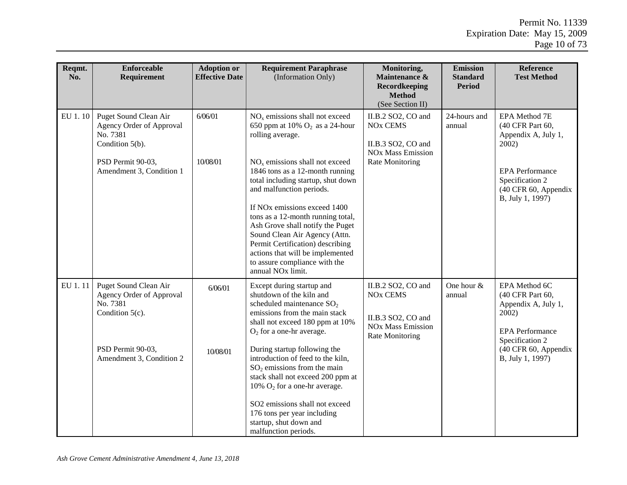| Reqmt.<br>No. | <b>Enforceable</b><br>Requirement                                                                                                    | <b>Adoption or</b><br><b>Effective Date</b> | <b>Requirement Paraphrase</b><br>(Information Only)                                                                                                                                                                                                                                                                                                                                                                                                                                                                                | Monitoring,<br>Maintenance &<br><b>Recordkeeping</b><br><b>Method</b><br>(See Section II)                                               | <b>Emission</b><br><b>Standard</b><br><b>Period</b> | <b>Reference</b><br><b>Test Method</b>                                                                                                                        |
|---------------|--------------------------------------------------------------------------------------------------------------------------------------|---------------------------------------------|------------------------------------------------------------------------------------------------------------------------------------------------------------------------------------------------------------------------------------------------------------------------------------------------------------------------------------------------------------------------------------------------------------------------------------------------------------------------------------------------------------------------------------|-----------------------------------------------------------------------------------------------------------------------------------------|-----------------------------------------------------|---------------------------------------------------------------------------------------------------------------------------------------------------------------|
| EU 1.10       | Puget Sound Clean Air<br>Agency Order of Approval<br>No. 7381<br>Condition 5(b).<br>PSD Permit 90-03,<br>Amendment 3, Condition 1    | 6/06/01<br>10/08/01                         | $NOx$ emissions shall not exceed<br>650 ppm at 10% $O_2$ as a 24-hour<br>rolling average.<br>$NOx$ emissions shall not exceed<br>1846 tons as a 12-month running<br>total including startup, shut down<br>and malfunction periods.<br>If NO <sub>x</sub> emissions exceed 1400<br>tons as a 12-month running total,<br>Ash Grove shall notify the Puget<br>Sound Clean Air Agency (Attn.<br>Permit Certification) describing<br>actions that will be implemented<br>to assure compliance with the<br>annual NO <sub>x</sub> limit. | II.B.2 SO2, CO and<br>NO <sub>x</sub> CEMS<br>II.B.3 SO2, CO and<br><b>NOx Mass Emission</b><br>Rate Monitoring                         | 24-hours and<br>annual                              | EPA Method 7E<br>(40 CFR Part 60,<br>Appendix A, July 1,<br>$2002$ )<br><b>EPA</b> Performance<br>Specification 2<br>(40 CFR 60, Appendix<br>B, July 1, 1997) |
| EU 1.11       | Puget Sound Clean Air<br>Agency Order of Approval<br>No. 7381<br>Condition $5(c)$ .<br>PSD Permit 90-03,<br>Amendment 3, Condition 2 | 6/06/01<br>10/08/01                         | Except during startup and<br>shutdown of the kiln and<br>scheduled maintenance $SO_2$<br>emissions from the main stack<br>shall not exceed 180 ppm at 10%<br>$O2$ for a one-hr average.<br>During startup following the<br>introduction of feed to the kiln,<br>$SO2$ emissions from the main<br>stack shall not exceed 200 ppm at<br>10% $O_2$ for a one-hr average.<br>SO2 emissions shall not exceed<br>176 tons per year including<br>startup, shut down and<br>malfunction periods.                                           | II.B.2 SO2, CO and<br><b>NO<sub>x</sub></b> CEMS<br>II.B.3 SO2, CO and<br><b>NO<sub>x</sub></b> Mass Emission<br><b>Rate Monitoring</b> | One hour $&$<br>annual                              | EPA Method 6C<br>(40 CFR Part 60,<br>Appendix A, July 1,<br>$2002$ )<br><b>EPA</b> Performance<br>Specification 2<br>(40 CFR 60, Appendix<br>B, July 1, 1997) |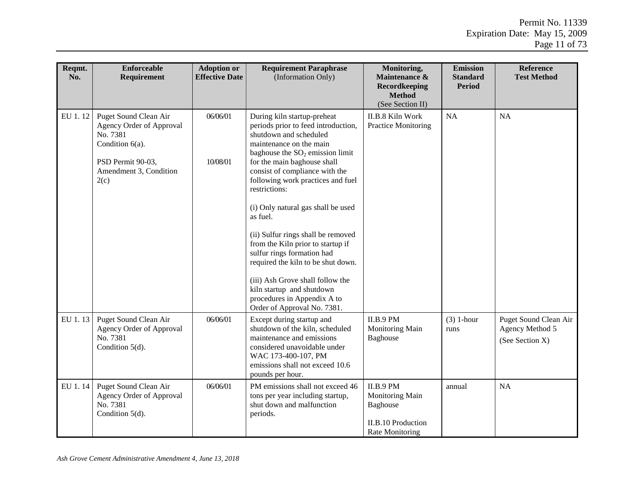| Reqmt.<br>No. | <b>Enforceable</b><br>Requirement                                                                                                          | <b>Adoption or</b><br><b>Effective Date</b> | <b>Requirement Paraphrase</b><br>(Information Only)                                                                                                                                                                                                                                                                                                                                                                                                                                                                                                                                  | Monitoring,<br>Maintenance &<br><b>Recordkeeping</b><br><b>Method</b><br>(See Section II)       | <b>Emission</b><br><b>Standard</b><br><b>Period</b> | <b>Reference</b><br><b>Test Method</b>                      |
|---------------|--------------------------------------------------------------------------------------------------------------------------------------------|---------------------------------------------|--------------------------------------------------------------------------------------------------------------------------------------------------------------------------------------------------------------------------------------------------------------------------------------------------------------------------------------------------------------------------------------------------------------------------------------------------------------------------------------------------------------------------------------------------------------------------------------|-------------------------------------------------------------------------------------------------|-----------------------------------------------------|-------------------------------------------------------------|
| EU 1.12       | Puget Sound Clean Air<br>Agency Order of Approval<br>No. 7381<br>Condition $6(a)$ .<br>PSD Permit 90-03,<br>Amendment 3, Condition<br>2(c) | 06/06/01<br>10/08/01                        | During kiln startup-preheat<br>periods prior to feed introduction,<br>shutdown and scheduled<br>maintenance on the main<br>baghouse the $SO2$ emission limit<br>for the main baghouse shall<br>consist of compliance with the<br>following work practices and fuel<br>restrictions:<br>(i) Only natural gas shall be used<br>as fuel.<br>(ii) Sulfur rings shall be removed<br>from the Kiln prior to startup if<br>sulfur rings formation had<br>required the kiln to be shut down.<br>(iii) Ash Grove shall follow the<br>kiln startup and shutdown<br>procedures in Appendix A to | II.B.8 Kiln Work<br><b>Practice Monitoring</b>                                                  | <b>NA</b>                                           | NA                                                          |
| EU 1.13       | Puget Sound Clean Air<br>Agency Order of Approval<br>No. 7381<br>Condition $5(d)$ .                                                        | 06/06/01                                    | Order of Approval No. 7381.<br>Except during startup and<br>shutdown of the kiln, scheduled<br>maintenance and emissions<br>considered unavoidable under<br>WAC 173-400-107, PM<br>emissions shall not exceed 10.6<br>pounds per hour.                                                                                                                                                                                                                                                                                                                                               | <b>II.B.9 PM</b><br>Monitoring Main<br>Baghouse                                                 | $(3)$ 1-hour<br>runs                                | Puget Sound Clean Air<br>Agency Method 5<br>(See Section X) |
| EU 1.14       | Puget Sound Clean Air<br>Agency Order of Approval<br>No. 7381<br>Condition $5(d)$ .                                                        | 06/06/01                                    | PM emissions shall not exceed 46<br>tons per year including startup,<br>shut down and malfunction<br>periods.                                                                                                                                                                                                                                                                                                                                                                                                                                                                        | II.B.9 PM<br>Monitoring Main<br>Baghouse<br><b>II.B.10 Production</b><br><b>Rate Monitoring</b> | annual                                              | <b>NA</b>                                                   |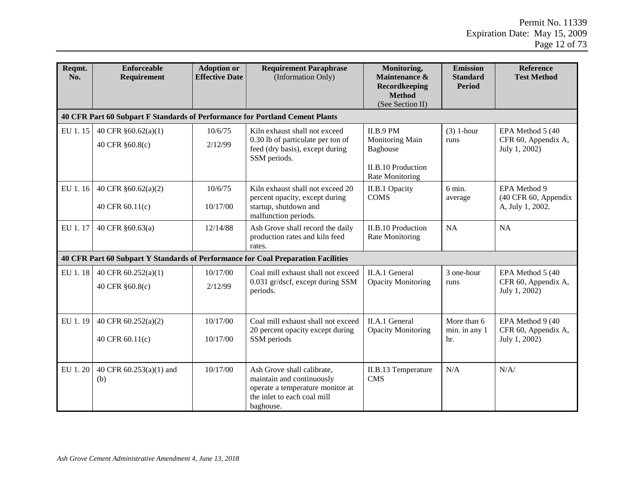| Reqmt.<br>No. | <b>Enforceable</b><br>Requirement                                            | <b>Adoption or</b><br><b>Effective Date</b> | <b>Requirement Paraphrase</b><br>(Information Only)                                                                                     | Monitoring,<br>Maintenance &<br>Recordkeeping<br><b>Method</b><br>(See Section II)                            | <b>Emission</b><br><b>Standard</b><br><b>Period</b> | <b>Reference</b><br><b>Test Method</b>                    |
|---------------|------------------------------------------------------------------------------|---------------------------------------------|-----------------------------------------------------------------------------------------------------------------------------------------|---------------------------------------------------------------------------------------------------------------|-----------------------------------------------------|-----------------------------------------------------------|
|               | 40 CFR Part 60 Subpart F Standards of Performance for Portland Cement Plants |                                             |                                                                                                                                         |                                                                                                               |                                                     |                                                           |
| EU 1.15       | 40 CFR $§60.62(a)(1)$<br>40 CFR §60.8(c)                                     | 10/6/75<br>2/12/99                          | Kiln exhaust shall not exceed<br>0.30 lb of particulate per ton of<br>feed (dry basis), except during<br>SSM periods.                   | <b>II.B.9 PM</b><br>Monitoring Main<br><b>Baghouse</b><br><b>II.B.10 Production</b><br><b>Rate Monitoring</b> | $(3)$ 1-hour<br>runs                                | EPA Method 5 (40)<br>CFR 60, Appendix A,<br>July 1, 2002) |
| EU 1.16       | 40 CFR §60.62(a)(2)<br>40 CFR 60.11(c)                                       | 10/6/75<br>10/17/00                         | Kiln exhaust shall not exceed 20<br>percent opacity, except during<br>startup, shutdown and<br>malfunction periods.                     | II.B.1 Opacity<br><b>COMS</b>                                                                                 | 6 min.<br>average                                   |                                                           |
| EU 1.17       | 40 CFR §60.63(a)                                                             | 12/14/88                                    | Ash Grove shall record the daily<br>production rates and kiln feed<br>rates.                                                            | <b>II.B.10 Production</b><br><b>Rate Monitoring</b>                                                           | NA                                                  | <b>NA</b>                                                 |
|               |                                                                              |                                             | <b>40 CFR Part 60 Subpart Y Standards of Performance for Coal Preparation Facilities</b>                                                |                                                                                                               |                                                     |                                                           |
| EU 1.18       | 40 CFR 60.252(a)(1)<br>40 CFR §60.8(c)                                       | 10/17/00<br>2/12/99                         | Coal mill exhaust shall not exceed<br>0.031 gr/dscf, except during SSM<br>periods.                                                      | II.A.1 General<br><b>Opacity Monitoring</b>                                                                   | 3 one-hour<br>runs                                  | EPA Method 5 (40)<br>CFR 60, Appendix A,<br>July 1, 2002) |
| EU 1.19       | 40 CFR 60.252(a)(2)<br>40 CFR 60.11(c)                                       | 10/17/00<br>10/17/00                        | Coal mill exhaust shall not exceed<br>20 percent opacity except during<br>SSM periods                                                   | II.A.1 General<br><b>Opacity Monitoring</b>                                                                   | More than 6<br>min. in any 1<br>hr.                 | EPA Method 9 (40<br>CFR 60, Appendix A,<br>July 1, 2002)  |
| EU 1.20       | 40 CFR 60.253(a)(1) and<br>(b)                                               | 10/17/00                                    | Ash Grove shall calibrate,<br>maintain and continuously<br>operate a temperature monitor at<br>the inlet to each coal mill<br>baghouse. | II.B.13 Temperature<br><b>CMS</b>                                                                             | N/A                                                 | N/A/                                                      |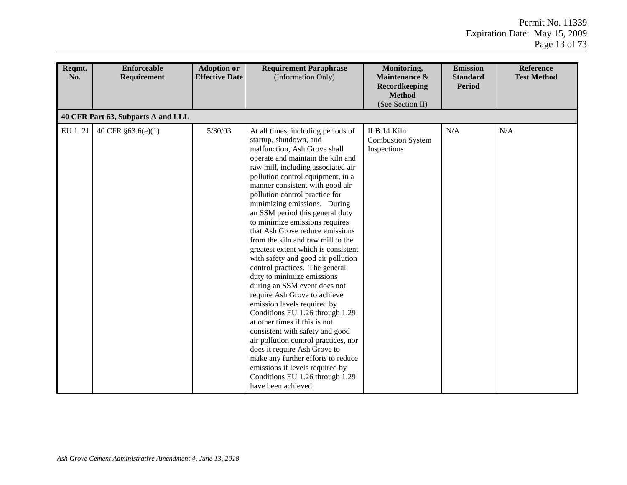| Reqmt.<br>No. | <b>Enforceable</b><br>Requirement  | <b>Adoption or</b><br><b>Effective Date</b> | <b>Requirement Paraphrase</b><br>(Information Only)                                                                                                                                                                                                                                                                                                                                                                                                                                                                                                                                                                                                                                                                                                                                                                                                                                                                                                                                                                          | Monitoring,<br>Maintenance &<br><b>Recordkeeping</b><br><b>Method</b><br>(See Section II) | <b>Emission</b><br><b>Standard</b><br><b>Period</b> | <b>Reference</b><br><b>Test Method</b> |
|---------------|------------------------------------|---------------------------------------------|------------------------------------------------------------------------------------------------------------------------------------------------------------------------------------------------------------------------------------------------------------------------------------------------------------------------------------------------------------------------------------------------------------------------------------------------------------------------------------------------------------------------------------------------------------------------------------------------------------------------------------------------------------------------------------------------------------------------------------------------------------------------------------------------------------------------------------------------------------------------------------------------------------------------------------------------------------------------------------------------------------------------------|-------------------------------------------------------------------------------------------|-----------------------------------------------------|----------------------------------------|
|               | 40 CFR Part 63, Subparts A and LLL |                                             |                                                                                                                                                                                                                                                                                                                                                                                                                                                                                                                                                                                                                                                                                                                                                                                                                                                                                                                                                                                                                              |                                                                                           |                                                     |                                        |
| EU 1.21       | 40 CFR §63.6(e)(1)                 | 5/30/03                                     | At all times, including periods of<br>startup, shutdown, and<br>malfunction, Ash Grove shall<br>operate and maintain the kiln and<br>raw mill, including associated air<br>pollution control equipment, in a<br>manner consistent with good air<br>pollution control practice for<br>minimizing emissions. During<br>an SSM period this general duty<br>to minimize emissions requires<br>that Ash Grove reduce emissions<br>from the kiln and raw mill to the<br>greatest extent which is consistent<br>with safety and good air pollution<br>control practices. The general<br>duty to minimize emissions<br>during an SSM event does not<br>require Ash Grove to achieve<br>emission levels required by<br>Conditions EU 1.26 through 1.29<br>at other times if this is not<br>consistent with safety and good<br>air pollution control practices, nor<br>does it require Ash Grove to<br>make any further efforts to reduce<br>emissions if levels required by<br>Conditions EU 1.26 through 1.29<br>have been achieved. | II.B.14 Kiln<br><b>Combustion System</b><br>Inspections                                   | N/A                                                 | N/A                                    |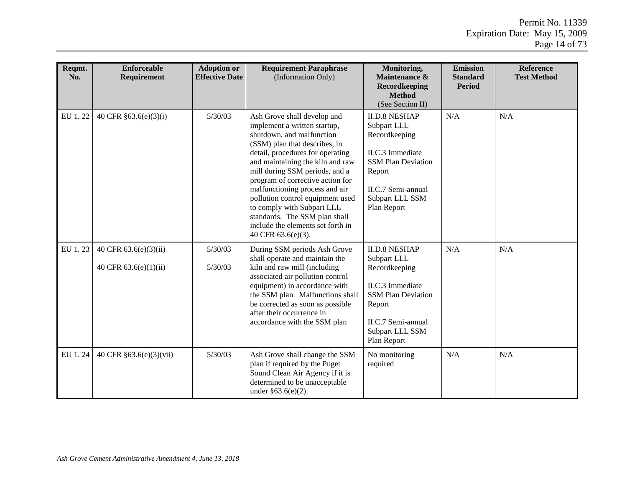| Reqmt.<br>No. | <b>Enforceable</b><br>Requirement                | <b>Adoption or</b><br><b>Effective Date</b> | <b>Requirement Paraphrase</b><br>(Information Only)                                                                                                                                                                                                                                                                                                                                                                                                                     | Monitoring,<br>Maintenance &<br>Recordkeeping<br><b>Method</b><br>(See Section II)                                                                                             | <b>Emission</b><br><b>Standard</b><br><b>Period</b> | <b>Reference</b><br><b>Test Method</b> |
|---------------|--------------------------------------------------|---------------------------------------------|-------------------------------------------------------------------------------------------------------------------------------------------------------------------------------------------------------------------------------------------------------------------------------------------------------------------------------------------------------------------------------------------------------------------------------------------------------------------------|--------------------------------------------------------------------------------------------------------------------------------------------------------------------------------|-----------------------------------------------------|----------------------------------------|
| EU 1.22       | 40 CFR §63.6(e)(3)(i)                            | 5/30/03                                     | Ash Grove shall develop and<br>implement a written startup,<br>shutdown, and malfunction<br>(SSM) plan that describes, in<br>detail, procedures for operating<br>and maintaining the kiln and raw<br>mill during SSM periods, and a<br>program of corrective action for<br>malfunctioning process and air<br>pollution control equipment used<br>to comply with Subpart LLL<br>standards. The SSM plan shall<br>include the elements set forth in<br>40 CFR 63.6(e)(3). | N/A<br><b>II.D.8 NESHAP</b><br>Subpart LLL<br>Recordkeeping<br>II.C.3 Immediate<br><b>SSM Plan Deviation</b><br>Report<br>II.C.7 Semi-annual<br>Subpart LLL SSM<br>Plan Report |                                                     | N/A                                    |
| EU 1.23       | 40 CFR 63.6(e)(3)(ii)<br>40 CFR $63.6(e)(1)(ii)$ | 5/30/03<br>5/30/03                          | During SSM periods Ash Grove<br>shall operate and maintain the<br>kiln and raw mill (including<br>associated air pollution control<br>equipment) in accordance with<br>the SSM plan. Malfunctions shall<br>be corrected as soon as possible<br>after their occurrence in<br>accordance with the SSM plan                                                                                                                                                                | <b>II.D.8 NESHAP</b><br>Subpart LLL<br>Recordkeeping<br>II.C.3 Immediate<br><b>SSM Plan Deviation</b><br>Report<br>II.C.7 Semi-annual<br>Subpart LLL SSM<br>Plan Report        | N/A                                                 | N/A                                    |
| EU 1.24       | 40 CFR §63.6(e)(3)(vii)                          | 5/30/03                                     | Ash Grove shall change the SSM<br>plan if required by the Puget<br>Sound Clean Air Agency if it is<br>determined to be unacceptable<br>under $§63.6(e)(2)$ .                                                                                                                                                                                                                                                                                                            | No monitoring<br>required                                                                                                                                                      | N/A                                                 | N/A                                    |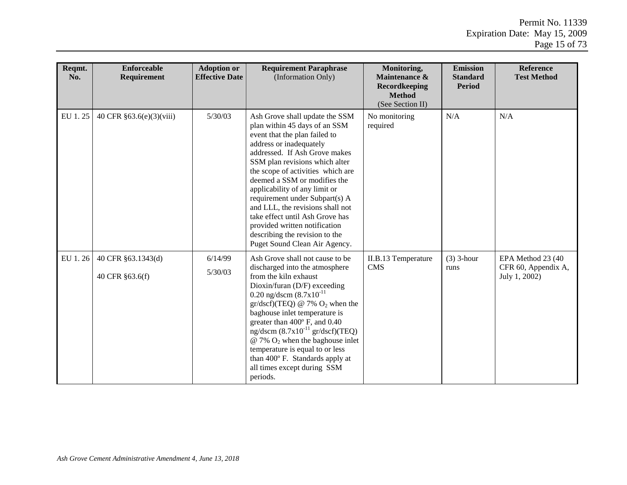| Reqmt.<br>No. | <b>Enforceable</b><br><b>Requirement</b> | <b>Adoption or</b><br><b>Effective Date</b> | <b>Requirement Paraphrase</b><br>(Information Only)                                                                                                                                                                                                                                                                                                                                                                                                                                                               | Monitoring,<br>Maintenance &<br>Recordkeeping<br><b>Method</b><br>(See Section II) | <b>Emission</b><br><b>Standard</b><br><b>Period</b> | <b>Reference</b><br><b>Test Method</b>                    |
|---------------|------------------------------------------|---------------------------------------------|-------------------------------------------------------------------------------------------------------------------------------------------------------------------------------------------------------------------------------------------------------------------------------------------------------------------------------------------------------------------------------------------------------------------------------------------------------------------------------------------------------------------|------------------------------------------------------------------------------------|-----------------------------------------------------|-----------------------------------------------------------|
| EU 1.25       | 40 CFR §63.6(e)(3)(viii)                 | 5/30/03                                     | Ash Grove shall update the SSM<br>plan within 45 days of an SSM<br>event that the plan failed to<br>address or inadequately<br>addressed. If Ash Grove makes<br>SSM plan revisions which alter<br>the scope of activities which are<br>deemed a SSM or modifies the<br>applicability of any limit or<br>requirement under Subpart(s) A<br>and LLL, the revisions shall not<br>take effect until Ash Grove has<br>provided written notification<br>describing the revision to the<br>Puget Sound Clean Air Agency. | No monitoring<br>required                                                          | N/A                                                 | N/A                                                       |
| EU 1.26       | 40 CFR §63.1343(d)<br>40 CFR §63.6(f)    | 6/14/99<br>5/30/03                          | Ash Grove shall not cause to be<br>discharged into the atmosphere<br>from the kiln exhaust<br>Dioxin/furan (D/F) exceeding<br>0.20 ng/dscm $(8.7x10^{-11}$<br>$gr/dscf$ )(TEQ) @ 7% O <sub>2</sub> when the<br>baghouse inlet temperature is<br>greater than 400° F, and 0.40<br>ng/dscm $(8.7x10^{-11} \text{ gr/dscf})(TEQ)$<br>$@ 7\% O_2$ when the baghouse inlet<br>temperature is equal to or less<br>than 400° F. Standards apply at<br>all times except during SSM<br>periods.                            | II.B.13 Temperature<br><b>CMS</b>                                                  | $(3)$ 3-hour<br>runs                                | EPA Method 23 (40<br>CFR 60, Appendix A,<br>July 1, 2002) |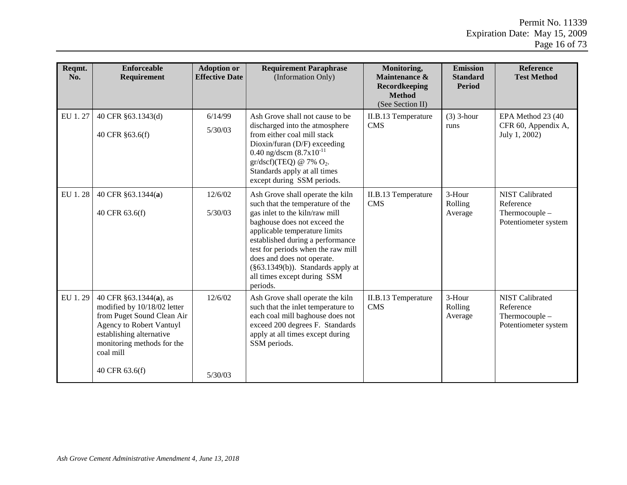| Reqmt.<br>No. | <b>Enforceable</b><br>Requirement                                                                                                                                                                        | <b>Adoption or</b><br><b>Effective Date</b> | <b>Requirement Paraphrase</b><br>(Information Only)                                                                                                                                                                                                                                                                                                                 | Monitoring,<br>Maintenance &<br>Recordkeeping<br><b>Method</b><br>(See Section II) | <b>Emission</b><br><b>Standard</b><br><b>Period</b> | <b>Reference</b><br><b>Test Method</b>                                        |
|---------------|----------------------------------------------------------------------------------------------------------------------------------------------------------------------------------------------------------|---------------------------------------------|---------------------------------------------------------------------------------------------------------------------------------------------------------------------------------------------------------------------------------------------------------------------------------------------------------------------------------------------------------------------|------------------------------------------------------------------------------------|-----------------------------------------------------|-------------------------------------------------------------------------------|
| EU 1.27       | 40 CFR §63.1343(d)<br>40 CFR §63.6(f)                                                                                                                                                                    | 6/14/99<br>5/30/03                          | Ash Grove shall not cause to be<br>discharged into the atmosphere<br>from either coal mill stack<br>Dioxin/furan (D/F) exceeding<br>0.40 ng/dscm $(8.7x10^{-11}$<br>$gr/dscf$ )(TEQ) @ 7% O <sub>2</sub> .<br>Standards apply at all times<br>except during SSM periods.                                                                                            | II.B.13 Temperature<br><b>CMS</b>                                                  | $(3)$ 3-hour<br>runs                                | EPA Method 23 (40<br>CFR 60, Appendix A,<br>July 1, 2002)                     |
| EU 1.28       | 40 CFR §63.1344(a)<br>40 CFR 63.6(f)                                                                                                                                                                     | 12/6/02<br>5/30/03                          | Ash Grove shall operate the kiln<br>such that the temperature of the<br>gas inlet to the kiln/raw mill<br>baghouse does not exceed the<br>applicable temperature limits<br>established during a performance<br>test for periods when the raw mill<br>does and does not operate.<br>$(\S63.1349(b))$ . Standards apply at<br>all times except during SSM<br>periods. | II.B.13 Temperature<br><b>CMS</b>                                                  | 3-Hour<br>Rolling<br>Average                        | <b>NIST Calibrated</b><br>Reference<br>Thermocouple -<br>Potentiometer system |
| EU 1.29       | 40 CFR §63.1344(a), as<br>modified by 10/18/02 letter<br>from Puget Sound Clean Air<br>Agency to Robert Vantuyl<br>establishing alternative<br>monitoring methods for the<br>coal mill<br>40 CFR 63.6(f) | 12/6/02<br>5/30/03                          | Ash Grove shall operate the kiln<br>such that the inlet temperature to<br>each coal mill baghouse does not<br>exceed 200 degrees F. Standards<br>apply at all times except during<br>SSM periods.                                                                                                                                                                   | II.B.13 Temperature<br><b>CMS</b>                                                  | 3-Hour<br>Rolling<br>Average                        | <b>NIST Calibrated</b><br>Reference<br>Thermocouple -<br>Potentiometer system |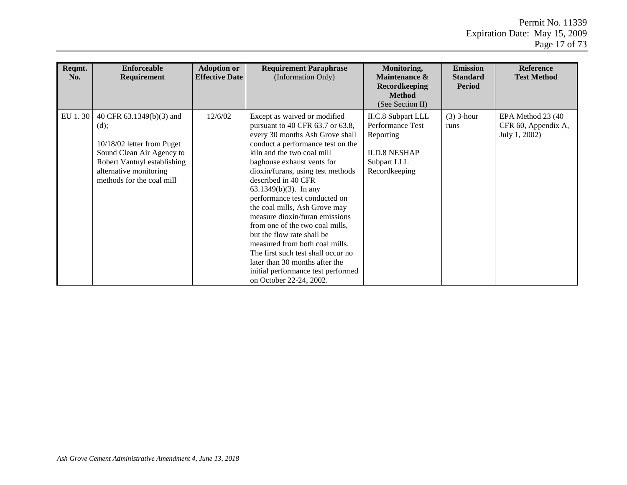| Reqmt.<br>No. | <b>Enforceable</b><br>Requirement                                                                                                                                                 | <b>Adoption or</b><br><b>Effective Date</b> | <b>Requirement Paraphrase</b><br>(Information Only)                                                                                                                                                                                                                                                                                                                                                                                                                                                                                                                                                                                          | Monitoring,<br>Maintenance &<br><b>Recordkeeping</b><br><b>Method</b><br>(See Section II)                   | <b>Emission</b><br><b>Standard</b><br><b>Period</b> | <b>Reference</b><br><b>Test Method</b>                     |
|---------------|-----------------------------------------------------------------------------------------------------------------------------------------------------------------------------------|---------------------------------------------|----------------------------------------------------------------------------------------------------------------------------------------------------------------------------------------------------------------------------------------------------------------------------------------------------------------------------------------------------------------------------------------------------------------------------------------------------------------------------------------------------------------------------------------------------------------------------------------------------------------------------------------------|-------------------------------------------------------------------------------------------------------------|-----------------------------------------------------|------------------------------------------------------------|
| EU 1.30       | 40 CFR 63.1349(b)(3) and<br>(d);<br>10/18/02 letter from Puget<br>Sound Clean Air Agency to<br>Robert Vantuyl establishing<br>alternative monitoring<br>methods for the coal mill | 12/6/02                                     | Except as waived or modified<br>pursuant to 40 CFR 63.7 or 63.8,<br>every 30 months Ash Grove shall<br>conduct a performance test on the<br>kiln and the two coal mill<br>baghouse exhaust vents for<br>dioxin/furans, using test methods<br>described in 40 CFR<br>$63.1349(b)(3)$ . In any<br>performance test conducted on<br>the coal mills, Ash Grove may<br>measure dioxin/furan emissions<br>from one of the two coal mills.<br>but the flow rate shall be<br>measured from both coal mills.<br>The first such test shall occur no<br>later than 30 months after the<br>initial performance test performed<br>on October 22-24, 2002. | II.C.8 Subpart LLL<br>Performance Test<br>Reporting<br><b>II.D.8 NESHAP</b><br>Subpart LLL<br>Recordkeeping | $(3)$ 3-hour<br>runs                                | EPA Method 23 (40)<br>CFR 60, Appendix A,<br>July 1, 2002) |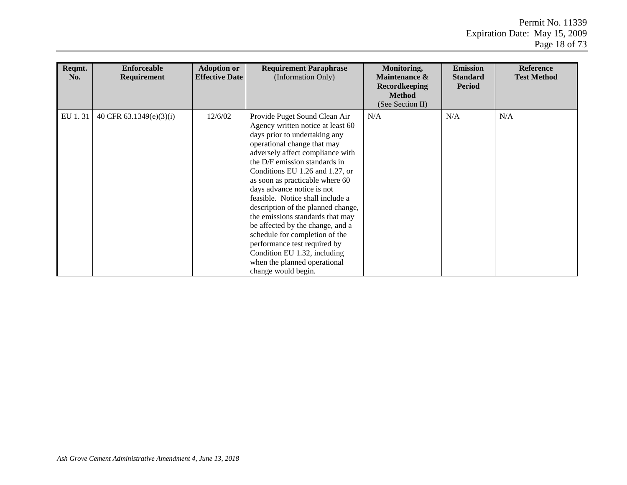| Reqmt.<br>No. | <b>Enforceable</b><br>Requirement | <b>Adoption or</b><br><b>Effective Date</b> | <b>Requirement Paraphrase</b><br>(Information Only)                                                                                                                                                                                                                                                                                                                                                                                                                                                                                                                                                                    | Monitoring,<br>Maintenance &<br><b>Recordkeeping</b><br><b>Method</b><br>(See Section II) | <b>Emission</b><br><b>Standard</b><br><b>Period</b> | <b>Reference</b><br><b>Test Method</b> |
|---------------|-----------------------------------|---------------------------------------------|------------------------------------------------------------------------------------------------------------------------------------------------------------------------------------------------------------------------------------------------------------------------------------------------------------------------------------------------------------------------------------------------------------------------------------------------------------------------------------------------------------------------------------------------------------------------------------------------------------------------|-------------------------------------------------------------------------------------------|-----------------------------------------------------|----------------------------------------|
| EU 1.31       | 40 CFR 63.1349(e)(3)(i)           | 12/6/02                                     | Provide Puget Sound Clean Air<br>Agency written notice at least 60<br>days prior to undertaking any<br>operational change that may<br>adversely affect compliance with<br>the D/F emission standards in<br>Conditions EU 1.26 and 1.27, or<br>as soon as practicable where 60<br>days advance notice is not<br>feasible. Notice shall include a<br>description of the planned change,<br>the emissions standards that may<br>be affected by the change, and a<br>schedule for completion of the<br>performance test required by<br>Condition EU 1.32, including<br>when the planned operational<br>change would begin. | N/A                                                                                       | N/A                                                 | N/A                                    |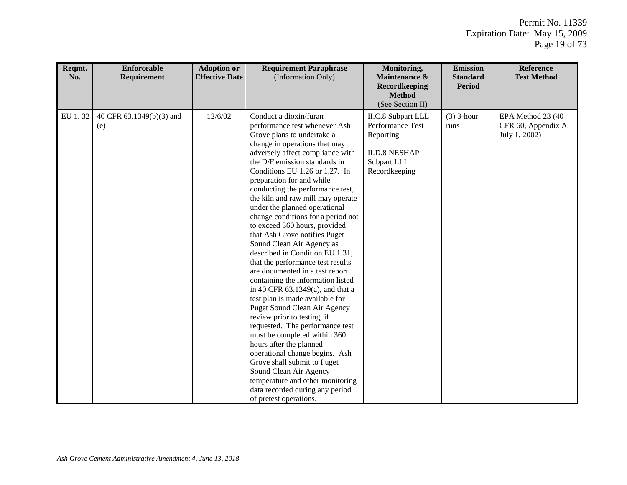| Reqmt.<br>No. | <b>Enforceable</b><br>Requirement | <b>Adoption or</b><br><b>Effective Date</b> | <b>Requirement Paraphrase</b><br>(Information Only)                                                                                                                                                                                                                                                                                                                                                                                                                                                                                                                                                                                                                                                                                                                                                                                                                                                                                                                                                                                                                                                 | Monitoring,<br>Maintenance &<br>Recordkeeping<br><b>Method</b><br>(See Section II)                                 | <b>Emission</b><br><b>Standard</b><br><b>Period</b> | <b>Reference</b><br><b>Test Method</b>                    |
|---------------|-----------------------------------|---------------------------------------------|-----------------------------------------------------------------------------------------------------------------------------------------------------------------------------------------------------------------------------------------------------------------------------------------------------------------------------------------------------------------------------------------------------------------------------------------------------------------------------------------------------------------------------------------------------------------------------------------------------------------------------------------------------------------------------------------------------------------------------------------------------------------------------------------------------------------------------------------------------------------------------------------------------------------------------------------------------------------------------------------------------------------------------------------------------------------------------------------------------|--------------------------------------------------------------------------------------------------------------------|-----------------------------------------------------|-----------------------------------------------------------|
| EU 1.32       | 40 CFR 63.1349(b)(3) and<br>(e)   | 12/6/02                                     | Conduct a dioxin/furan<br>performance test whenever Ash<br>Grove plans to undertake a<br>change in operations that may<br>adversely affect compliance with<br>the D/F emission standards in<br>Conditions EU 1.26 or 1.27. In<br>preparation for and while<br>conducting the performance test,<br>the kiln and raw mill may operate<br>under the planned operational<br>change conditions for a period not<br>to exceed 360 hours, provided<br>that Ash Grove notifies Puget<br>Sound Clean Air Agency as<br>described in Condition EU 1.31,<br>that the performance test results<br>are documented in a test report<br>containing the information listed<br>in 40 CFR $63.1349(a)$ , and that a<br>test plan is made available for<br><b>Puget Sound Clean Air Agency</b><br>review prior to testing, if<br>requested. The performance test<br>must be completed within 360<br>hours after the planned<br>operational change begins. Ash<br>Grove shall submit to Puget<br>Sound Clean Air Agency<br>temperature and other monitoring<br>data recorded during any period<br>of pretest operations. | <b>II.C.8</b> Subpart LLL<br>Performance Test<br>Reporting<br><b>II.D.8 NESHAP</b><br>Subpart LLL<br>Recordkeeping | $(3)$ 3-hour<br>runs                                | EPA Method 23 (40<br>CFR 60, Appendix A,<br>July 1, 2002) |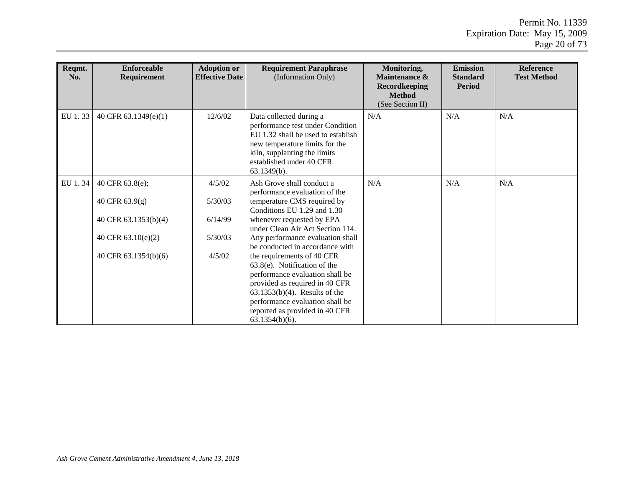| Reqmt.<br>No. | <b>Enforceable</b><br>Requirement | <b>Adoption or</b><br><b>Effective Date</b> | <b>Requirement Paraphrase</b><br>(Information Only)                                                                                                                                                                                                              | Monitoring,<br>Maintenance &<br><b>Recordkeeping</b><br><b>Method</b><br>(See Section II) | <b>Emission</b><br><b>Standard</b><br><b>Period</b> | <b>Reference</b><br><b>Test Method</b> |
|---------------|-----------------------------------|---------------------------------------------|------------------------------------------------------------------------------------------------------------------------------------------------------------------------------------------------------------------------------------------------------------------|-------------------------------------------------------------------------------------------|-----------------------------------------------------|----------------------------------------|
| EU 1.33       | 40 CFR 63.1349(e)(1)              | 12/6/02                                     | Data collected during a<br>performance test under Condition<br>EU 1.32 shall be used to establish<br>new temperature limits for the<br>kiln, supplanting the limits<br>established under 40 CFR<br>63.1349(b).                                                   | N/A                                                                                       | N/A                                                 | N/A                                    |
| EU 1.34       | 40 CFR 63.8(e);                   | 4/5/02                                      | Ash Grove shall conduct a<br>performance evaluation of the                                                                                                                                                                                                       | N/A                                                                                       | N/A                                                 | N/A                                    |
|               | 40 CFR 63.9(g)                    | 5/30/03                                     | temperature CMS required by<br>Conditions EU 1.29 and 1.30                                                                                                                                                                                                       |                                                                                           |                                                     |                                        |
|               | 40 CFR 63.1353(b)(4)              | 6/14/99                                     | whenever requested by EPA<br>under Clean Air Act Section 114.                                                                                                                                                                                                    |                                                                                           |                                                     |                                        |
|               | 40 CFR 63.10(e)(2)                | 5/30/03                                     | Any performance evaluation shall<br>be conducted in accordance with                                                                                                                                                                                              |                                                                                           |                                                     |                                        |
|               | 40 CFR $63.1354(b)(6)$            | 4/5/02                                      | the requirements of 40 CFR<br>$63.8(e)$ . Notification of the<br>performance evaluation shall be<br>provided as required in 40 CFR<br>$63.1353(b)(4)$ . Results of the<br>performance evaluation shall be<br>reported as provided in 40 CFR<br>$63.1354(b)(6)$ . |                                                                                           |                                                     |                                        |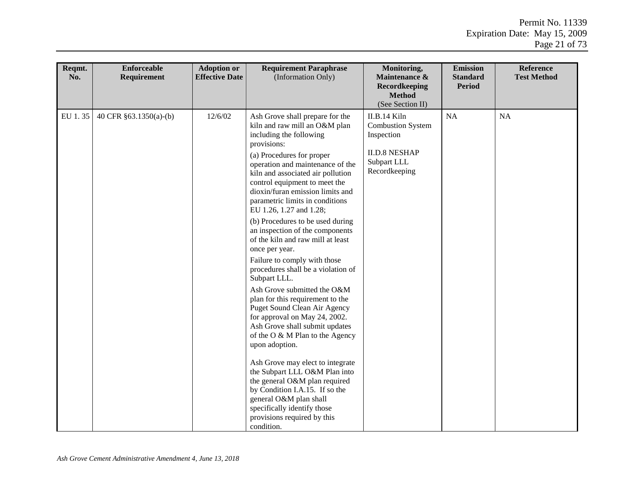| Reqmt.<br>No. | <b>Enforceable</b><br>Requirement | <b>Adoption or</b><br><b>Effective Date</b> | <b>Requirement Paraphrase</b><br>(Information Only)                                                                                                                                                                                                                                                                                                                                                                                                                                                                                                                                                                                                                                                                                                                                                                                                                            | Monitoring,<br>Maintenance &<br>Recordkeeping<br><b>Method</b><br>(See Section II)                             | <b>Emission</b><br><b>Standard</b><br><b>Period</b> | Reference<br><b>Test Method</b> |
|---------------|-----------------------------------|---------------------------------------------|--------------------------------------------------------------------------------------------------------------------------------------------------------------------------------------------------------------------------------------------------------------------------------------------------------------------------------------------------------------------------------------------------------------------------------------------------------------------------------------------------------------------------------------------------------------------------------------------------------------------------------------------------------------------------------------------------------------------------------------------------------------------------------------------------------------------------------------------------------------------------------|----------------------------------------------------------------------------------------------------------------|-----------------------------------------------------|---------------------------------|
| EU 1.35       | 40 CFR §63.1350(a)-(b)            | 12/6/02                                     | Ash Grove shall prepare for the<br>kiln and raw mill an O&M plan<br>including the following<br>provisions:<br>(a) Procedures for proper<br>operation and maintenance of the<br>kiln and associated air pollution<br>control equipment to meet the<br>dioxin/furan emission limits and<br>parametric limits in conditions<br>EU 1.26, 1.27 and 1.28;<br>(b) Procedures to be used during<br>an inspection of the components<br>of the kiln and raw mill at least<br>once per year.<br>Failure to comply with those<br>procedures shall be a violation of<br>Subpart LLL.<br>Ash Grove submitted the O&M<br>plan for this requirement to the<br><b>Puget Sound Clean Air Agency</b><br>for approval on May 24, 2002.<br>Ash Grove shall submit updates<br>of the O & M Plan to the Agency<br>upon adoption.<br>Ash Grove may elect to integrate<br>the Subpart LLL O&M Plan into | II.B.14 Kiln<br><b>Combustion System</b><br>Inspection<br><b>II.D.8 NESHAP</b><br>Subpart LLL<br>Recordkeeping | NA                                                  | <b>NA</b>                       |
|               |                                   |                                             | the general O&M plan required<br>by Condition I.A.15. If so the<br>general O&M plan shall<br>specifically identify those<br>provisions required by this<br>condition.                                                                                                                                                                                                                                                                                                                                                                                                                                                                                                                                                                                                                                                                                                          |                                                                                                                |                                                     |                                 |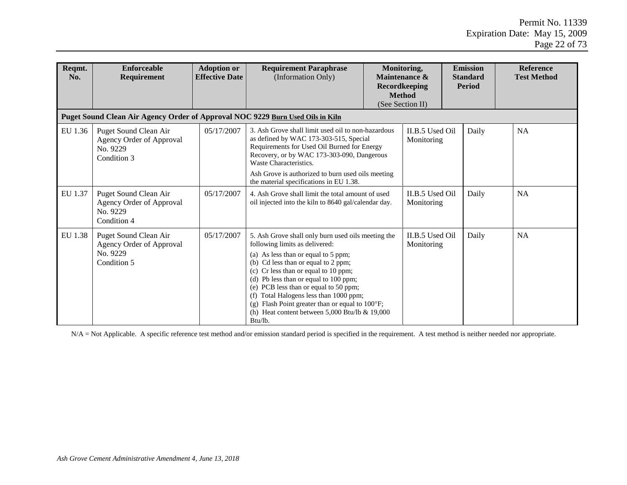| Reqmt.<br>No. | <b>Enforceable</b><br><b>Requirement</b>                                       | <b>Adoption or</b><br><b>Effective Date</b> | <b>Requirement Paraphrase</b><br>(Information Only)                                                                                                                                                                                                                                                                                                                                                                                                      |  | Monitoring,<br>Maintenance &<br>Recordkeeping<br><b>Method</b><br>(See Section II) | <b>Emission</b><br><b>Standard</b><br><b>Period</b> |  | Reference<br><b>Test Method</b> |  |
|---------------|--------------------------------------------------------------------------------|---------------------------------------------|----------------------------------------------------------------------------------------------------------------------------------------------------------------------------------------------------------------------------------------------------------------------------------------------------------------------------------------------------------------------------------------------------------------------------------------------------------|--|------------------------------------------------------------------------------------|-----------------------------------------------------|--|---------------------------------|--|
|               | Puget Sound Clean Air Agency Order of Approval NOC 9229 Burn Used Oils in Kiln |                                             |                                                                                                                                                                                                                                                                                                                                                                                                                                                          |  |                                                                                    |                                                     |  |                                 |  |
| EU 1.36       | Puget Sound Clean Air<br>Agency Order of Approval<br>No. 9229<br>Condition 3   | 05/17/2007                                  | 3. Ash Grove shall limit used oil to non-hazardous<br>as defined by WAC 173-303-515, Special<br>Requirements for Used Oil Burned for Energy<br>Recovery, or by WAC 173-303-090, Dangerous<br>Waste Characteristics.<br>Ash Grove is authorized to burn used oils meeting<br>the material specifications in EU 1.38.                                                                                                                                      |  | II.B.5 Used Oil<br>Monitoring                                                      | Daily                                               |  | <b>NA</b>                       |  |
| EU 1.37       | Puget Sound Clean Air<br>Agency Order of Approval<br>No. 9229<br>Condition 4   | 05/17/2007                                  | 4. Ash Grove shall limit the total amount of used<br>oil injected into the kiln to 8640 gal/calendar day.                                                                                                                                                                                                                                                                                                                                                |  | II.B.5 Used Oil<br>Monitoring                                                      | Daily                                               |  | <b>NA</b>                       |  |
| EU 1.38       | Puget Sound Clean Air<br>Agency Order of Approval<br>No. 9229<br>Condition 5   | 05/17/2007                                  | 5. Ash Grove shall only burn used oils meeting the<br>following limits as delivered:<br>(a) As less than or equal to 5 ppm;<br>(b) Cd less than or equal to 2 ppm;<br>(c) Cr less than or equal to 10 ppm;<br>(d) Pb less than or equal to 100 ppm;<br>(e) PCB less than or equal to 50 ppm;<br>(f) Total Halogens less than 1000 ppm;<br>(g) Flash Point greater than or equal to 100°F;<br>(h) Heat content between $5,000$ Btu/lb & 19,000<br>Btu/lb. |  | II.B.5 Used Oil<br>Monitoring                                                      | Daily                                               |  | <b>NA</b>                       |  |

N/A = Not Applicable. A specific reference test method and/or emission standard period is specified in the requirement. A test method is neither needed nor appropriate.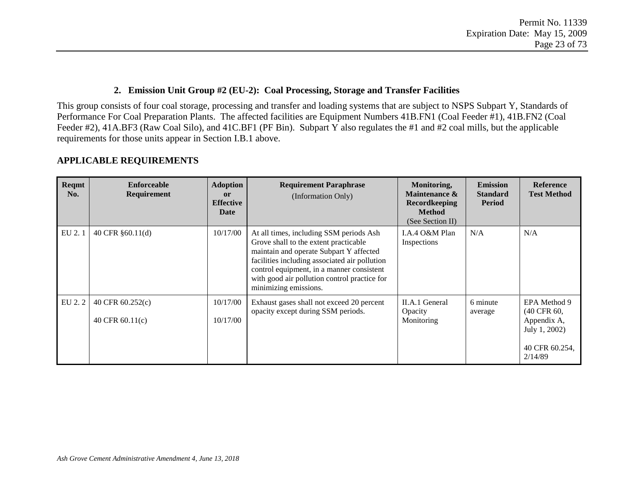#### **2. Emission Unit Group #2 (EU-2): Coal Processing, Storage and Transfer Facilities**

This group consists of four coal storage, processing and transfer and loading systems that are subject to NSPS Subpart Y, Standards of Performance For Coal Preparation Plants. The affected facilities are Equipment Numbers 41B.FN1 (Coal Feeder #1), 41B.FN2 (Coal Feeder #2), 41A.BF3 (Raw Coal Silo), and 41C.BF1 (PF Bin). Subpart Y also regulates the #1 and #2 coal mills, but the applicable requirements for those units appear in Section I.B.1 above.

| Reqmt<br>No. | Enforceable<br><b>Requirement</b>     | <b>Adoption</b><br>$\mathbf{or}$<br><b>Effective</b><br>Date | <b>Requirement Paraphrase</b><br>(Information Only)                                                                                                                                                                                                                                                | Monitoring,<br>Maintenance &<br><b>Recordkeeping</b><br><b>Method</b><br>(See Section II) | <b>Emission</b><br><b>Standard</b><br><b>Period</b> | <b>Reference</b><br><b>Test Method</b>                                                   |
|--------------|---------------------------------------|--------------------------------------------------------------|----------------------------------------------------------------------------------------------------------------------------------------------------------------------------------------------------------------------------------------------------------------------------------------------------|-------------------------------------------------------------------------------------------|-----------------------------------------------------|------------------------------------------------------------------------------------------|
| EU 2.1       | 40 CFR §60.11(d)                      | 10/17/00                                                     | At all times, including SSM periods Ash<br>Grove shall to the extent practicable<br>maintain and operate Subpart Y affected<br>facilities including associated air pollution<br>control equipment, in a manner consistent<br>with good air pollution control practice for<br>minimizing emissions. | I.A.4 O&M Plan<br>Inspections                                                             | N/A                                                 | N/A                                                                                      |
| EU 2.2       | 40 CFR 60.252(c)<br>40 CFR $60.11(c)$ | 10/17/00<br>10/17/00                                         | Exhaust gases shall not exceed 20 percent<br>opacity except during SSM periods.                                                                                                                                                                                                                    | II.A.1 General<br>Opacity<br>Monitoring                                                   | 6 minute<br>average                                 | EPA Method 9<br>(40 CFR 60,<br>Appendix A,<br>July 1, 2002)<br>40 CFR 60.254,<br>2/14/89 |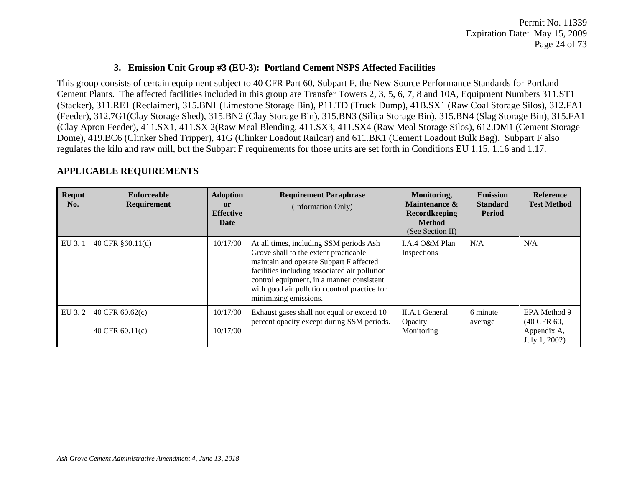#### **3. Emission Unit Group #3 (EU-3): Portland Cement NSPS Affected Facilities**

This group consists of certain equipment subject to 40 CFR Part 60, Subpart F, the New Source Performance Standards for Portland Cement Plants. The affected facilities included in this group are Transfer Towers 2, 3, 5, 6, 7, 8 and 10A, Equipment Numbers 311.ST1 (Stacker), 311.RE1 (Reclaimer), 315.BN1 (Limestone Storage Bin), P11.TD (Truck Dump), 41B.SX1 (Raw Coal Storage Silos), 312.FA1 (Feeder), 312.7G1(Clay Storage Shed), 315.BN2 (Clay Storage Bin), 315.BN3 (Silica Storage Bin), 315.BN4 (Slag Storage Bin), 315.FA1 (Clay Apron Feeder), 411.SX1, 411.SX 2(Raw Meal Blending, 411.SX3, 411.SX4 (Raw Meal Storage Silos), 612.DM1 (Cement Storage Dome), 419.BC6 (Clinker Shed Tripper), 41G (Clinker Loadout Railcar) and 611.BK1 (Cement Loadout Bulk Bag). Subpart F also regulates the kiln and raw mill, but the Subpart F requirements for those units are set forth in Conditions EU 1.15, 1.16 and 1.17.

| Reqmt<br>No. | <b>Enforceable</b><br>Requirement      | <b>Adoption</b><br>or<br><b>Effective</b><br>Date | <b>Requirement Paraphrase</b><br>(Information Only)                                                                                                                                                                                                                                                | Monitoring,<br>Maintenance &<br><b>Recordkeeping</b><br><b>Method</b><br>(See Section II) | <b>Emission</b><br><b>Standard</b><br><b>Period</b> | <b>Reference</b><br><b>Test Method</b>                      |
|--------------|----------------------------------------|---------------------------------------------------|----------------------------------------------------------------------------------------------------------------------------------------------------------------------------------------------------------------------------------------------------------------------------------------------------|-------------------------------------------------------------------------------------------|-----------------------------------------------------|-------------------------------------------------------------|
| EU 3.1       | 40 CFR $§60.11(d)$                     | 10/17/00                                          | At all times, including SSM periods Ash<br>Grove shall to the extent practicable<br>maintain and operate Subpart F affected<br>facilities including associated air pollution<br>control equipment, in a manner consistent<br>with good air pollution control practice for<br>minimizing emissions. | LA.4 O&M Plan<br>Inspections                                                              | N/A                                                 | N/A                                                         |
| EU 3.2       | 40 CFR $60.62(c)$<br>40 CFR $60.11(c)$ | 10/17/00<br>10/17/00                              | Exhaust gases shall not equal or exceed 10<br>percent opacity except during SSM periods.                                                                                                                                                                                                           | II.A.1 General<br>Opacity<br>Monitoring                                                   | 6 minute<br>average                                 | EPA Method 9<br>(40 CFR 60,<br>Appendix A,<br>July 1, 2002) |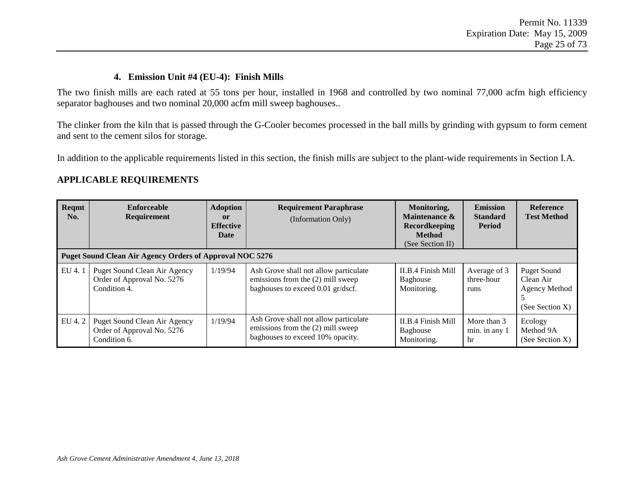#### **4. Emission Unit #4 (EU-4): Finish Mills**

The two finish mills are each rated at 55 tons per hour, installed in 1968 and controlled by two nominal 77,000 acfm high efficiency separator baghouses and two nominal 20,000 acfm mill sweep baghouses..

The clinker from the kiln that is passed through the G-Cooler becomes processed in the ball mills by grinding with gypsum to form cement and sent to the cement silos for storage.

In addition to the applicable requirements listed in this section, the finish mills are subject to the plant-wide requirements in Section I.A.

| Reqmt<br>No. | <b>Enforceable</b><br>Requirement                                                                                                             | <b>Adoption</b><br><sub>or</sub><br><b>Effective</b><br>Date | <b>Requirement Paraphrase</b><br>(Information Only)                                                             | Monitoring,<br>Maintenance &<br><b>Recordkeeping</b><br><b>Method</b><br>(See Section II) | <b>Emission</b><br><b>Standard</b><br><b>Period</b> | <b>Reference</b><br><b>Test Method</b>                              |
|--------------|-----------------------------------------------------------------------------------------------------------------------------------------------|--------------------------------------------------------------|-----------------------------------------------------------------------------------------------------------------|-------------------------------------------------------------------------------------------|-----------------------------------------------------|---------------------------------------------------------------------|
| EU 4.1       | <b>Puget Sound Clean Air Agency Orders of Approval NOC 5276</b><br>Puget Sound Clean Air Agency<br>Order of Approval No. 5276<br>Condition 4. | 1/19/94                                                      | Ash Grove shall not allow particulate<br>emissions from the (2) mill sweep<br>baghouses to exceed 0.01 gr/dscf. | II.B.4 Finish Mill<br>Baghouse<br>Monitoring.                                             | Average of 3<br>three-hour<br>runs                  | <b>Puget Sound</b><br>Clean Air<br>Agency Method<br>(See Section X) |
| EU 4.2       | Puget Sound Clean Air Agency<br>Order of Approval No. 5276<br>Condition 6.                                                                    | 1/19/94                                                      | Ash Grove shall not allow particulate<br>emissions from the (2) mill sweep<br>baghouses to exceed 10% opacity.  | II.B.4 Finish Mill<br>Baghouse<br>Monitoring.                                             | More than 3<br>min. in any 1<br>hr                  | Ecology<br>Method 9A<br>(See Section X)                             |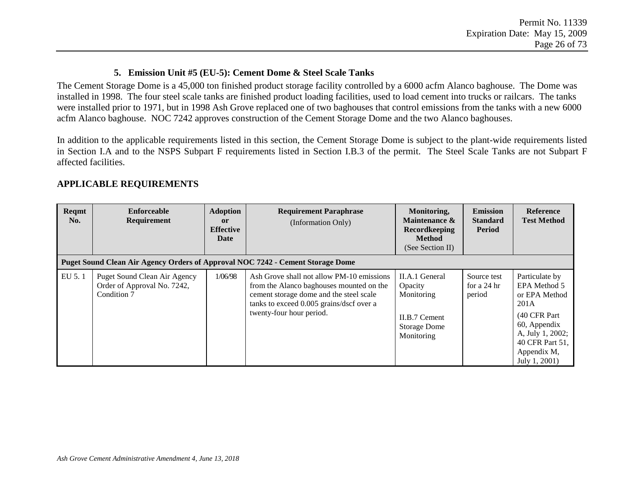## **5. Emission Unit #5 (EU-5): Cement Dome & Steel Scale Tanks**

The Cement Storage Dome is a 45,000 ton finished product storage facility controlled by a 6000 acfm Alanco baghouse. The Dome was installed in 1998. The four steel scale tanks are finished product loading facilities, used to load cement into trucks or railcars. The tanks were installed prior to 1971, but in 1998 Ash Grove replaced one of two baghouses that control emissions from the tanks with a new 6000 acfm Alanco baghouse. NOC 7242 approves construction of the Cement Storage Dome and the two Alanco baghouses.

In addition to the applicable requirements listed in this section, the Cement Storage Dome is subject to the plant-wide requirements listed in Section I.A and to the NSPS Subpart F requirements listed in Section I.B.3 of the permit. The Steel Scale Tanks are not Subpart F affected facilities.

| Reqmt<br>No. | <b>Enforceable</b><br><b>Requirement</b>                                       | <b>Adoption</b><br><sub>or</sub><br><b>Effective</b><br>Date | <b>Requirement Paraphrase</b><br>(Information Only)                                                                                                                                                      | Monitoring,<br>Maintenance &<br><b>Recordkeeping</b><br><b>Method</b><br>(See Section II)     | <b>Emission</b><br><b>Standard</b><br><b>Period</b> | <b>Reference</b><br><b>Test Method</b>                                                                                                                          |
|--------------|--------------------------------------------------------------------------------|--------------------------------------------------------------|----------------------------------------------------------------------------------------------------------------------------------------------------------------------------------------------------------|-----------------------------------------------------------------------------------------------|-----------------------------------------------------|-----------------------------------------------------------------------------------------------------------------------------------------------------------------|
|              | Puget Sound Clean Air Agency Orders of Approval NOC 7242 - Cement Storage Dome |                                                              |                                                                                                                                                                                                          |                                                                                               |                                                     |                                                                                                                                                                 |
| EU 5.1       | Puget Sound Clean Air Agency<br>Order of Approval No. 7242,<br>Condition 7     | 1/06/98                                                      | Ash Grove shall not allow PM-10 emissions<br>from the Alanco baghouses mounted on the<br>cement storage dome and the steel scale<br>tanks to exceed 0.005 grains/dscf over a<br>twenty-four hour period. | II.A.1 General<br>Opacity<br>Monitoring<br>II.B.7 Cement<br><b>Storage Dome</b><br>Monitoring | Source test<br>for a 24 hr<br>period                | Particulate by<br>EPA Method 5<br>or EPA Method<br>201A<br>(40 CFR Part)<br>60, Appendix<br>A, July 1, 2002;<br>40 CFR Part 51,<br>Appendix M,<br>July 1, 2001) |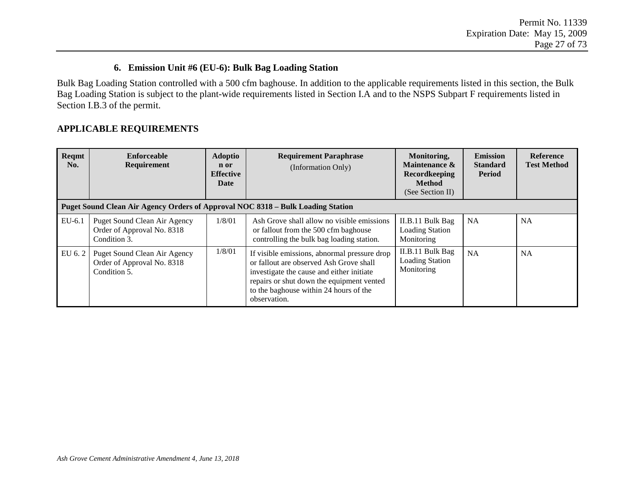### **6. Emission Unit #6 (EU-6): Bulk Bag Loading Station**

Bulk Bag Loading Station controlled with a 500 cfm baghouse. In addition to the applicable requirements listed in this section, the Bulk Bag Loading Station is subject to the plant-wide requirements listed in Section I.A and to the NSPS Subpart F requirements listed in Section I.B.3 of the permit.

| Reqmt<br>No. | <b>Enforceable</b><br>Requirement<br><b>Puget Sound Clean Air Agency Orders of Approval NOC 8318 - Bulk Loading Station</b> | <b>Adoptio</b><br>n or<br><b>Effective</b><br><b>Date</b> | <b>Requirement Paraphrase</b><br>(Information Only)                                                                                                                                                                                         | Monitoring,<br>Maintenance &<br>Recordkeeping<br><b>Method</b><br>(See Section II) | <b>Emission</b><br><b>Standard</b><br><b>Period</b> | <b>Reference</b><br><b>Test Method</b> |
|--------------|-----------------------------------------------------------------------------------------------------------------------------|-----------------------------------------------------------|---------------------------------------------------------------------------------------------------------------------------------------------------------------------------------------------------------------------------------------------|------------------------------------------------------------------------------------|-----------------------------------------------------|----------------------------------------|
| $EU-6.1$     | Puget Sound Clean Air Agency                                                                                                | 1/8/01                                                    | Ash Grove shall allow no visible emissions                                                                                                                                                                                                  | II.B.11 Bulk Bag                                                                   | <b>NA</b>                                           | <b>NA</b>                              |
|              | Order of Approval No. 8318<br>Condition 3.                                                                                  |                                                           | or fallout from the 500 cfm baghouse<br>controlling the bulk bag loading station.                                                                                                                                                           | <b>Loading Station</b><br>Monitoring                                               |                                                     |                                        |
| EU 6.2       | Puget Sound Clean Air Agency<br>Order of Approval No. 8318<br>Condition 5.                                                  | 1/8/01                                                    | If visible emissions, abnormal pressure drop<br>or fallout are observed Ash Grove shall<br>investigate the cause and either initiate<br>repairs or shut down the equipment vented<br>to the baghouse within 24 hours of the<br>observation. | II.B.11 Bulk Bag<br><b>Loading Station</b><br>Monitoring                           | <b>NA</b>                                           | <b>NA</b>                              |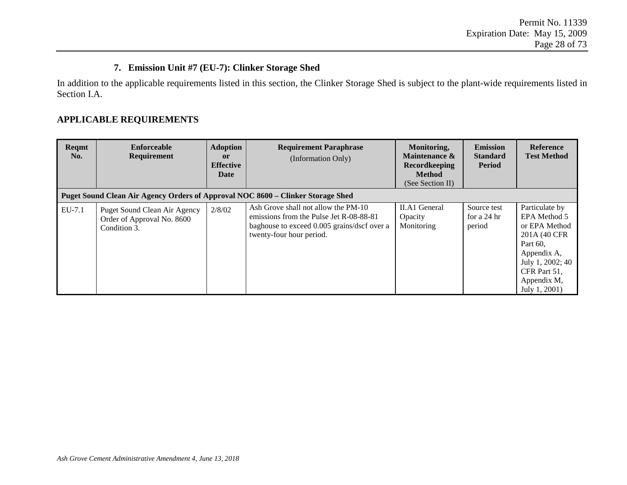#### **7. Emission Unit #7 (EU-7): Clinker Storage Shed**

In addition to the applicable requirements listed in this section, the Clinker Storage Shed is subject to the plant-wide requirements listed in Section I.A.

| Reqmt<br>No. | <b>Enforceable</b><br><b>Requirement</b><br>Puget Sound Clean Air Agency Orders of Approval NOC 8600 – Clinker Storage Shed | <b>Adoption</b><br><sub>or</sub><br><b>Effective</b><br>Date | <b>Requirement Paraphrase</b><br>(Information Only)                                                                                                       | Monitoring,<br>Maintenance &<br><b>Recordkeeping</b><br><b>Method</b><br>(See Section II) | <b>Emission</b><br><b>Standard</b><br><b>Period</b> | <b>Reference</b><br><b>Test Method</b>                                                                                                                          |
|--------------|-----------------------------------------------------------------------------------------------------------------------------|--------------------------------------------------------------|-----------------------------------------------------------------------------------------------------------------------------------------------------------|-------------------------------------------------------------------------------------------|-----------------------------------------------------|-----------------------------------------------------------------------------------------------------------------------------------------------------------------|
| EU-7.1       | Puget Sound Clean Air Agency<br>Order of Approval No. 8600<br>Condition 3.                                                  | 2/8/02                                                       | Ash Grove shall not allow the PM-10<br>emissions from the Pulse Jet R-08-88-81<br>baghouse to exceed 0.005 grains/dscf over a<br>twenty-four hour period. | <b>II.A1 General</b><br>Opacity<br>Monitoring                                             | Source test<br>for a 24 hr<br>period                | Particulate by<br>EPA Method 5<br>or EPA Method<br>201A (40 CFR)<br>Part 60,<br>Appendix A,<br>July 1, 2002; 40<br>CFR Part 51,<br>Appendix M,<br>July 1, 2001) |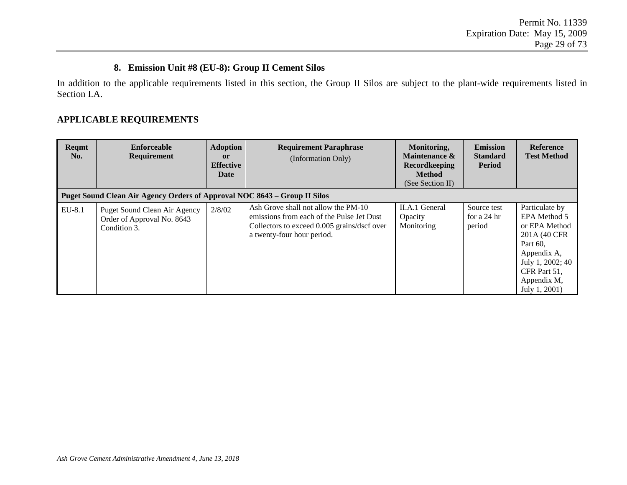#### **8. Emission Unit #8 (EU-8): Group II Cement Silos**

In addition to the applicable requirements listed in this section, the Group II Silos are subject to the plant-wide requirements listed in Section I.A.

| Reqmt<br>No. | <b>Enforceable</b><br><b>Requirement</b><br>Puget Sound Clean Air Agency Orders of Approval NOC 8643 – Group II Silos | <b>Adoption</b><br><sub>or</sub><br><b>Effective</b><br>Date | <b>Requirement Paraphrase</b><br>(Information Only)                                                                                                           | Monitoring,<br>Maintenance &<br><b>Recordkeeping</b><br><b>Method</b><br>(See Section II) | <b>Emission</b><br><b>Standard</b><br><b>Period</b> | <b>Reference</b><br><b>Test Method</b>                                                                                                                          |
|--------------|-----------------------------------------------------------------------------------------------------------------------|--------------------------------------------------------------|---------------------------------------------------------------------------------------------------------------------------------------------------------------|-------------------------------------------------------------------------------------------|-----------------------------------------------------|-----------------------------------------------------------------------------------------------------------------------------------------------------------------|
| EU-8.1       | Puget Sound Clean Air Agency<br>Order of Approval No. 8643<br>Condition 3.                                            | 2/8/02                                                       | Ash Grove shall not allow the PM-10<br>emissions from each of the Pulse Jet Dust<br>Collectors to exceed 0.005 grains/dscf over<br>a twenty-four hour period. | II.A.1 General<br>Opacity<br>Monitoring                                                   | Source test<br>for a 24 hr<br>period                | Particulate by<br>EPA Method 5<br>or EPA Method<br>201A (40 CFR)<br>Part 60,<br>Appendix A,<br>July 1, 2002; 40<br>CFR Part 51,<br>Appendix M,<br>July 1, 2001) |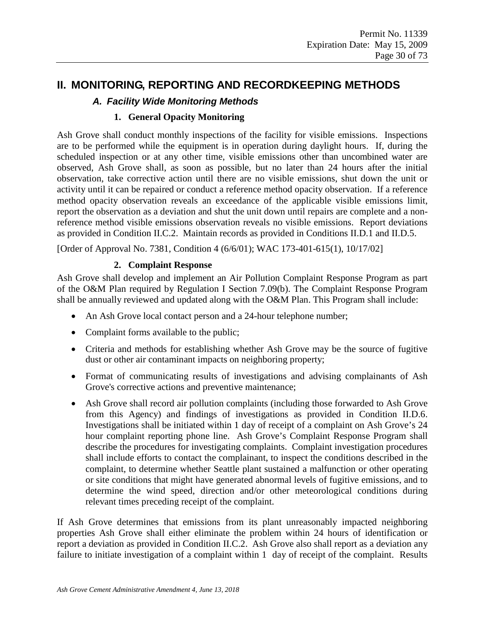## **II. MONITORING, REPORTING AND RECORDKEEPING METHODS**

## *A. Facility Wide Monitoring Methods*

## **1. General Opacity Monitoring**

Ash Grove shall conduct monthly inspections of the facility for visible emissions. Inspections are to be performed while the equipment is in operation during daylight hours. If, during the scheduled inspection or at any other time, visible emissions other than uncombined water are observed, Ash Grove shall, as soon as possible, but no later than 24 hours after the initial observation, take corrective action until there are no visible emissions, shut down the unit or activity until it can be repaired or conduct a reference method opacity observation. If a reference method opacity observation reveals an exceedance of the applicable visible emissions limit, report the observation as a deviation and shut the unit down until repairs are complete and a nonreference method visible emissions observation reveals no visible emissions. Report deviations as provided in Condition II.C.2. Maintain records as provided in Conditions II.D.1 and II.D.5.

[Order of Approval No. 7381, Condition 4 (6/6/01); WAC 173-401-615(1), 10/17/02]

#### **2. Complaint Response**

Ash Grove shall develop and implement an Air Pollution Complaint Response Program as part of the O&M Plan required by Regulation I Section 7.09(b). The Complaint Response Program shall be annually reviewed and updated along with the O&M Plan. This Program shall include:

- An Ash Grove local contact person and a 24-hour telephone number;
- Complaint forms available to the public;
- Criteria and methods for establishing whether Ash Grove may be the source of fugitive dust or other air contaminant impacts on neighboring property;
- Format of communicating results of investigations and advising complainants of Ash Grove's corrective actions and preventive maintenance;
- Ash Grove shall record air pollution complaints (including those forwarded to Ash Grove from this Agency) and findings of investigations as provided in Condition II.D.6. Investigations shall be initiated within 1 day of receipt of a complaint on Ash Grove's 24 hour complaint reporting phone line. Ash Grove's Complaint Response Program shall describe the procedures for investigating complaints. Complaint investigation procedures shall include efforts to contact the complainant, to inspect the conditions described in the complaint, to determine whether Seattle plant sustained a malfunction or other operating or site conditions that might have generated abnormal levels of fugitive emissions, and to determine the wind speed, direction and/or other meteorological conditions during relevant times preceding receipt of the complaint.

If Ash Grove determines that emissions from its plant unreasonably impacted neighboring properties Ash Grove shall either eliminate the problem within 24 hours of identification or report a deviation as provided in Condition II.C.2. Ash Grove also shall report as a deviation any failure to initiate investigation of a complaint within 1 day of receipt of the complaint. Results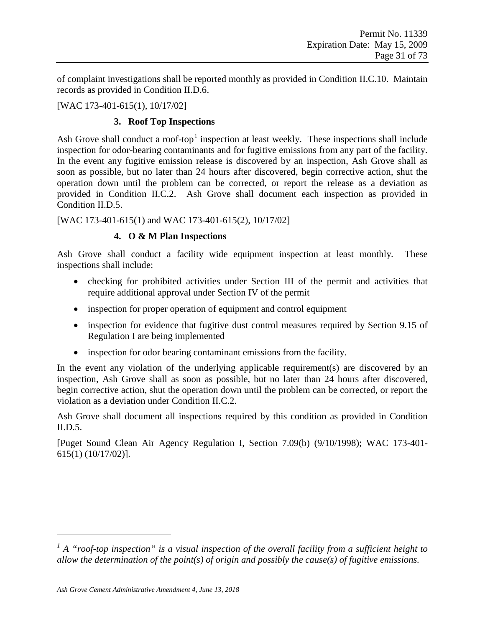of complaint investigations shall be reported monthly as provided in Condition II.C.10. Maintain records as provided in Condition II.D.6.

## [WAC 173-401-615(1), 10/17/02]

## **3. Roof Top Inspections**

Ash Grove shall conduct a roof-top<sup>[1](#page-30-0)</sup> inspection at least weekly. These inspections shall include inspection for odor-bearing contaminants and for fugitive emissions from any part of the facility. In the event any fugitive emission release is discovered by an inspection, Ash Grove shall as soon as possible, but no later than 24 hours after discovered, begin corrective action, shut the operation down until the problem can be corrected, or report the release as a deviation as provided in Condition II.C.2. Ash Grove shall document each inspection as provided in Condition II.D.5.

[WAC 173-401-615(1) and WAC 173-401-615(2), 10/17/02]

## **4. O & M Plan Inspections**

Ash Grove shall conduct a facility wide equipment inspection at least monthly. These inspections shall include:

- checking for prohibited activities under Section III of the permit and activities that require additional approval under Section IV of the permit
- inspection for proper operation of equipment and control equipment
- inspection for evidence that fugitive dust control measures required by Section 9.15 of Regulation I are being implemented
- inspection for odor bearing contaminant emissions from the facility.

In the event any violation of the underlying applicable requirement(s) are discovered by an inspection, Ash Grove shall as soon as possible, but no later than 24 hours after discovered, begin corrective action, shut the operation down until the problem can be corrected, or report the violation as a deviation under Condition II.C.2.

Ash Grove shall document all inspections required by this condition as provided in Condition II.D.5.

[Puget Sound Clean Air Agency Regulation I, Section 7.09(b) (9/10/1998); WAC 173-401- 615(1) (10/17/02)].

 $\overline{a}$ 

<span id="page-30-0"></span>*<sup>1</sup> A "roof-top inspection" is a visual inspection of the overall facility from a sufficient height to allow the determination of the point(s) of origin and possibly the cause(s) of fugitive emissions.*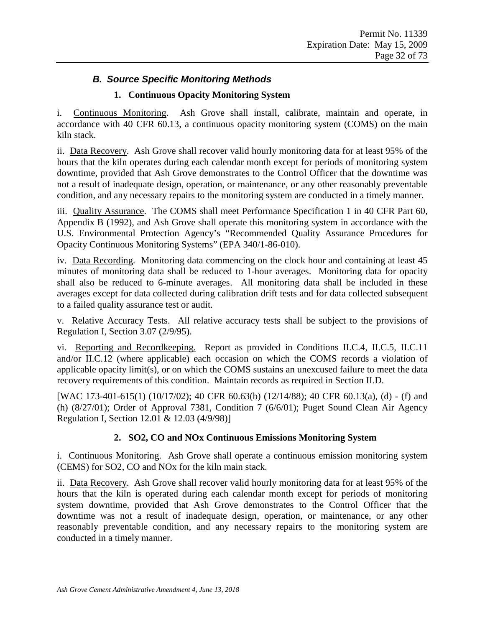## *B. Source Specific Monitoring Methods*

## **1. Continuous Opacity Monitoring System**

i. Continuous Monitoring. Ash Grove shall install, calibrate, maintain and operate, in accordance with 40 CFR 60.13, a continuous opacity monitoring system (COMS) on the main kiln stack.

ii. Data Recovery. Ash Grove shall recover valid hourly monitoring data for at least 95% of the hours that the kiln operates during each calendar month except for periods of monitoring system downtime, provided that Ash Grove demonstrates to the Control Officer that the downtime was not a result of inadequate design, operation, or maintenance, or any other reasonably preventable condition, and any necessary repairs to the monitoring system are conducted in a timely manner.

iii. Quality Assurance. The COMS shall meet Performance Specification 1 in 40 CFR Part 60, Appendix B (1992), and Ash Grove shall operate this monitoring system in accordance with the U.S. Environmental Protection Agency's "Recommended Quality Assurance Procedures for Opacity Continuous Monitoring Systems" (EPA 340/1-86-010).

iv. Data Recording. Monitoring data commencing on the clock hour and containing at least 45 minutes of monitoring data shall be reduced to 1-hour averages. Monitoring data for opacity shall also be reduced to 6-minute averages. All monitoring data shall be included in these averages except for data collected during calibration drift tests and for data collected subsequent to a failed quality assurance test or audit.

v. Relative Accuracy Tests. All relative accuracy tests shall be subject to the provisions of Regulation I, Section 3.07 (2/9/95).

vi. Reporting and Recordkeeping. Report as provided in Conditions II.C.4, II.C.5, II.C.11 and/or II.C.12 (where applicable) each occasion on which the COMS records a violation of applicable opacity limit(s), or on which the COMS sustains an unexcused failure to meet the data recovery requirements of this condition. Maintain records as required in Section II.D.

[WAC 173-401-615(1) (10/17/02); 40 CFR 60.63(b) (12/14/88); 40 CFR 60.13(a), (d) - (f) and (h) (8/27/01); Order of Approval 7381, Condition 7 (6/6/01); Puget Sound Clean Air Agency Regulation I, Section 12.01 & 12.03 (4/9/98)]

## **2. SO2, CO and NOx Continuous Emissions Monitoring System**

i. Continuous Monitoring. Ash Grove shall operate a continuous emission monitoring system (CEMS) for SO2, CO and NOx for the kiln main stack.

ii. Data Recovery. Ash Grove shall recover valid hourly monitoring data for at least 95% of the hours that the kiln is operated during each calendar month except for periods of monitoring system downtime, provided that Ash Grove demonstrates to the Control Officer that the downtime was not a result of inadequate design, operation, or maintenance, or any other reasonably preventable condition, and any necessary repairs to the monitoring system are conducted in a timely manner.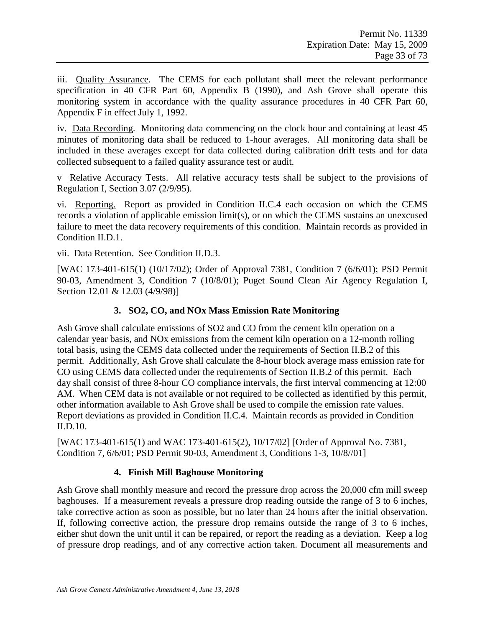iii. Quality Assurance. The CEMS for each pollutant shall meet the relevant performance specification in 40 CFR Part 60, Appendix B (1990), and Ash Grove shall operate this monitoring system in accordance with the quality assurance procedures in 40 CFR Part 60, Appendix F in effect July 1, 1992.

iv. Data Recording. Monitoring data commencing on the clock hour and containing at least 45 minutes of monitoring data shall be reduced to 1-hour averages. All monitoring data shall be included in these averages except for data collected during calibration drift tests and for data collected subsequent to a failed quality assurance test or audit.

v Relative Accuracy Tests. All relative accuracy tests shall be subject to the provisions of Regulation I, Section 3.07 (2/9/95).

vi. Reporting. Report as provided in Condition II.C.4 each occasion on which the CEMS records a violation of applicable emission limit(s), or on which the CEMS sustains an unexcused failure to meet the data recovery requirements of this condition. Maintain records as provided in Condition II.D.1.

vii. Data Retention. See Condition II.D.3.

[WAC 173-401-615(1) (10/17/02); Order of Approval 7381, Condition 7 (6/6/01); PSD Permit 90-03, Amendment 3, Condition 7 (10/8/01); Puget Sound Clean Air Agency Regulation I, Section 12.01 & 12.03 (4/9/98)]

## **3. SO2, CO, and NOx Mass Emission Rate Monitoring**

Ash Grove shall calculate emissions of SO2 and CO from the cement kiln operation on a calendar year basis, and NOx emissions from the cement kiln operation on a 12-month rolling total basis, using the CEMS data collected under the requirements of Section II.B.2 of this permit. Additionally, Ash Grove shall calculate the 8-hour block average mass emission rate for CO using CEMS data collected under the requirements of Section II.B.2 of this permit. Each day shall consist of three 8-hour CO compliance intervals, the first interval commencing at 12:00 AM. When CEM data is not available or not required to be collected as identified by this permit, other information available to Ash Grove shall be used to compile the emission rate values. Report deviations as provided in Condition II.C.4. Maintain records as provided in Condition II.D.10.

[WAC 173-401-615(1) and WAC 173-401-615(2), 10/17/02] [Order of Approval No. 7381, Condition 7, 6/6/01; PSD Permit 90-03, Amendment 3, Conditions 1-3, 10/8//01]

## **4. Finish Mill Baghouse Monitoring**

Ash Grove shall monthly measure and record the pressure drop across the 20,000 cfm mill sweep baghouses. If a measurement reveals a pressure drop reading outside the range of 3 to 6 inches, take corrective action as soon as possible, but no later than 24 hours after the initial observation. If, following corrective action, the pressure drop remains outside the range of 3 to 6 inches, either shut down the unit until it can be repaired, or report the reading as a deviation. Keep a log of pressure drop readings, and of any corrective action taken. Document all measurements and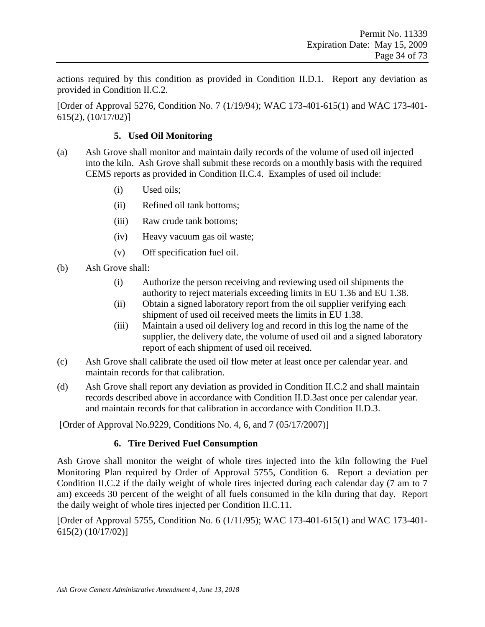actions required by this condition as provided in Condition II.D.1. Report any deviation as provided in Condition II.C.2.

[Order of Approval 5276, Condition No. 7 (1/19/94); WAC 173-401-615(1) and WAC 173-401- 615(2), (10/17/02)]

#### **5. Used Oil Monitoring**

- (a) Ash Grove shall monitor and maintain daily records of the volume of used oil injected into the kiln. Ash Grove shall submit these records on a monthly basis with the required CEMS reports as provided in Condition II.C.4. Examples of used oil include:
	- (i) Used oils;
	- (ii) Refined oil tank bottoms;
	- (iii) Raw crude tank bottoms;
	- (iv) Heavy vacuum gas oil waste;
	- (v) Off specification fuel oil.
- (b) Ash Grove shall:
	- (i) Authorize the person receiving and reviewing used oil shipments the authority to reject materials exceeding limits in EU 1.36 and EU 1.38.
	- (ii) Obtain a signed laboratory report from the oil supplier verifying each shipment of used oil received meets the limits in EU 1.38.
	- (iii) Maintain a used oil delivery log and record in this log the name of the supplier, the delivery date, the volume of used oil and a signed laboratory report of each shipment of used oil received.
- (c) Ash Grove shall calibrate the used oil flow meter at least once per calendar year. and maintain records for that calibration.
- (d) Ash Grove shall report any deviation as provided in Condition II.C.2 and shall maintain records described above in accordance with Condition II.D.3ast once per calendar year. and maintain records for that calibration in accordance with Condition II.D.3.

[Order of Approval No.9229, Conditions No. 4, 6, and 7 (05/17/2007)]

#### **6. Tire Derived Fuel Consumption**

Ash Grove shall monitor the weight of whole tires injected into the kiln following the Fuel Monitoring Plan required by Order of Approval 5755, Condition 6. Report a deviation per Condition II.C.2 if the daily weight of whole tires injected during each calendar day (7 am to 7 am) exceeds 30 percent of the weight of all fuels consumed in the kiln during that day. Report the daily weight of whole tires injected per Condition II.C.11.

[Order of Approval 5755, Condition No. 6 (1/11/95); WAC 173-401-615(1) and WAC 173-401- 615(2) (10/17/02)]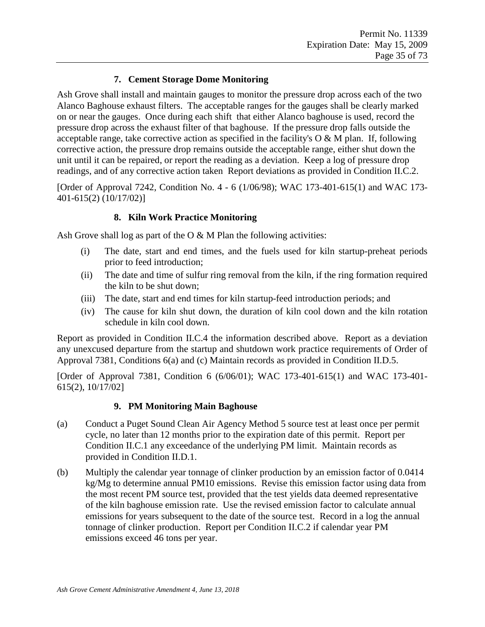## **7. Cement Storage Dome Monitoring**

Ash Grove shall install and maintain gauges to monitor the pressure drop across each of the two Alanco Baghouse exhaust filters. The acceptable ranges for the gauges shall be clearly marked on or near the gauges. Once during each shift that either Alanco baghouse is used, record the pressure drop across the exhaust filter of that baghouse. If the pressure drop falls outside the acceptable range, take corrective action as specified in the facility's  $O & M$  plan. If, following corrective action, the pressure drop remains outside the acceptable range, either shut down the unit until it can be repaired, or report the reading as a deviation. Keep a log of pressure drop readings, and of any corrective action taken Report deviations as provided in Condition II.C.2.

[Order of Approval 7242, Condition No. 4 - 6 (1/06/98); WAC 173-401-615(1) and WAC 173- 401-615(2) (10/17/02)]

#### **8. Kiln Work Practice Monitoring**

Ash Grove shall log as part of the  $O & M$  Plan the following activities:

- (i) The date, start and end times, and the fuels used for kiln startup-preheat periods prior to feed introduction;
- (ii) The date and time of sulfur ring removal from the kiln, if the ring formation required the kiln to be shut down;
- (iii) The date, start and end times for kiln startup-feed introduction periods; and
- (iv) The cause for kiln shut down, the duration of kiln cool down and the kiln rotation schedule in kiln cool down.

Report as provided in Condition II.C.4 the information described above. Report as a deviation any unexcused departure from the startup and shutdown work practice requirements of Order of Approval 7381, Conditions 6(a) and (c) Maintain records as provided in Condition II.D.5.

[Order of Approval 7381, Condition 6 (6/06/01); WAC 173-401-615(1) and WAC 173-401- 615(2), 10/17/02]

#### **9. PM Monitoring Main Baghouse**

- (a) Conduct a Puget Sound Clean Air Agency Method 5 source test at least once per permit cycle, no later than 12 months prior to the expiration date of this permit. Report per Condition II.C.1 any exceedance of the underlying PM limit. Maintain records as provided in Condition II.D.1.
- (b) Multiply the calendar year tonnage of clinker production by an emission factor of 0.0414 kg/Mg to determine annual PM10 emissions. Revise this emission factor using data from the most recent PM source test, provided that the test yields data deemed representative of the kiln baghouse emission rate. Use the revised emission factor to calculate annual emissions for years subsequent to the date of the source test. Record in a log the annual tonnage of clinker production. Report per Condition II.C.2 if calendar year PM emissions exceed 46 tons per year.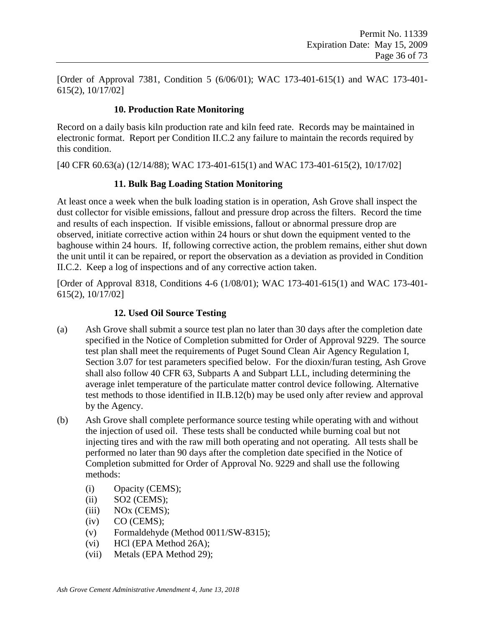[Order of Approval 7381, Condition 5 (6/06/01); WAC 173-401-615(1) and WAC 173-401- 615(2), 10/17/02]

## **10. Production Rate Monitoring**

Record on a daily basis kiln production rate and kiln feed rate. Records may be maintained in electronic format. Report per Condition II.C.2 any failure to maintain the records required by this condition.

[40 CFR 60.63(a) (12/14/88); WAC 173-401-615(1) and WAC 173-401-615(2), 10/17/02]

## **11. Bulk Bag Loading Station Monitoring**

At least once a week when the bulk loading station is in operation, Ash Grove shall inspect the dust collector for visible emissions, fallout and pressure drop across the filters. Record the time and results of each inspection. If visible emissions, fallout or abnormal pressure drop are observed, initiate corrective action within 24 hours or shut down the equipment vented to the baghouse within 24 hours. If, following corrective action, the problem remains, either shut down the unit until it can be repaired, or report the observation as a deviation as provided in Condition II.C.2. Keep a log of inspections and of any corrective action taken.

[Order of Approval 8318, Conditions 4-6 (1/08/01); WAC 173-401-615(1) and WAC 173-401- 615(2), 10/17/02]

## **12. Used Oil Source Testing**

- (a) Ash Grove shall submit a source test plan no later than 30 days after the completion date specified in the Notice of Completion submitted for Order of Approval 9229. The source test plan shall meet the requirements of Puget Sound Clean Air Agency Regulation I, Section 3.07 for test parameters specified below. For the dioxin/furan testing, Ash Grove shall also follow 40 CFR 63, Subparts A and Subpart LLL, including determining the average inlet temperature of the particulate matter control device following. Alternative test methods to those identified in II.B.12(b) may be used only after review and approval by the Agency.
- (b) Ash Grove shall complete performance source testing while operating with and without the injection of used oil. These tests shall be conducted while burning coal but not injecting tires and with the raw mill both operating and not operating. All tests shall be performed no later than 90 days after the completion date specified in the Notice of Completion submitted for Order of Approval No. 9229 and shall use the following methods:
	- (i) Opacity (CEMS);
	- $(ii)$  SO2 (CEMS);
	- (iii) NOx (CEMS);
	- $(iv)$  CO (CEMS);
	- (v) Formaldehyde (Method 0011/SW-8315);
	- (vi) HCl (EPA Method 26A);
	- (vii) Metals (EPA Method 29);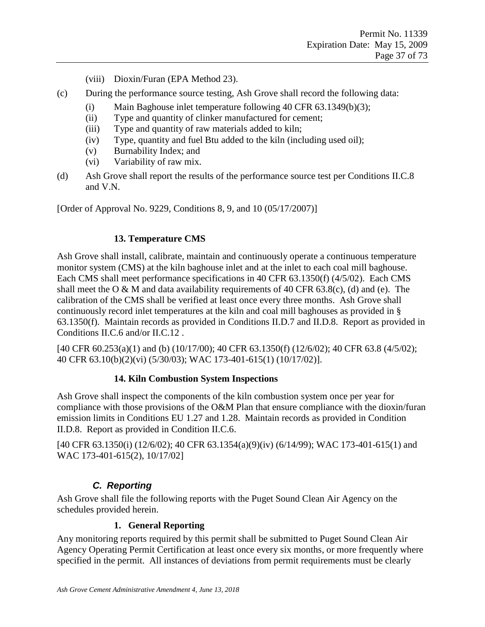- (viii) Dioxin/Furan (EPA Method 23).
- (c) During the performance source testing, Ash Grove shall record the following data:
	- (i) Main Baghouse inlet temperature following 40 CFR 63.1349(b)(3);
	- (ii) Type and quantity of clinker manufactured for cement;
	- (iii) Type and quantity of raw materials added to kiln;
	- (iv) Type, quantity and fuel Btu added to the kiln (including used oil);
	- (v) Burnability Index; and
	- (vi) Variability of raw mix.
- (d) Ash Grove shall report the results of the performance source test per Conditions II.C.8 and V.N.

[Order of Approval No. 9229, Conditions 8, 9, and 10 (05/17/2007)]

#### **13. Temperature CMS**

Ash Grove shall install, calibrate, maintain and continuously operate a continuous temperature monitor system (CMS) at the kiln baghouse inlet and at the inlet to each coal mill baghouse. Each CMS shall meet performance specifications in 40 CFR 63.1350(f) (4/5/02). Each CMS shall meet the O & M and data availability requirements of 40 CFR  $63.8(c)$ , (d) and (e). The calibration of the CMS shall be verified at least once every three months. Ash Grove shall continuously record inlet temperatures at the kiln and coal mill baghouses as provided in § 63.1350(f). Maintain records as provided in Conditions II.D.7 and II.D.8. Report as provided in Conditions II.C.6 and/or II.C.12 .

[40 CFR 60.253(a)(1) and (b) (10/17/00); 40 CFR 63.1350(f) (12/6/02); 40 CFR 63.8 (4/5/02); 40 CFR 63.10(b)(2)(vi) (5/30/03); WAC 173-401-615(1) (10/17/02)].

#### **14. Kiln Combustion System Inspections**

Ash Grove shall inspect the components of the kiln combustion system once per year for compliance with those provisions of the O&M Plan that ensure compliance with the dioxin/furan emission limits in Conditions EU 1.27 and 1.28. Maintain records as provided in Condition II.D.8. Report as provided in Condition II.C.6.

[40 CFR 63.1350(i) (12/6/02); 40 CFR 63.1354(a)(9)(iv) (6/14/99); WAC 173-401-615(1) and WAC 173-401-615(2), 10/17/02]

### *C. Reporting*

Ash Grove shall file the following reports with the Puget Sound Clean Air Agency on the schedules provided herein.

#### **1. General Reporting**

Any monitoring reports required by this permit shall be submitted to Puget Sound Clean Air Agency Operating Permit Certification at least once every six months, or more frequently where specified in the permit. All instances of deviations from permit requirements must be clearly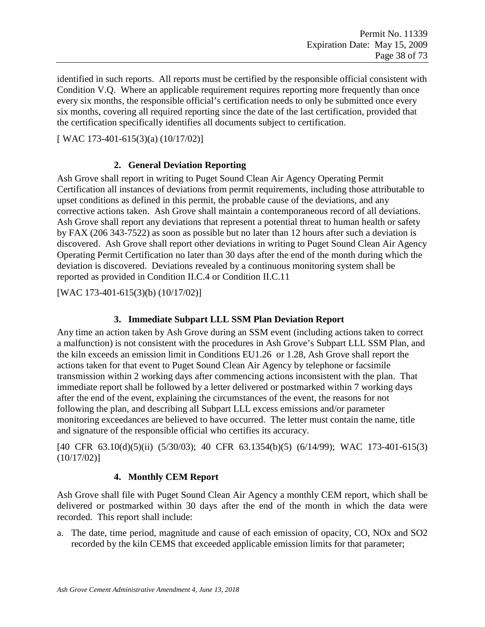identified in such reports. All reports must be certified by the responsible official consistent with Condition V.Q. Where an applicable requirement requires reporting more frequently than once every six months, the responsible official's certification needs to only be submitted once every six months, covering all required reporting since the date of the last certification, provided that the certification specifically identifies all documents subject to certification.

[ WAC 173-401-615(3)(a) (10/17/02)]

### **2. General Deviation Reporting**

Ash Grove shall report in writing to Puget Sound Clean Air Agency Operating Permit Certification all instances of deviations from permit requirements, including those attributable to upset conditions as defined in this permit, the probable cause of the deviations, and any corrective actions taken. Ash Grove shall maintain a contemporaneous record of all deviations. Ash Grove shall report any deviations that represent a potential threat to human health or safety by FAX (206 343-7522) as soon as possible but no later than 12 hours after such a deviation is discovered. Ash Grove shall report other deviations in writing to Puget Sound Clean Air Agency Operating Permit Certification no later than 30 days after the end of the month during which the deviation is discovered. Deviations revealed by a continuous monitoring system shall be reported as provided in Condition II.C.4 or Condition II.C.11

[WAC 173-401-615(3)(b) (10/17/02)]

### **3. Immediate Subpart LLL SSM Plan Deviation Report**

Any time an action taken by Ash Grove during an SSM event (including actions taken to correct a malfunction) is not consistent with the procedures in Ash Grove's Subpart LLL SSM Plan, and the kiln exceeds an emission limit in Conditions EU1.26 or 1.28, Ash Grove shall report the actions taken for that event to Puget Sound Clean Air Agency by telephone or facsimile transmission within 2 working days after commencing actions inconsistent with the plan. That immediate report shall be followed by a letter delivered or postmarked within 7 working days after the end of the event, explaining the circumstances of the event, the reasons for not following the plan, and describing all Subpart LLL excess emissions and/or parameter monitoring exceedances are believed to have occurred. The letter must contain the name, title and signature of the responsible official who certifies its accuracy.

[40 CFR 63.10(d)(5)(ii) (5/30/03); 40 CFR 63.1354(b)(5) (6/14/99); WAC 173-401-615(3) (10/17/02)]

### **4. Monthly CEM Report**

Ash Grove shall file with Puget Sound Clean Air Agency a monthly CEM report, which shall be delivered or postmarked within 30 days after the end of the month in which the data were recorded. This report shall include:

a. The date, time period, magnitude and cause of each emission of opacity, CO, NOx and SO2 recorded by the kiln CEMS that exceeded applicable emission limits for that parameter;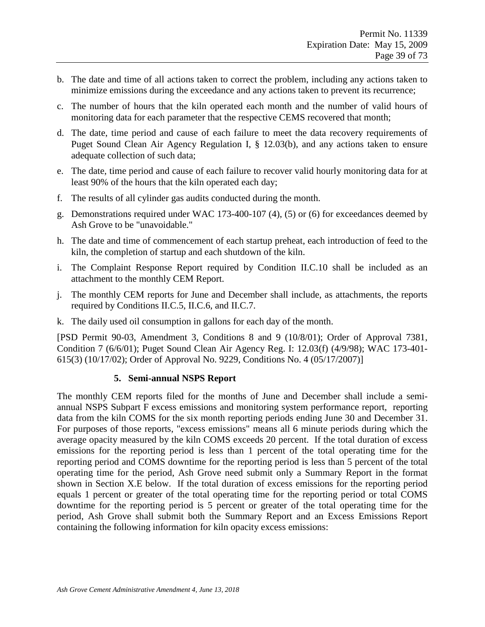- b. The date and time of all actions taken to correct the problem, including any actions taken to minimize emissions during the exceedance and any actions taken to prevent its recurrence;
- c. The number of hours that the kiln operated each month and the number of valid hours of monitoring data for each parameter that the respective CEMS recovered that month;
- d. The date, time period and cause of each failure to meet the data recovery requirements of Puget Sound Clean Air Agency Regulation I, § 12.03(b), and any actions taken to ensure adequate collection of such data;
- e. The date, time period and cause of each failure to recover valid hourly monitoring data for at least 90% of the hours that the kiln operated each day;
- f. The results of all cylinder gas audits conducted during the month.
- g. Demonstrations required under WAC 173-400-107 (4), (5) or (6) for exceedances deemed by Ash Grove to be "unavoidable."
- h. The date and time of commencement of each startup preheat, each introduction of feed to the kiln, the completion of startup and each shutdown of the kiln.
- i. The Complaint Response Report required by Condition II.C.10 shall be included as an attachment to the monthly CEM Report.
- j. The monthly CEM reports for June and December shall include, as attachments, the reports required by Conditions II.C.5, II.C.6, and II.C.7.
- k. The daily used oil consumption in gallons for each day of the month.

[PSD Permit 90-03, Amendment 3, Conditions 8 and 9 (10/8/01); Order of Approval 7381, Condition 7 (6/6/01); Puget Sound Clean Air Agency Reg. I: 12.03(f) (4/9/98); WAC 173-401- 615(3) (10/17/02); Order of Approval No. 9229, Conditions No. 4 (05/17/2007)]

#### **5. Semi-annual NSPS Report**

The monthly CEM reports filed for the months of June and December shall include a semiannual NSPS Subpart F excess emissions and monitoring system performance report, reporting data from the kiln COMS for the six month reporting periods ending June 30 and December 31. For purposes of those reports, "excess emissions" means all 6 minute periods during which the average opacity measured by the kiln COMS exceeds 20 percent. If the total duration of excess emissions for the reporting period is less than 1 percent of the total operating time for the reporting period and COMS downtime for the reporting period is less than 5 percent of the total operating time for the period, Ash Grove need submit only a Summary Report in the format shown in Section X.E below. If the total duration of excess emissions for the reporting period equals 1 percent or greater of the total operating time for the reporting period or total COMS downtime for the reporting period is 5 percent or greater of the total operating time for the period, Ash Grove shall submit both the Summary Report and an Excess Emissions Report containing the following information for kiln opacity excess emissions: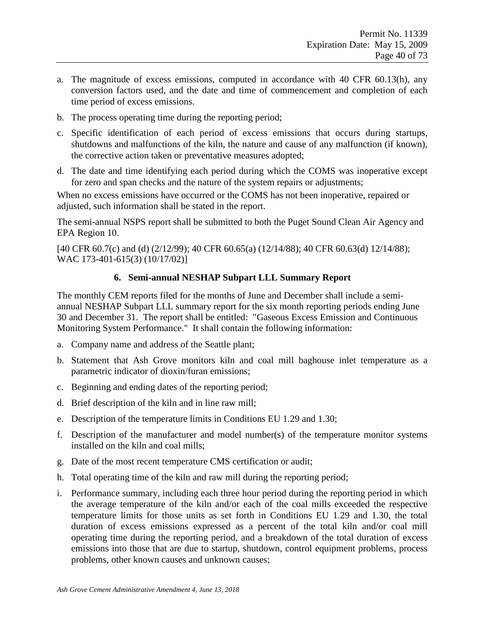- a. The magnitude of excess emissions, computed in accordance with 40 CFR 60.13(h), any conversion factors used, and the date and time of commencement and completion of each time period of excess emissions.
- b. The process operating time during the reporting period;
- c. Specific identification of each period of excess emissions that occurs during startups, shutdowns and malfunctions of the kiln, the nature and cause of any malfunction (if known), the corrective action taken or preventative measures adopted;
- d. The date and time identifying each period during which the COMS was inoperative except for zero and span checks and the nature of the system repairs or adjustments;

When no excess emissions have occurred or the COMS has not been inoperative, repaired or adjusted, such information shall be stated in the report.

The semi-annual NSPS report shall be submitted to both the Puget Sound Clean Air Agency and EPA Region 10.

[40 CFR 60.7(c) and (d) (2/12/99); 40 CFR 60.65(a) (12/14/88); 40 CFR 60.63(d) 12/14/88); WAC 173-401-615(3) (10/17/02)]

#### **6. Semi-annual NESHAP Subpart LLL Summary Report**

The monthly CEM reports filed for the months of June and December shall include a semiannual NESHAP Subpart LLL summary report for the six month reporting periods ending June 30 and December 31. The report shall be entitled: "Gaseous Excess Emission and Continuous Monitoring System Performance." It shall contain the following information:

- a. Company name and address of the Seattle plant;
- b. Statement that Ash Grove monitors kiln and coal mill baghouse inlet temperature as a parametric indicator of dioxin/furan emissions;
- c. Beginning and ending dates of the reporting period;
- d. Brief description of the kiln and in line raw mill;
- e. Description of the temperature limits in Conditions EU 1.29 and 1.30;
- f. Description of the manufacturer and model number(s) of the temperature monitor systems installed on the kiln and coal mills;
- g. Date of the most recent temperature CMS certification or audit;
- h. Total operating time of the kiln and raw mill during the reporting period;
- i. Performance summary, including each three hour period during the reporting period in which the average temperature of the kiln and/or each of the coal mills exceeded the respective temperature limits for those units as set forth in Conditions EU 1.29 and 1.30, the total duration of excess emissions expressed as a percent of the total kiln and/or coal mill operating time during the reporting period, and a breakdown of the total duration of excess emissions into those that are due to startup, shutdown, control equipment problems, process problems, other known causes and unknown causes;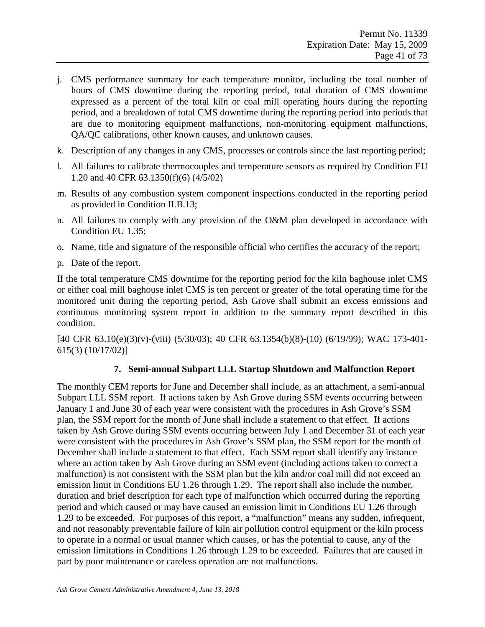- j. CMS performance summary for each temperature monitor, including the total number of hours of CMS downtime during the reporting period, total duration of CMS downtime expressed as a percent of the total kiln or coal mill operating hours during the reporting period, and a breakdown of total CMS downtime during the reporting period into periods that are due to monitoring equipment malfunctions, non-monitoring equipment malfunctions, QA/QC calibrations, other known causes, and unknown causes.
- k. Description of any changes in any CMS, processes or controls since the last reporting period;
- l. All failures to calibrate thermocouples and temperature sensors as required by Condition EU 1.20 and 40 CFR 63.1350(f)(6) (4/5/02)
- m. Results of any combustion system component inspections conducted in the reporting period as provided in Condition II.B.13;
- n. All failures to comply with any provision of the O&M plan developed in accordance with Condition EU 1.35;
- o. Name, title and signature of the responsible official who certifies the accuracy of the report;
- p. Date of the report.

If the total temperature CMS downtime for the reporting period for the kiln baghouse inlet CMS or either coal mill baghouse inlet CMS is ten percent or greater of the total operating time for the monitored unit during the reporting period, Ash Grove shall submit an excess emissions and continuous monitoring system report in addition to the summary report described in this condition.

[40 CFR 63.10(e)(3)(v)-(viii) (5/30/03); 40 CFR 63.1354(b)(8)-(10) (6/19/99); WAC 173-401- 615(3) (10/17/02)]

#### **7. Semi-annual Subpart LLL Startup Shutdown and Malfunction Report**

The monthly CEM reports for June and December shall include, as an attachment, a semi-annual Subpart LLL SSM report. If actions taken by Ash Grove during SSM events occurring between January 1 and June 30 of each year were consistent with the procedures in Ash Grove's SSM plan, the SSM report for the month of June shall include a statement to that effect. If actions taken by Ash Grove during SSM events occurring between July 1 and December 31 of each year were consistent with the procedures in Ash Grove's SSM plan, the SSM report for the month of December shall include a statement to that effect. Each SSM report shall identify any instance where an action taken by Ash Grove during an SSM event (including actions taken to correct a malfunction) is not consistent with the SSM plan but the kiln and/or coal mill did not exceed an emission limit in Conditions EU 1.26 through 1.29. The report shall also include the number, duration and brief description for each type of malfunction which occurred during the reporting period and which caused or may have caused an emission limit in Conditions EU 1.26 through 1.29 to be exceeded. For purposes of this report, a "malfunction" means any sudden, infrequent, and not reasonably preventable failure of kiln air pollution control equipment or the kiln process to operate in a normal or usual manner which causes, or has the potential to cause, any of the emission limitations in Conditions 1.26 through 1.29 to be exceeded. Failures that are caused in part by poor maintenance or careless operation are not malfunctions.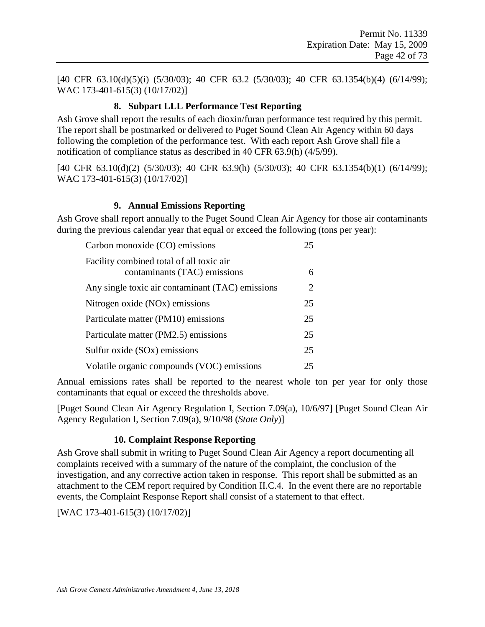[40 CFR 63.10(d)(5)(i) (5/30/03); 40 CFR 63.2 (5/30/03); 40 CFR 63.1354(b)(4) (6/14/99); WAC 173-401-615(3) (10/17/02)]

#### **8. Subpart LLL Performance Test Reporting**

Ash Grove shall report the results of each dioxin/furan performance test required by this permit. The report shall be postmarked or delivered to Puget Sound Clean Air Agency within 60 days following the completion of the performance test. With each report Ash Grove shall file a notification of compliance status as described in 40 CFR 63.9(h) (4/5/99).

[40 CFR 63.10(d)(2) (5/30/03); 40 CFR 63.9(h) (5/30/03); 40 CFR 63.1354(b)(1) (6/14/99); WAC 173-401-615(3) (10/17/02)]

### **9. Annual Emissions Reporting**

Ash Grove shall report annually to the Puget Sound Clean Air Agency for those air contaminants during the previous calendar year that equal or exceed the following (tons per year):

| Carbon monoxide (CO) emissions                                           | 25 |
|--------------------------------------------------------------------------|----|
| Facility combined total of all toxic air<br>contaminants (TAC) emissions | 6  |
| Any single toxic air contaminant (TAC) emissions                         | 2  |
| Nitrogen oxide (NO <sub>x</sub> ) emissions                              | 25 |
| Particulate matter (PM10) emissions                                      | 25 |
| Particulate matter (PM2.5) emissions                                     | 25 |
| Sulfur oxide (SOx) emissions                                             | 25 |
| Volatile organic compounds (VOC) emissions                               | 25 |

Annual emissions rates shall be reported to the nearest whole ton per year for only those contaminants that equal or exceed the thresholds above.

[Puget Sound Clean Air Agency Regulation I, Section 7.09(a), 10/6/97] [Puget Sound Clean Air Agency Regulation I, Section 7.09(a), 9/10/98 (*State Only*)]

#### **10. Complaint Response Reporting**

Ash Grove shall submit in writing to Puget Sound Clean Air Agency a report documenting all complaints received with a summary of the nature of the complaint, the conclusion of the investigation, and any corrective action taken in response. This report shall be submitted as an attachment to the CEM report required by Condition II.C.4. In the event there are no reportable events, the Complaint Response Report shall consist of a statement to that effect.

[WAC 173-401-615(3) (10/17/02)]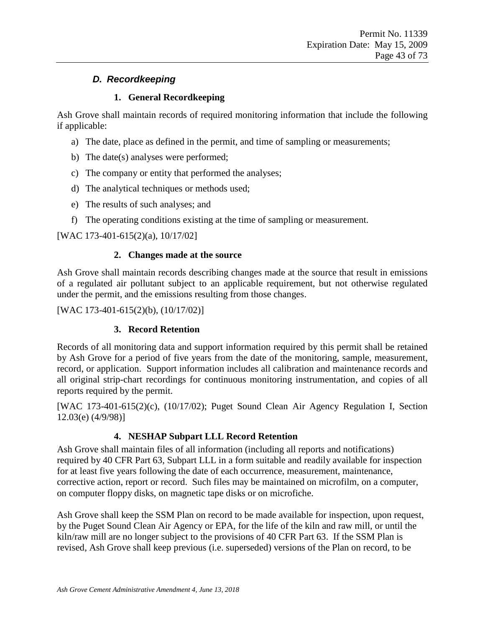## *D. Recordkeeping*

### **1. General Recordkeeping**

Ash Grove shall maintain records of required monitoring information that include the following if applicable:

- a) The date, place as defined in the permit, and time of sampling or measurements;
- b) The date(s) analyses were performed;
- c) The company or entity that performed the analyses;
- d) The analytical techniques or methods used;
- e) The results of such analyses; and
- f) The operating conditions existing at the time of sampling or measurement.

[WAC 173-401-615(2)(a), 10/17/02]

### **2. Changes made at the source**

Ash Grove shall maintain records describing changes made at the source that result in emissions of a regulated air pollutant subject to an applicable requirement, but not otherwise regulated under the permit, and the emissions resulting from those changes.

[WAC 173-401-615(2)(b), (10/17/02)]

## **3. Record Retention**

Records of all monitoring data and support information required by this permit shall be retained by Ash Grove for a period of five years from the date of the monitoring, sample, measurement, record, or application. Support information includes all calibration and maintenance records and all original strip-chart recordings for continuous monitoring instrumentation, and copies of all reports required by the permit.

[WAC 173-401-615(2)(c), (10/17/02); Puget Sound Clean Air Agency Regulation I, Section 12.03(e) (4/9/98)]

## **4. NESHAP Subpart LLL Record Retention**

Ash Grove shall maintain files of all information (including all reports and notifications) required by 40 CFR Part 63, Subpart LLL in a form suitable and readily available for inspection for at least five years following the date of each occurrence, measurement, maintenance, corrective action, report or record. Such files may be maintained on microfilm, on a computer, on computer floppy disks, on magnetic tape disks or on microfiche.

Ash Grove shall keep the SSM Plan on record to be made available for inspection, upon request, by the Puget Sound Clean Air Agency or EPA, for the life of the kiln and raw mill, or until the kiln/raw mill are no longer subject to the provisions of 40 CFR Part 63. If the SSM Plan is revised, Ash Grove shall keep previous (i.e. superseded) versions of the Plan on record, to be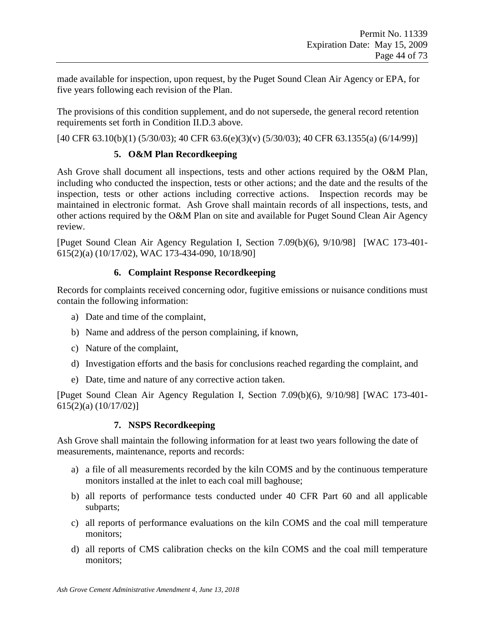made available for inspection, upon request, by the Puget Sound Clean Air Agency or EPA, for five years following each revision of the Plan.

The provisions of this condition supplement, and do not supersede, the general record retention requirements set forth in Condition II.D.3 above.

[40 CFR 63.10(b)(1) (5/30/03); 40 CFR 63.6(e)(3)(v) (5/30/03); 40 CFR 63.1355(a) (6/14/99)]

### **5. O&M Plan Recordkeeping**

Ash Grove shall document all inspections, tests and other actions required by the O&M Plan, including who conducted the inspection, tests or other actions; and the date and the results of the inspection, tests or other actions including corrective actions. Inspection records may be maintained in electronic format. Ash Grove shall maintain records of all inspections, tests, and other actions required by the O&M Plan on site and available for Puget Sound Clean Air Agency review.

[Puget Sound Clean Air Agency Regulation I, Section 7.09(b)(6), 9/10/98] [WAC 173-401- 615(2)(a) (10/17/02), WAC 173-434-090, 10/18/90]

### **6. Complaint Response Recordkeeping**

Records for complaints received concerning odor, fugitive emissions or nuisance conditions must contain the following information:

- a) Date and time of the complaint,
- b) Name and address of the person complaining, if known,
- c) Nature of the complaint,
- d) Investigation efforts and the basis for conclusions reached regarding the complaint, and
- e) Date, time and nature of any corrective action taken.

[Puget Sound Clean Air Agency Regulation I, Section 7.09(b)(6), 9/10/98] [WAC 173-401- 615(2)(a) (10/17/02)]

#### **7. NSPS Recordkeeping**

Ash Grove shall maintain the following information for at least two years following the date of measurements, maintenance, reports and records:

- a) a file of all measurements recorded by the kiln COMS and by the continuous temperature monitors installed at the inlet to each coal mill baghouse;
- b) all reports of performance tests conducted under 40 CFR Part 60 and all applicable subparts;
- c) all reports of performance evaluations on the kiln COMS and the coal mill temperature monitors;
- d) all reports of CMS calibration checks on the kiln COMS and the coal mill temperature monitors;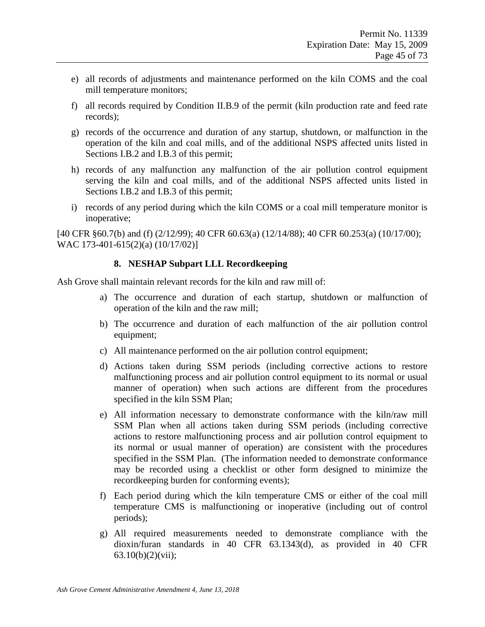- e) all records of adjustments and maintenance performed on the kiln COMS and the coal mill temperature monitors;
- f) all records required by Condition II.B.9 of the permit (kiln production rate and feed rate records);
- g) records of the occurrence and duration of any startup, shutdown, or malfunction in the operation of the kiln and coal mills, and of the additional NSPS affected units listed in Sections I.B.2 and I.B.3 of this permit;
- h) records of any malfunction any malfunction of the air pollution control equipment serving the kiln and coal mills, and of the additional NSPS affected units listed in Sections I.B.2 and I.B.3 of this permit;
- i) records of any period during which the kiln COMS or a coal mill temperature monitor is inoperative;

[40 CFR §60.7(b) and (f) (2/12/99); 40 CFR 60.63(a) (12/14/88); 40 CFR 60.253(a) (10/17/00); WAC 173-401-615(2)(a) (10/17/02)]

#### **8. NESHAP Subpart LLL Recordkeeping**

Ash Grove shall maintain relevant records for the kiln and raw mill of:

- a) The occurrence and duration of each startup, shutdown or malfunction of operation of the kiln and the raw mill;
- b) The occurrence and duration of each malfunction of the air pollution control equipment;
- c) All maintenance performed on the air pollution control equipment;
- d) Actions taken during SSM periods (including corrective actions to restore malfunctioning process and air pollution control equipment to its normal or usual manner of operation) when such actions are different from the procedures specified in the kiln SSM Plan;
- e) All information necessary to demonstrate conformance with the kiln/raw mill SSM Plan when all actions taken during SSM periods (including corrective actions to restore malfunctioning process and air pollution control equipment to its normal or usual manner of operation) are consistent with the procedures specified in the SSM Plan. (The information needed to demonstrate conformance may be recorded using a checklist or other form designed to minimize the recordkeeping burden for conforming events);
- f) Each period during which the kiln temperature CMS or either of the coal mill temperature CMS is malfunctioning or inoperative (including out of control periods);
- g) All required measurements needed to demonstrate compliance with the dioxin/furan standards in 40 CFR 63.1343(d), as provided in 40 CFR 63.10(b)(2)(vii);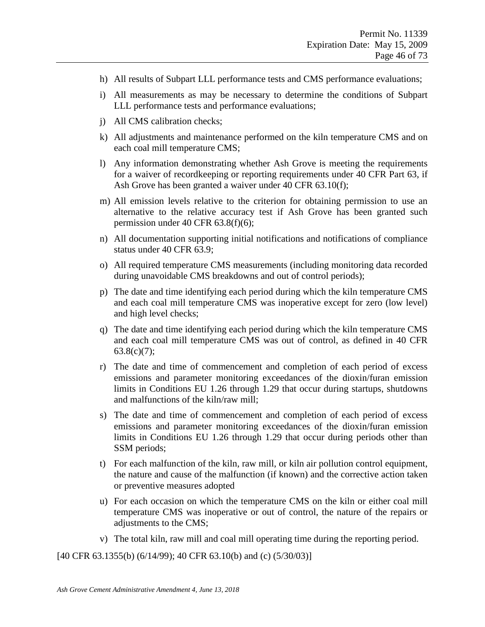- h) All results of Subpart LLL performance tests and CMS performance evaluations;
- i) All measurements as may be necessary to determine the conditions of Subpart LLL performance tests and performance evaluations;
- j) All CMS calibration checks;
- k) All adjustments and maintenance performed on the kiln temperature CMS and on each coal mill temperature CMS;
- l) Any information demonstrating whether Ash Grove is meeting the requirements for a waiver of recordkeeping or reporting requirements under 40 CFR Part 63, if Ash Grove has been granted a waiver under 40 CFR 63.10(f);
- m) All emission levels relative to the criterion for obtaining permission to use an alternative to the relative accuracy test if Ash Grove has been granted such permission under 40 CFR 63.8(f)(6);
- n) All documentation supporting initial notifications and notifications of compliance status under 40 CFR 63.9;
- o) All required temperature CMS measurements (including monitoring data recorded during unavoidable CMS breakdowns and out of control periods);
- p) The date and time identifying each period during which the kiln temperature CMS and each coal mill temperature CMS was inoperative except for zero (low level) and high level checks;
- q) The date and time identifying each period during which the kiln temperature CMS and each coal mill temperature CMS was out of control, as defined in 40 CFR  $63.8(c)(7);$
- r) The date and time of commencement and completion of each period of excess emissions and parameter monitoring exceedances of the dioxin/furan emission limits in Conditions EU 1.26 through 1.29 that occur during startups, shutdowns and malfunctions of the kiln/raw mill;
- s) The date and time of commencement and completion of each period of excess emissions and parameter monitoring exceedances of the dioxin/furan emission limits in Conditions EU 1.26 through 1.29 that occur during periods other than SSM periods;
- t) For each malfunction of the kiln, raw mill, or kiln air pollution control equipment, the nature and cause of the malfunction (if known) and the corrective action taken or preventive measures adopted
- u) For each occasion on which the temperature CMS on the kiln or either coal mill temperature CMS was inoperative or out of control, the nature of the repairs or adjustments to the CMS;
- v) The total kiln, raw mill and coal mill operating time during the reporting period.

[40 CFR 63.1355(b) (6/14/99); 40 CFR 63.10(b) and (c)  $(5/30/03)$ ]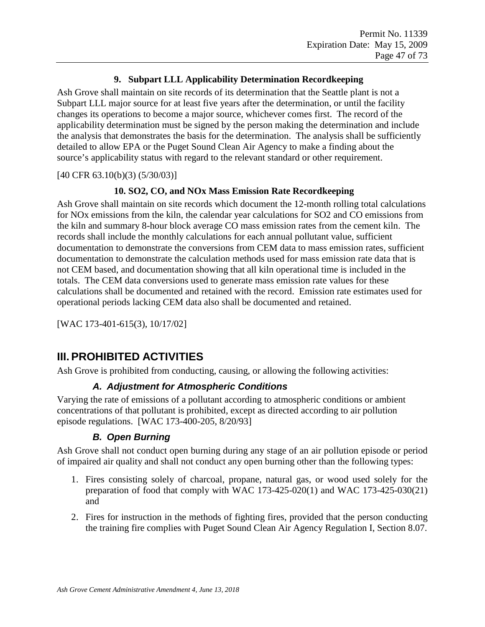### **9. Subpart LLL Applicability Determination Recordkeeping**

Ash Grove shall maintain on site records of its determination that the Seattle plant is not a Subpart LLL major source for at least five years after the determination, or until the facility changes its operations to become a major source, whichever comes first. The record of the applicability determination must be signed by the person making the determination and include the analysis that demonstrates the basis for the determination. The analysis shall be sufficiently detailed to allow EPA or the Puget Sound Clean Air Agency to make a finding about the source's applicability status with regard to the relevant standard or other requirement.

[40 CFR 63.10(b)(3) (5/30/03)]

### **10. SO2, CO, and NOx Mass Emission Rate Recordkeeping**

Ash Grove shall maintain on site records which document the 12-month rolling total calculations for NOx emissions from the kiln, the calendar year calculations for SO2 and CO emissions from the kiln and summary 8-hour block average CO mass emission rates from the cement kiln. The records shall include the monthly calculations for each annual pollutant value, sufficient documentation to demonstrate the conversions from CEM data to mass emission rates, sufficient documentation to demonstrate the calculation methods used for mass emission rate data that is not CEM based, and documentation showing that all kiln operational time is included in the totals. The CEM data conversions used to generate mass emission rate values for these calculations shall be documented and retained with the record. Emission rate estimates used for operational periods lacking CEM data also shall be documented and retained.

[WAC 173-401-615(3), 10/17/02]

# **III.PROHIBITED ACTIVITIES**

Ash Grove is prohibited from conducting, causing, or allowing the following activities:

### *A. Adjustment for Atmospheric Conditions*

Varying the rate of emissions of a pollutant according to atmospheric conditions or ambient concentrations of that pollutant is prohibited, except as directed according to air pollution episode regulations. [WAC 173-400-205, 8/20/93]

### *B. Open Burning*

Ash Grove shall not conduct open burning during any stage of an air pollution episode or period of impaired air quality and shall not conduct any open burning other than the following types:

- 1. Fires consisting solely of charcoal, propane, natural gas, or wood used solely for the preparation of food that comply with WAC  $173-425-020(1)$  and WAC  $173-425-030(21)$ and
- 2. Fires for instruction in the methods of fighting fires, provided that the person conducting the training fire complies with Puget Sound Clean Air Agency Regulation I, Section 8.07.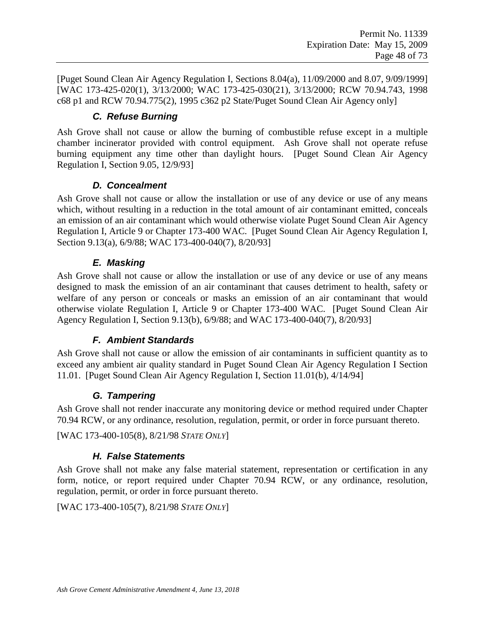[Puget Sound Clean Air Agency Regulation I, Sections 8.04(a), 11/09/2000 and 8.07, 9/09/1999] [WAC 173-425-020(1), 3/13/2000; WAC 173-425-030(21), 3/13/2000; RCW 70.94.743, 1998 c68 p1 and RCW 70.94.775(2), 1995 c362 p2 State/Puget Sound Clean Air Agency only]

## *C. Refuse Burning*

Ash Grove shall not cause or allow the burning of combustible refuse except in a multiple chamber incinerator provided with control equipment. Ash Grove shall not operate refuse burning equipment any time other than daylight hours. [Puget Sound Clean Air Agency Regulation I, Section 9.05, 12/9/93]

### *D. Concealment*

Ash Grove shall not cause or allow the installation or use of any device or use of any means which, without resulting in a reduction in the total amount of air contaminant emitted, conceals an emission of an air contaminant which would otherwise violate Puget Sound Clean Air Agency Regulation I, Article 9 or Chapter 173-400 WAC. [Puget Sound Clean Air Agency Regulation I, Section 9.13(a), 6/9/88; WAC 173-400-040(7), 8/20/93]

### *E. Masking*

Ash Grove shall not cause or allow the installation or use of any device or use of any means designed to mask the emission of an air contaminant that causes detriment to health, safety or welfare of any person or conceals or masks an emission of an air contaminant that would otherwise violate Regulation I, Article 9 or Chapter 173-400 WAC. [Puget Sound Clean Air Agency Regulation I, Section 9.13(b), 6/9/88; and WAC 173-400-040(7), 8/20/93]

### *F. Ambient Standards*

Ash Grove shall not cause or allow the emission of air contaminants in sufficient quantity as to exceed any ambient air quality standard in Puget Sound Clean Air Agency Regulation I Section 11.01. [Puget Sound Clean Air Agency Regulation I, Section 11.01(b), 4/14/94]

#### *G. Tampering*

Ash Grove shall not render inaccurate any monitoring device or method required under Chapter 70.94 RCW, or any ordinance, resolution, regulation, permit, or order in force pursuant thereto.

[WAC 173-400-105(8), 8/21/98 *STATE ONLY*]

### *H. False Statements*

Ash Grove shall not make any false material statement, representation or certification in any form, notice, or report required under Chapter 70.94 RCW, or any ordinance, resolution, regulation, permit, or order in force pursuant thereto.

[WAC 173-400-105(7), 8/21/98 *STATE ONLY*]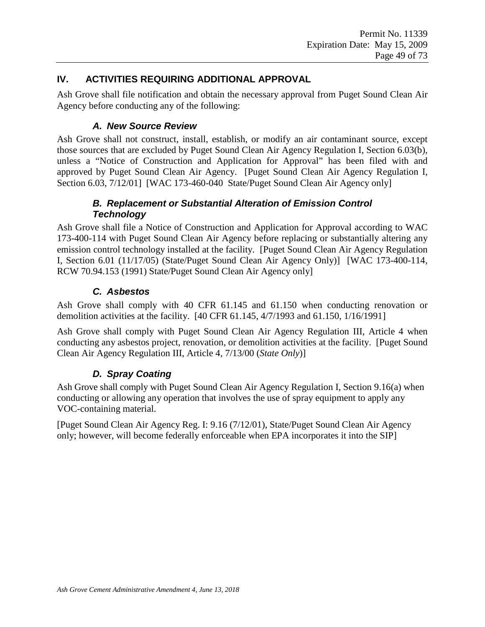#### **IV. ACTIVITIES REQUIRING ADDITIONAL APPROVAL**

Ash Grove shall file notification and obtain the necessary approval from Puget Sound Clean Air Agency before conducting any of the following:

### *A. New Source Review*

Ash Grove shall not construct, install, establish, or modify an air contaminant source, except those sources that are excluded by Puget Sound Clean Air Agency Regulation I, Section 6.03(b), unless a "Notice of Construction and Application for Approval" has been filed with and approved by Puget Sound Clean Air Agency. [Puget Sound Clean Air Agency Regulation I, Section 6.03, 7/12/01] [WAC 173-460-040 State/Puget Sound Clean Air Agency only]

### *B. Replacement or Substantial Alteration of Emission Control Technology*

Ash Grove shall file a Notice of Construction and Application for Approval according to WAC 173-400-114 with Puget Sound Clean Air Agency before replacing or substantially altering any emission control technology installed at the facility. [Puget Sound Clean Air Agency Regulation I, Section 6.01 (11/17/05) (State/Puget Sound Clean Air Agency Only)] [WAC 173-400-114, RCW 70.94.153 (1991) State/Puget Sound Clean Air Agency only]

### *C. Asbestos*

Ash Grove shall comply with 40 CFR 61.145 and 61.150 when conducting renovation or demolition activities at the facility. [40 CFR 61.145, 4/7/1993 and 61.150, 1/16/1991]

Ash Grove shall comply with Puget Sound Clean Air Agency Regulation III, Article 4 when conducting any asbestos project, renovation, or demolition activities at the facility. [Puget Sound Clean Air Agency Regulation III, Article 4, 7/13/00 (*State Only*)]

## *D. Spray Coating*

Ash Grove shall comply with Puget Sound Clean Air Agency Regulation I, Section 9.16(a) when conducting or allowing any operation that involves the use of spray equipment to apply any VOC-containing material.

[Puget Sound Clean Air Agency Reg. I: 9.16 (7/12/01), State/Puget Sound Clean Air Agency only; however, will become federally enforceable when EPA incorporates it into the SIP]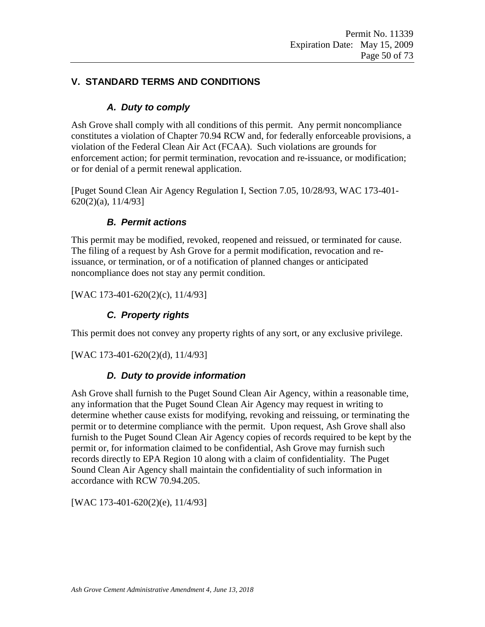### **V. STANDARD TERMS AND CONDITIONS**

### *A. Duty to comply*

Ash Grove shall comply with all conditions of this permit. Any permit noncompliance constitutes a violation of Chapter 70.94 RCW and, for federally enforceable provisions, a violation of the Federal Clean Air Act (FCAA). Such violations are grounds for enforcement action; for permit termination, revocation and re-issuance, or modification; or for denial of a permit renewal application.

[Puget Sound Clean Air Agency Regulation I, Section 7.05, 10/28/93, WAC 173-401- 620(2)(a), 11/4/93]

### *B. Permit actions*

This permit may be modified, revoked, reopened and reissued, or terminated for cause. The filing of a request by Ash Grove for a permit modification, revocation and reissuance, or termination, or of a notification of planned changes or anticipated noncompliance does not stay any permit condition.

[WAC 173-401-620(2)(c), 11/4/93]

## *C. Property rights*

This permit does not convey any property rights of any sort, or any exclusive privilege.

[WAC 173-401-620(2)(d), 11/4/93]

### *D. Duty to provide information*

Ash Grove shall furnish to the Puget Sound Clean Air Agency, within a reasonable time, any information that the Puget Sound Clean Air Agency may request in writing to determine whether cause exists for modifying, revoking and reissuing, or terminating the permit or to determine compliance with the permit. Upon request, Ash Grove shall also furnish to the Puget Sound Clean Air Agency copies of records required to be kept by the permit or, for information claimed to be confidential, Ash Grove may furnish such records directly to EPA Region 10 along with a claim of confidentiality. The Puget Sound Clean Air Agency shall maintain the confidentiality of such information in accordance with RCW 70.94.205.

[WAC 173-401-620(2)(e), 11/4/93]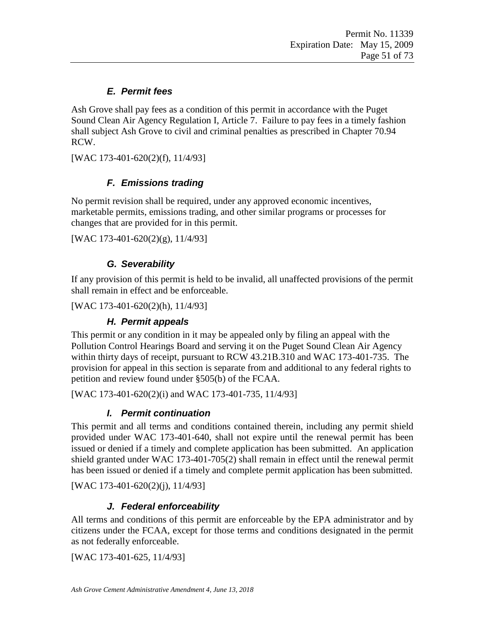## *E. Permit fees*

Ash Grove shall pay fees as a condition of this permit in accordance with the Puget Sound Clean Air Agency Regulation I, Article 7. Failure to pay fees in a timely fashion shall subject Ash Grove to civil and criminal penalties as prescribed in Chapter 70.94 RCW.

[WAC 173-401-620(2)(f), 11/4/93]

## *F. Emissions trading*

No permit revision shall be required, under any approved economic incentives, marketable permits, emissions trading, and other similar programs or processes for changes that are provided for in this permit.

[WAC 173-401-620(2)(g), 11/4/93]

### *G. Severability*

If any provision of this permit is held to be invalid, all unaffected provisions of the permit shall remain in effect and be enforceable.

[WAC 173-401-620(2)(h), 11/4/93]

### *H. Permit appeals*

This permit or any condition in it may be appealed only by filing an appeal with the Pollution Control Hearings Board and serving it on the Puget Sound Clean Air Agency within thirty days of receipt, pursuant to RCW 43.21B.310 and WAC 173-401-735. The provision for appeal in this section is separate from and additional to any federal rights to petition and review found under §505(b) of the FCAA.

[WAC 173-401-620(2)(i) and WAC 173-401-735, 11/4/93]

## *I. Permit continuation*

This permit and all terms and conditions contained therein, including any permit shield provided under WAC 173-401-640, shall not expire until the renewal permit has been issued or denied if a timely and complete application has been submitted. An application shield granted under WAC 173-401-705(2) shall remain in effect until the renewal permit has been issued or denied if a timely and complete permit application has been submitted.

[WAC 173-401-620(2)(j), 11/4/93]

## *J. Federal enforceability*

All terms and conditions of this permit are enforceable by the EPA administrator and by citizens under the FCAA, except for those terms and conditions designated in the permit as not federally enforceable.

[WAC 173-401-625, 11/4/93]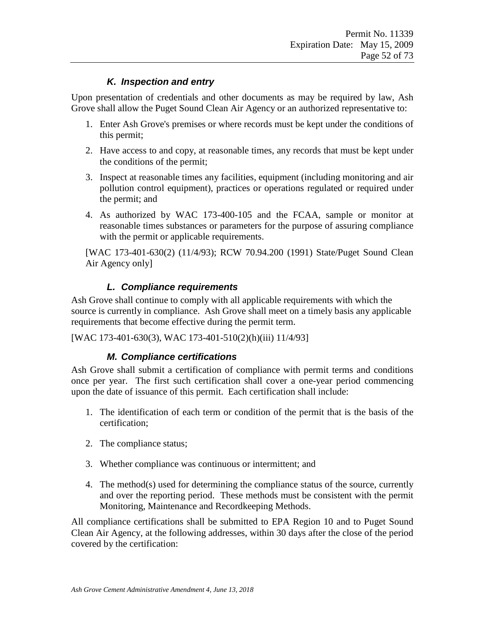### *K. Inspection and entry*

Upon presentation of credentials and other documents as may be required by law, Ash Grove shall allow the Puget Sound Clean Air Agency or an authorized representative to:

- 1. Enter Ash Grove's premises or where records must be kept under the conditions of this permit;
- 2. Have access to and copy, at reasonable times, any records that must be kept under the conditions of the permit;
- 3. Inspect at reasonable times any facilities, equipment (including monitoring and air pollution control equipment), practices or operations regulated or required under the permit; and
- 4. As authorized by WAC 173-400-105 and the FCAA, sample or monitor at reasonable times substances or parameters for the purpose of assuring compliance with the permit or applicable requirements.

[WAC 173-401-630(2) (11/4/93); RCW 70.94.200 (1991) State/Puget Sound Clean Air Agency only]

### *L. Compliance requirements*

Ash Grove shall continue to comply with all applicable requirements with which the source is currently in compliance. Ash Grove shall meet on a timely basis any applicable requirements that become effective during the permit term.

[WAC 173-401-630(3), WAC 173-401-510(2)(h)(iii) 11/4/93]

### *M. Compliance certifications*

Ash Grove shall submit a certification of compliance with permit terms and conditions once per year. The first such certification shall cover a one-year period commencing upon the date of issuance of this permit. Each certification shall include:

- 1. The identification of each term or condition of the permit that is the basis of the certification;
- 2. The compliance status;
- 3. Whether compliance was continuous or intermittent; and
- 4. The method(s) used for determining the compliance status of the source, currently and over the reporting period. These methods must be consistent with the permit Monitoring, Maintenance and Recordkeeping Methods.

All compliance certifications shall be submitted to EPA Region 10 and to Puget Sound Clean Air Agency, at the following addresses, within 30 days after the close of the period covered by the certification: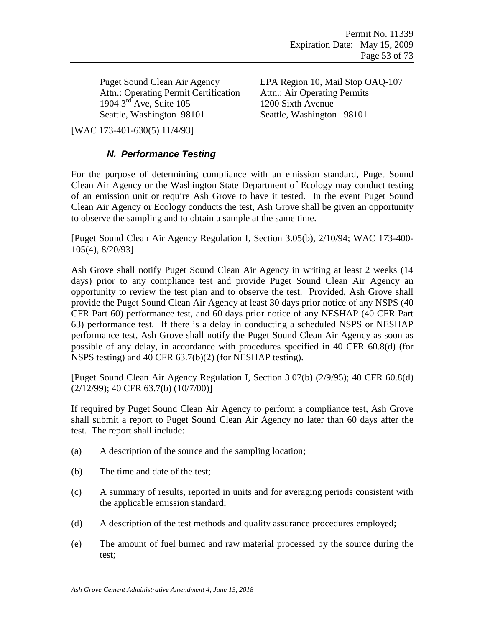Attn.: Operating Permit Certification Attn.: Air Operating Permits 1904 3<sup>rd</sup> Ave, Suite 105 1200 Sixth Avenue<br>
Seattle, Washington 98101 Seattle, Washington

Puget Sound Clean Air Agency EPA Region 10, Mail Stop OAQ-107 Seattle, Washington 98101

[WAC 173-401-630(5) 11/4/93]

#### *N. Performance Testing*

For the purpose of determining compliance with an emission standard, Puget Sound Clean Air Agency or the Washington State Department of Ecology may conduct testing of an emission unit or require Ash Grove to have it tested. In the event Puget Sound Clean Air Agency or Ecology conducts the test, Ash Grove shall be given an opportunity to observe the sampling and to obtain a sample at the same time.

[Puget Sound Clean Air Agency Regulation I, Section 3.05(b), 2/10/94; WAC 173-400- 105(4), 8/20/93]

Ash Grove shall notify Puget Sound Clean Air Agency in writing at least 2 weeks (14 days) prior to any compliance test and provide Puget Sound Clean Air Agency an opportunity to review the test plan and to observe the test. Provided, Ash Grove shall provide the Puget Sound Clean Air Agency at least 30 days prior notice of any NSPS (40 CFR Part 60) performance test, and 60 days prior notice of any NESHAP (40 CFR Part 63) performance test. If there is a delay in conducting a scheduled NSPS or NESHAP performance test, Ash Grove shall notify the Puget Sound Clean Air Agency as soon as possible of any delay, in accordance with procedures specified in 40 CFR 60.8(d) (for NSPS testing) and 40 CFR 63.7(b)(2) (for NESHAP testing).

[Puget Sound Clean Air Agency Regulation I, Section 3.07(b) (2/9/95); 40 CFR 60.8(d) (2/12/99); 40 CFR 63.7(b) (10/7/00)]

If required by Puget Sound Clean Air Agency to perform a compliance test, Ash Grove shall submit a report to Puget Sound Clean Air Agency no later than 60 days after the test. The report shall include:

- (a) A description of the source and the sampling location;
- (b) The time and date of the test;
- (c) A summary of results, reported in units and for averaging periods consistent with the applicable emission standard;
- (d) A description of the test methods and quality assurance procedures employed;
- (e) The amount of fuel burned and raw material processed by the source during the test;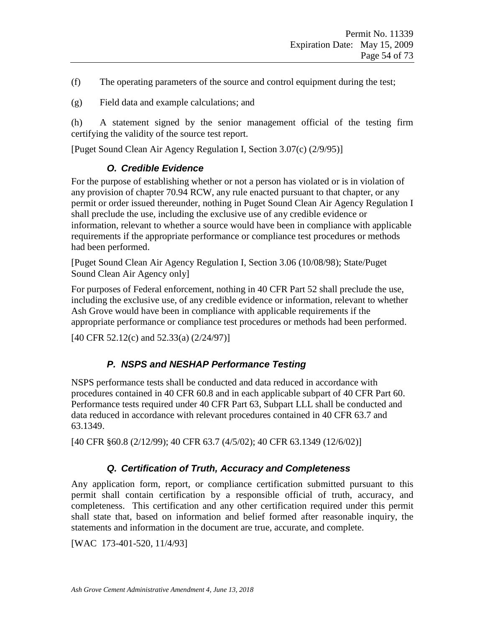- (f) The operating parameters of the source and control equipment during the test;
- (g) Field data and example calculations; and

(h) A statement signed by the senior management official of the testing firm certifying the validity of the source test report.

[Puget Sound Clean Air Agency Regulation I, Section 3.07(c) (2/9/95)]

### *O. Credible Evidence*

For the purpose of establishing whether or not a person has violated or is in violation of any provision of chapter 70.94 RCW, any rule enacted pursuant to that chapter, or any permit or order issued thereunder, nothing in Puget Sound Clean Air Agency Regulation I shall preclude the use, including the exclusive use of any credible evidence or information, relevant to whether a source would have been in compliance with applicable requirements if the appropriate performance or compliance test procedures or methods had been performed.

[Puget Sound Clean Air Agency Regulation I, Section 3.06 (10/08/98); State/Puget Sound Clean Air Agency only]

For purposes of Federal enforcement, nothing in 40 CFR Part 52 shall preclude the use, including the exclusive use, of any credible evidence or information, relevant to whether Ash Grove would have been in compliance with applicable requirements if the appropriate performance or compliance test procedures or methods had been performed.

[40 CFR 52.12(c) and 52.33(a) (2/24/97)]

## *P. NSPS and NESHAP Performance Testing*

NSPS performance tests shall be conducted and data reduced in accordance with procedures contained in 40 CFR 60.8 and in each applicable subpart of 40 CFR Part 60. Performance tests required under 40 CFR Part 63, Subpart LLL shall be conducted and data reduced in accordance with relevant procedures contained in 40 CFR 63.7 and 63.1349.

[40 CFR §60.8 (2/12/99); 40 CFR 63.7 (4/5/02); 40 CFR 63.1349 (12/6/02)]

## *Q. Certification of Truth, Accuracy and Completeness*

Any application form, report, or compliance certification submitted pursuant to this permit shall contain certification by a responsible official of truth, accuracy, and completeness. This certification and any other certification required under this permit shall state that, based on information and belief formed after reasonable inquiry, the statements and information in the document are true, accurate, and complete.

[WAC 173-401-520, 11/4/93]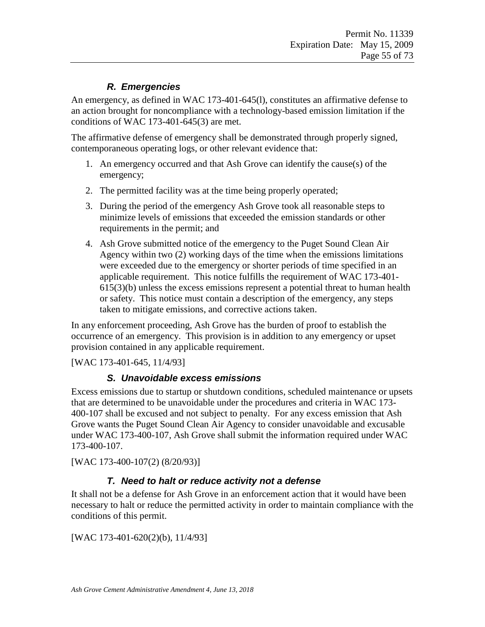## *R. Emergencies*

An emergency, as defined in WAC 173-401-645(l), constitutes an affirmative defense to an action brought for noncompliance with a technology-based emission limitation if the conditions of WAC 173-401-645(3) are met.

The affirmative defense of emergency shall be demonstrated through properly signed, contemporaneous operating logs, or other relevant evidence that:

- 1. An emergency occurred and that Ash Grove can identify the cause(s) of the emergency;
- 2. The permitted facility was at the time being properly operated;
- 3. During the period of the emergency Ash Grove took all reasonable steps to minimize levels of emissions that exceeded the emission standards or other requirements in the permit; and
- 4. Ash Grove submitted notice of the emergency to the Puget Sound Clean Air Agency within two (2) working days of the time when the emissions limitations were exceeded due to the emergency or shorter periods of time specified in an applicable requirement. This notice fulfills the requirement of WAC 173-401- 615(3)(b) unless the excess emissions represent a potential threat to human health or safety. This notice must contain a description of the emergency, any steps taken to mitigate emissions, and corrective actions taken.

In any enforcement proceeding, Ash Grove has the burden of proof to establish the occurrence of an emergency. This provision is in addition to any emergency or upset provision contained in any applicable requirement.

[WAC 173-401-645, 11/4/93]

## *S. Unavoidable excess emissions*

Excess emissions due to startup or shutdown conditions, scheduled maintenance or upsets that are determined to be unavoidable under the procedures and criteria in WAC 173- 400-107 shall be excused and not subject to penalty. For any excess emission that Ash Grove wants the Puget Sound Clean Air Agency to consider unavoidable and excusable under WAC 173-400-107, Ash Grove shall submit the information required under WAC 173-400-107.

[WAC 173-400-107(2) (8/20/93)]

## *T. Need to halt or reduce activity not a defense*

It shall not be a defense for Ash Grove in an enforcement action that it would have been necessary to halt or reduce the permitted activity in order to maintain compliance with the conditions of this permit.

[WAC 173-401-620(2)(b), 11/4/93]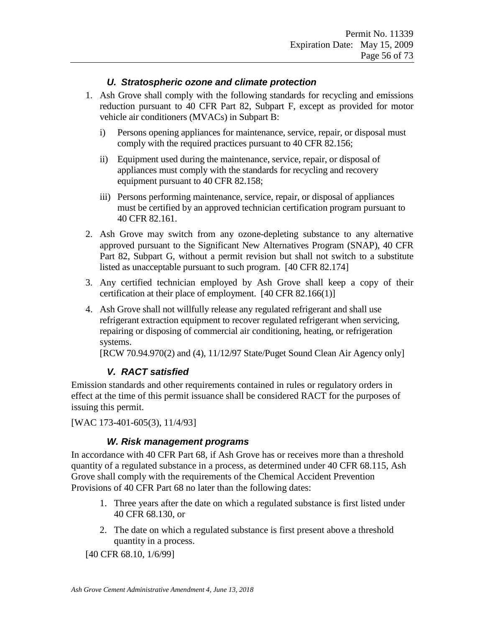### *U. Stratospheric ozone and climate protection*

- 1. Ash Grove shall comply with the following standards for recycling and emissions reduction pursuant to 40 CFR Part 82, Subpart F, except as provided for motor vehicle air conditioners (MVACs) in Subpart B:
	- i) Persons opening appliances for maintenance, service, repair, or disposal must comply with the required practices pursuant to 40 CFR 82.156;
	- ii) Equipment used during the maintenance, service, repair, or disposal of appliances must comply with the standards for recycling and recovery equipment pursuant to 40 CFR 82.158;
	- iii) Persons performing maintenance, service, repair, or disposal of appliances must be certified by an approved technician certification program pursuant to 40 CFR 82.161.
- 2. Ash Grove may switch from any ozone-depleting substance to any alternative approved pursuant to the Significant New Alternatives Program (SNAP), 40 CFR Part 82, Subpart G, without a permit revision but shall not switch to a substitute listed as unacceptable pursuant to such program. [40 CFR 82.174]
- 3. Any certified technician employed by Ash Grove shall keep a copy of their certification at their place of employment. [40 CFR 82.166(1)]
- 4. Ash Grove shall not willfully release any regulated refrigerant and shall use refrigerant extraction equipment to recover regulated refrigerant when servicing, repairing or disposing of commercial air conditioning, heating, or refrigeration systems.

[RCW 70.94.970(2) and (4), 11/12/97 State/Puget Sound Clean Air Agency only]

#### *V. RACT satisfied*

Emission standards and other requirements contained in rules or regulatory orders in effect at the time of this permit issuance shall be considered RACT for the purposes of issuing this permit.

[WAC 173-401-605(3), 11/4/93]

#### *W. Risk management programs*

In accordance with 40 CFR Part 68, if Ash Grove has or receives more than a threshold quantity of a regulated substance in a process, as determined under 40 CFR 68.115, Ash Grove shall comply with the requirements of the Chemical Accident Prevention Provisions of 40 CFR Part 68 no later than the following dates:

- 1. Three years after the date on which a regulated substance is first listed under 40 CFR 68.130, or
- 2. The date on which a regulated substance is first present above a threshold quantity in a process.

[40 CFR 68.10, 1/6/99]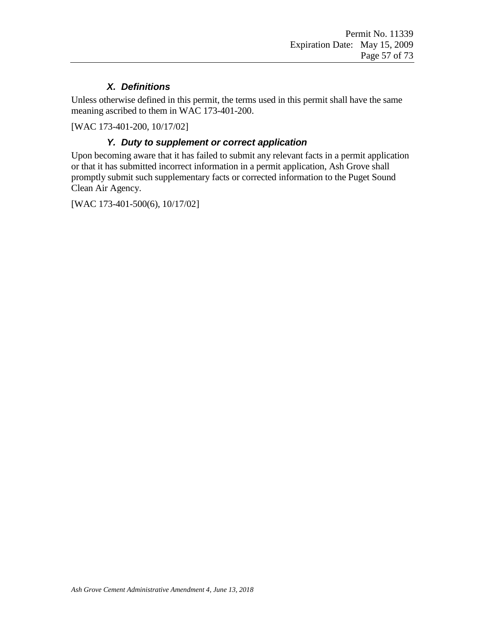### *X. Definitions*

Unless otherwise defined in this permit, the terms used in this permit shall have the same meaning ascribed to them in WAC 173-401-200.

[WAC 173-401-200, 10/17/02]

### *Y. Duty to supplement or correct application*

Upon becoming aware that it has failed to submit any relevant facts in a permit application or that it has submitted incorrect information in a permit application, Ash Grove shall promptly submit such supplementary facts or corrected information to the Puget Sound Clean Air Agency.

[WAC 173-401-500(6), 10/17/02]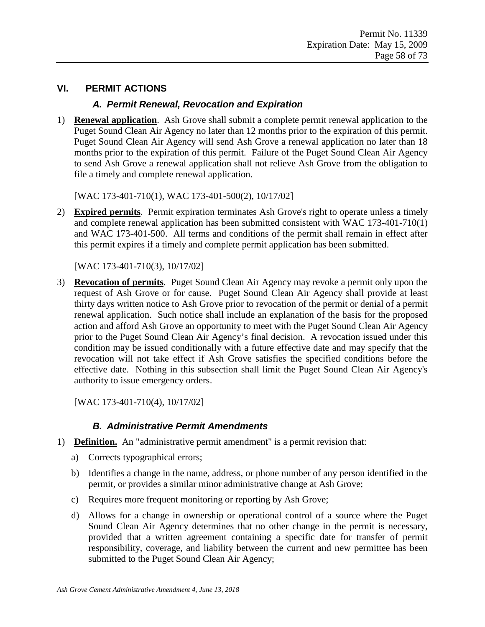### **VI. PERMIT ACTIONS**

#### *A. Permit Renewal, Revocation and Expiration*

1) **Renewal application**. Ash Grove shall submit a complete permit renewal application to the Puget Sound Clean Air Agency no later than 12 months prior to the expiration of this permit. Puget Sound Clean Air Agency will send Ash Grove a renewal application no later than 18 months prior to the expiration of this permit. Failure of the Puget Sound Clean Air Agency to send Ash Grove a renewal application shall not relieve Ash Grove from the obligation to file a timely and complete renewal application.

[WAC 173-401-710(1), WAC 173-401-500(2), 10/17/02]

2) **Expired permits**. Permit expiration terminates Ash Grove's right to operate unless a timely and complete renewal application has been submitted consistent with WAC 173-401-710(1) and WAC 173-401-500. All terms and conditions of the permit shall remain in effect after this permit expires if a timely and complete permit application has been submitted.

[WAC 173-401-710(3), 10/17/02]

3) **Revocation of permits**. Puget Sound Clean Air Agency may revoke a permit only upon the request of Ash Grove or for cause. Puget Sound Clean Air Agency shall provide at least thirty days written notice to Ash Grove prior to revocation of the permit or denial of a permit renewal application. Such notice shall include an explanation of the basis for the proposed action and afford Ash Grove an opportunity to meet with the Puget Sound Clean Air Agency prior to the Puget Sound Clean Air Agency's final decision. A revocation issued under this condition may be issued conditionally with a future effective date and may specify that the revocation will not take effect if Ash Grove satisfies the specified conditions before the effective date. Nothing in this subsection shall limit the Puget Sound Clean Air Agency's authority to issue emergency orders.

[WAC 173-401-710(4), 10/17/02]

### *B. Administrative Permit Amendments*

- 1) **Definition.** An "administrative permit amendment" is a permit revision that:
	- a) Corrects typographical errors;
	- b) Identifies a change in the name, address, or phone number of any person identified in the permit, or provides a similar minor administrative change at Ash Grove;
	- c) Requires more frequent monitoring or reporting by Ash Grove;
	- d) Allows for a change in ownership or operational control of a source where the Puget Sound Clean Air Agency determines that no other change in the permit is necessary, provided that a written agreement containing a specific date for transfer of permit responsibility, coverage, and liability between the current and new permittee has been submitted to the Puget Sound Clean Air Agency;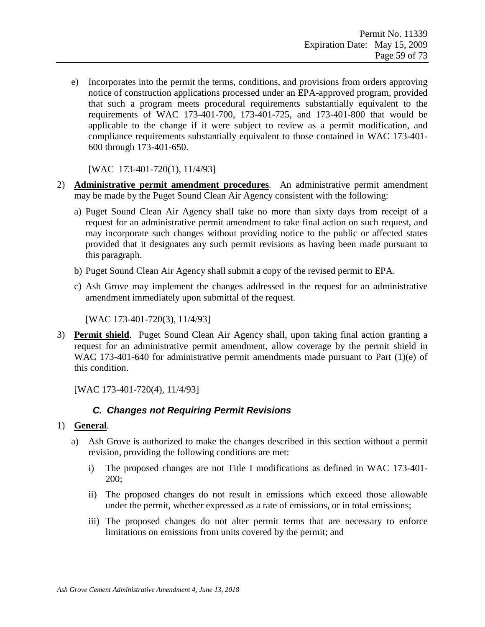e) Incorporates into the permit the terms, conditions, and provisions from orders approving notice of construction applications processed under an EPA-approved program, provided that such a program meets procedural requirements substantially equivalent to the requirements of WAC 173-401-700, 173-401-725, and 173-401-800 that would be applicable to the change if it were subject to review as a permit modification, and compliance requirements substantially equivalent to those contained in WAC 173-401- 600 through 173-401-650.

[WAC 173-401-720(1), 11/4/93]

- 2) **Administrative permit amendment procedures**. An administrative permit amendment may be made by the Puget Sound Clean Air Agency consistent with the following:
	- a) Puget Sound Clean Air Agency shall take no more than sixty days from receipt of a request for an administrative permit amendment to take final action on such request, and may incorporate such changes without providing notice to the public or affected states provided that it designates any such permit revisions as having been made pursuant to this paragraph.
	- b) Puget Sound Clean Air Agency shall submit a copy of the revised permit to EPA.
	- c) Ash Grove may implement the changes addressed in the request for an administrative amendment immediately upon submittal of the request.

[WAC 173-401-720(3), 11/4/93]

3) **Permit shield**. Puget Sound Clean Air Agency shall, upon taking final action granting a request for an administrative permit amendment, allow coverage by the permit shield in WAC 173-401-640 for administrative permit amendments made pursuant to Part (1)(e) of this condition.

[WAC 173-401-720(4), 11/4/93]

### *C. Changes not Requiring Permit Revisions*

#### 1) **General**.

- a) Ash Grove is authorized to make the changes described in this section without a permit revision, providing the following conditions are met:
	- i) The proposed changes are not Title I modifications as defined in WAC 173-401- 200;
	- ii) The proposed changes do not result in emissions which exceed those allowable under the permit, whether expressed as a rate of emissions, or in total emissions;
	- iii) The proposed changes do not alter permit terms that are necessary to enforce limitations on emissions from units covered by the permit; and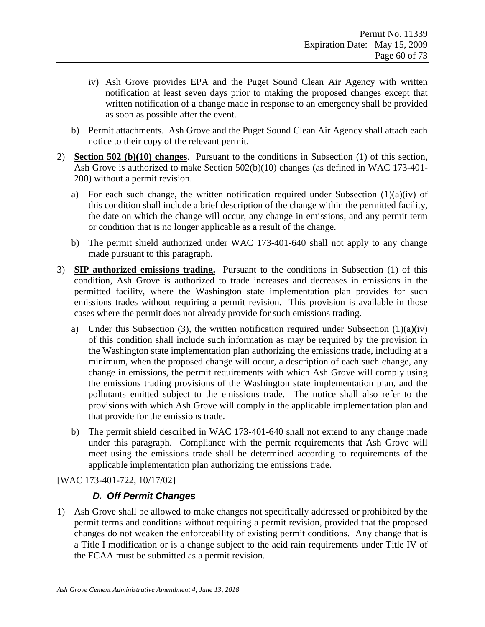- iv) Ash Grove provides EPA and the Puget Sound Clean Air Agency with written notification at least seven days prior to making the proposed changes except that written notification of a change made in response to an emergency shall be provided as soon as possible after the event.
- b) Permit attachments. Ash Grove and the Puget Sound Clean Air Agency shall attach each notice to their copy of the relevant permit.
- 2) **Section 502 (b)(10) changes**. Pursuant to the conditions in Subsection (1) of this section, Ash Grove is authorized to make Section 502(b)(10) changes (as defined in WAC 173-401- 200) without a permit revision.
	- a) For each such change, the written notification required under Subsection  $(1)(a)(iv)$  of this condition shall include a brief description of the change within the permitted facility, the date on which the change will occur, any change in emissions, and any permit term or condition that is no longer applicable as a result of the change.
	- b) The permit shield authorized under WAC 173-401-640 shall not apply to any change made pursuant to this paragraph.
- 3) **SIP authorized emissions trading.** Pursuant to the conditions in Subsection (1) of this condition, Ash Grove is authorized to trade increases and decreases in emissions in the permitted facility, where the Washington state implementation plan provides for such emissions trades without requiring a permit revision. This provision is available in those cases where the permit does not already provide for such emissions trading.
	- a) Under this Subsection (3), the written notification required under Subsection  $(1)(a)(iv)$ of this condition shall include such information as may be required by the provision in the Washington state implementation plan authorizing the emissions trade, including at a minimum, when the proposed change will occur, a description of each such change, any change in emissions, the permit requirements with which Ash Grove will comply using the emissions trading provisions of the Washington state implementation plan, and the pollutants emitted subject to the emissions trade. The notice shall also refer to the provisions with which Ash Grove will comply in the applicable implementation plan and that provide for the emissions trade.
	- b) The permit shield described in WAC 173-401-640 shall not extend to any change made under this paragraph. Compliance with the permit requirements that Ash Grove will meet using the emissions trade shall be determined according to requirements of the applicable implementation plan authorizing the emissions trade.

[WAC 173-401-722, 10/17/02]

### *D. Off Permit Changes*

1) Ash Grove shall be allowed to make changes not specifically addressed or prohibited by the permit terms and conditions without requiring a permit revision, provided that the proposed changes do not weaken the enforceability of existing permit conditions. Any change that is a Title I modification or is a change subject to the acid rain requirements under Title IV of the FCAA must be submitted as a permit revision.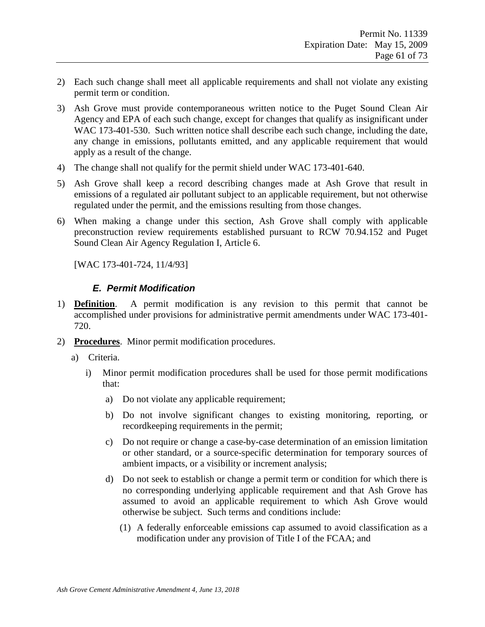- 2) Each such change shall meet all applicable requirements and shall not violate any existing permit term or condition.
- 3) Ash Grove must provide contemporaneous written notice to the Puget Sound Clean Air Agency and EPA of each such change, except for changes that qualify as insignificant under WAC 173-401-530. Such written notice shall describe each such change, including the date, any change in emissions, pollutants emitted, and any applicable requirement that would apply as a result of the change.
- 4) The change shall not qualify for the permit shield under WAC 173-401-640.
- 5) Ash Grove shall keep a record describing changes made at Ash Grove that result in emissions of a regulated air pollutant subject to an applicable requirement, but not otherwise regulated under the permit, and the emissions resulting from those changes.
- 6) When making a change under this section, Ash Grove shall comply with applicable preconstruction review requirements established pursuant to RCW 70.94.152 and Puget Sound Clean Air Agency Regulation I, Article 6.

[WAC 173-401-724, 11/4/93]

#### *E. Permit Modification*

- 1) **Definition**. A permit modification is any revision to this permit that cannot be accomplished under provisions for administrative permit amendments under WAC 173-401- 720.
- 2) **Procedures**. Minor permit modification procedures.
	- a) Criteria.
		- i) Minor permit modification procedures shall be used for those permit modifications that:
			- a) Do not violate any applicable requirement;
			- b) Do not involve significant changes to existing monitoring, reporting, or recordkeeping requirements in the permit;
			- c) Do not require or change a case-by-case determination of an emission limitation or other standard, or a source-specific determination for temporary sources of ambient impacts, or a visibility or increment analysis;
			- d) Do not seek to establish or change a permit term or condition for which there is no corresponding underlying applicable requirement and that Ash Grove has assumed to avoid an applicable requirement to which Ash Grove would otherwise be subject. Such terms and conditions include:
				- (1) A federally enforceable emissions cap assumed to avoid classification as a modification under any provision of Title I of the FCAA; and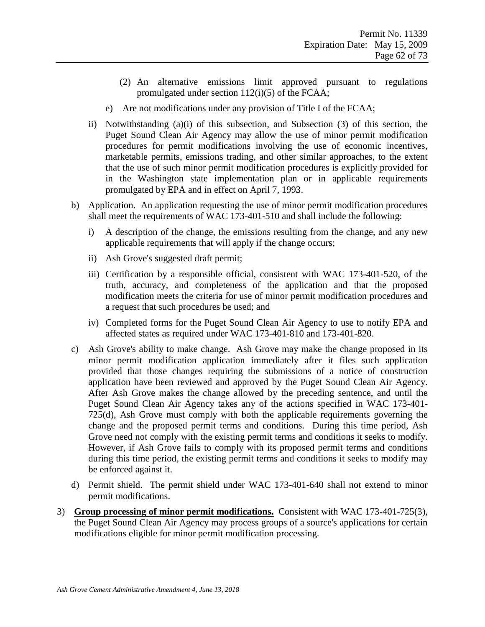- (2) An alternative emissions limit approved pursuant to regulations promulgated under section  $112(i)(5)$  of the FCAA;
- e) Are not modifications under any provision of Title I of the FCAA;
- ii) Notwithstanding (a)(i) of this subsection, and Subsection (3) of this section, the Puget Sound Clean Air Agency may allow the use of minor permit modification procedures for permit modifications involving the use of economic incentives, marketable permits, emissions trading, and other similar approaches, to the extent that the use of such minor permit modification procedures is explicitly provided for in the Washington state implementation plan or in applicable requirements promulgated by EPA and in effect on April 7, 1993.
- b) Application. An application requesting the use of minor permit modification procedures shall meet the requirements of WAC 173-401-510 and shall include the following:
	- i) A description of the change, the emissions resulting from the change, and any new applicable requirements that will apply if the change occurs;
	- ii) Ash Grove's suggested draft permit;
	- iii) Certification by a responsible official, consistent with WAC 173-401-520, of the truth, accuracy, and completeness of the application and that the proposed modification meets the criteria for use of minor permit modification procedures and a request that such procedures be used; and
	- iv) Completed forms for the Puget Sound Clean Air Agency to use to notify EPA and affected states as required under WAC 173-401-810 and 173-401-820.
- c) Ash Grove's ability to make change. Ash Grove may make the change proposed in its minor permit modification application immediately after it files such application provided that those changes requiring the submissions of a notice of construction application have been reviewed and approved by the Puget Sound Clean Air Agency. After Ash Grove makes the change allowed by the preceding sentence, and until the Puget Sound Clean Air Agency takes any of the actions specified in WAC 173-401- 725(d), Ash Grove must comply with both the applicable requirements governing the change and the proposed permit terms and conditions. During this time period, Ash Grove need not comply with the existing permit terms and conditions it seeks to modify. However, if Ash Grove fails to comply with its proposed permit terms and conditions during this time period, the existing permit terms and conditions it seeks to modify may be enforced against it.
- d) Permit shield. The permit shield under WAC 173-401-640 shall not extend to minor permit modifications.
- 3) **Group processing of minor permit modifications.** Consistent with WAC 173-401-725(3), the Puget Sound Clean Air Agency may process groups of a source's applications for certain modifications eligible for minor permit modification processing.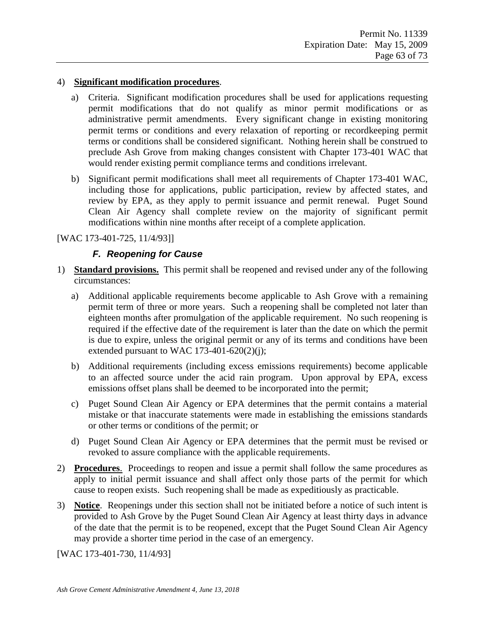#### 4) **Significant modification procedures**.

- a) Criteria. Significant modification procedures shall be used for applications requesting permit modifications that do not qualify as minor permit modifications or as administrative permit amendments. Every significant change in existing monitoring permit terms or conditions and every relaxation of reporting or recordkeeping permit terms or conditions shall be considered significant. Nothing herein shall be construed to preclude Ash Grove from making changes consistent with Chapter 173-401 WAC that would render existing permit compliance terms and conditions irrelevant.
- b) Significant permit modifications shall meet all requirements of Chapter 173-401 WAC, including those for applications, public participation, review by affected states, and review by EPA, as they apply to permit issuance and permit renewal. Puget Sound Clean Air Agency shall complete review on the majority of significant permit modifications within nine months after receipt of a complete application.

#### [WAC 173-401-725, 11/4/93]]

### *F. Reopening for Cause*

- 1) **Standard provisions.** This permit shall be reopened and revised under any of the following circumstances:
	- a) Additional applicable requirements become applicable to Ash Grove with a remaining permit term of three or more years. Such a reopening shall be completed not later than eighteen months after promulgation of the applicable requirement. No such reopening is required if the effective date of the requirement is later than the date on which the permit is due to expire, unless the original permit or any of its terms and conditions have been extended pursuant to WAC 173-401-620 $(2)(i)$ ;
	- b) Additional requirements (including excess emissions requirements) become applicable to an affected source under the acid rain program. Upon approval by EPA, excess emissions offset plans shall be deemed to be incorporated into the permit;
	- c) Puget Sound Clean Air Agency or EPA determines that the permit contains a material mistake or that inaccurate statements were made in establishing the emissions standards or other terms or conditions of the permit; or
	- d) Puget Sound Clean Air Agency or EPA determines that the permit must be revised or revoked to assure compliance with the applicable requirements.
- 2) **Procedures**. Proceedings to reopen and issue a permit shall follow the same procedures as apply to initial permit issuance and shall affect only those parts of the permit for which cause to reopen exists. Such reopening shall be made as expeditiously as practicable.
- 3) **Notice**. Reopenings under this section shall not be initiated before a notice of such intent is provided to Ash Grove by the Puget Sound Clean Air Agency at least thirty days in advance of the date that the permit is to be reopened, except that the Puget Sound Clean Air Agency may provide a shorter time period in the case of an emergency.

[WAC 173-401-730, 11/4/93]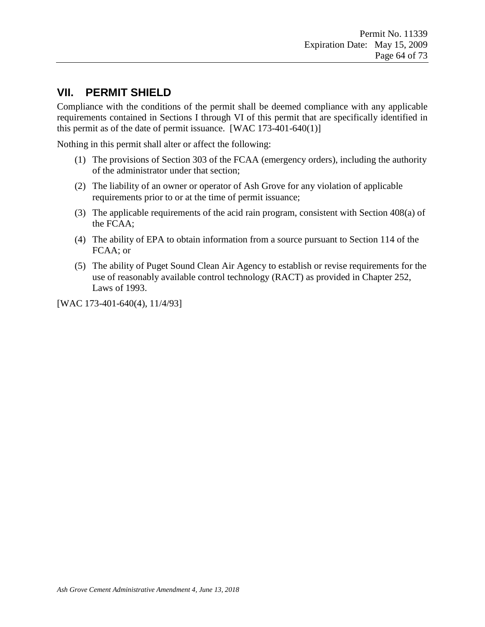## **VII. PERMIT SHIELD**

Compliance with the conditions of the permit shall be deemed compliance with any applicable requirements contained in Sections I through VI of this permit that are specifically identified in this permit as of the date of permit issuance.  $[WAC 173-401-640(1)]$ 

Nothing in this permit shall alter or affect the following:

- (1) The provisions of Section 303 of the FCAA (emergency orders), including the authority of the administrator under that section;
- (2) The liability of an owner or operator of Ash Grove for any violation of applicable requirements prior to or at the time of permit issuance;
- (3) The applicable requirements of the acid rain program, consistent with Section 408(a) of the FCAA;
- (4) The ability of EPA to obtain information from a source pursuant to Section 114 of the FCAA; or
- (5) The ability of Puget Sound Clean Air Agency to establish or revise requirements for the use of reasonably available control technology (RACT) as provided in Chapter 252, Laws of 1993.

[WAC 173-401-640(4), 11/4/93]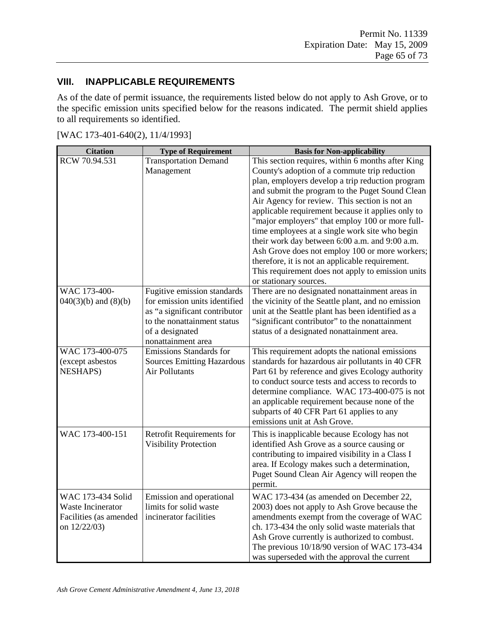### **VIII. INAPPLICABLE REQUIREMENTS**

As of the date of permit issuance, the requirements listed below do not apply to Ash Grove, or to the specific emission units specified below for the reasons indicated. The permit shield applies to all requirements so identified.

| <b>Citation</b>                                                                  | <b>Type of Requirement</b>                                                                                                                                            | <b>Basis for Non-applicability</b>                                                                                                                                                                                                                                                                                                                                                                                                                                                                                                                                                                                                                         |
|----------------------------------------------------------------------------------|-----------------------------------------------------------------------------------------------------------------------------------------------------------------------|------------------------------------------------------------------------------------------------------------------------------------------------------------------------------------------------------------------------------------------------------------------------------------------------------------------------------------------------------------------------------------------------------------------------------------------------------------------------------------------------------------------------------------------------------------------------------------------------------------------------------------------------------------|
| RCW 70.94.531                                                                    | <b>Transportation Demand</b><br>Management                                                                                                                            | This section requires, within 6 months after King<br>County's adoption of a commute trip reduction<br>plan, employers develop a trip reduction program<br>and submit the program to the Puget Sound Clean<br>Air Agency for review. This section is not an<br>applicable requirement because it applies only to<br>"major employers" that employ 100 or more full-<br>time employees at a single work site who begin<br>their work day between 6:00 a.m. and 9:00 a.m.<br>Ash Grove does not employ 100 or more workers;<br>therefore, it is not an applicable requirement.<br>This requirement does not apply to emission units<br>or stationary sources. |
| WAC 173-400-<br>$040(3)(b)$ and $(8)(b)$                                         | Fugitive emission standards<br>for emission units identified<br>as "a significant contributor<br>to the nonattainment status<br>of a designated<br>nonattainment area | There are no designated nonattainment areas in<br>the vicinity of the Seattle plant, and no emission<br>unit at the Seattle plant has been identified as a<br>"significant contributor" to the nonattainment<br>status of a designated nonattainment area.                                                                                                                                                                                                                                                                                                                                                                                                 |
| WAC 173-400-075<br>(except asbestos<br><b>NESHAPS)</b>                           | Emissions Standards for<br><b>Sources Emitting Hazardous</b><br><b>Air Pollutants</b>                                                                                 | This requirement adopts the national emissions<br>standards for hazardous air pollutants in 40 CFR<br>Part 61 by reference and gives Ecology authority<br>to conduct source tests and access to records to<br>determine compliance. WAC 173-400-075 is not<br>an applicable requirement because none of the<br>subparts of 40 CFR Part 61 applies to any<br>emissions unit at Ash Grove.                                                                                                                                                                                                                                                                   |
| WAC 173-400-151                                                                  | Retrofit Requirements for<br><b>Visibility Protection</b>                                                                                                             | This is inapplicable because Ecology has not<br>identified Ash Grove as a source causing or<br>contributing to impaired visibility in a Class I<br>area. If Ecology makes such a determination,<br>Puget Sound Clean Air Agency will reopen the<br>permit.                                                                                                                                                                                                                                                                                                                                                                                                 |
| WAC 173-434 Solid<br>Waste Incinerator<br>Facilities (as amended<br>on 12/22/03) | Emission and operational<br>limits for solid waste<br>incinerator facilities                                                                                          | WAC 173-434 (as amended on December 22<br>2003) does not apply to Ash Grove because the<br>amendments exempt from the coverage of WAC<br>ch. 173-434 the only solid waste materials that<br>Ash Grove currently is authorized to combust.<br>The previous 10/18/90 version of WAC 173-434<br>was superseded with the approval the current                                                                                                                                                                                                                                                                                                                  |

[WAC 173-401-640(2), 11/4/1993]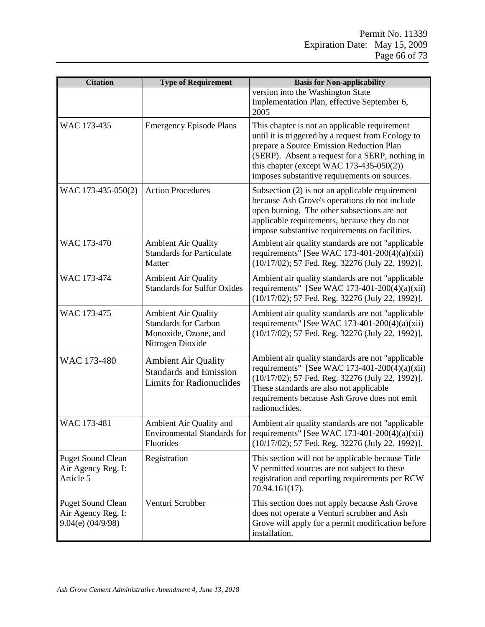| <b>Citation</b>                                                         | <b>Type of Requirement</b>                                                                            | <b>Basis for Non-applicability</b>                                                                                                                                                                                                                                                                |
|-------------------------------------------------------------------------|-------------------------------------------------------------------------------------------------------|---------------------------------------------------------------------------------------------------------------------------------------------------------------------------------------------------------------------------------------------------------------------------------------------------|
|                                                                         |                                                                                                       | version into the Washington State<br>Implementation Plan, effective September 6,<br>2005                                                                                                                                                                                                          |
| WAC 173-435                                                             | <b>Emergency Episode Plans</b>                                                                        | This chapter is not an applicable requirement<br>until it is triggered by a request from Ecology to<br>prepare a Source Emission Reduction Plan<br>(SERP). Absent a request for a SERP, nothing in<br>this chapter (except WAC $173-435-050(2)$ )<br>imposes substantive requirements on sources. |
| WAC 173-435-050(2)                                                      | <b>Action Procedures</b>                                                                              | Subsection $(2)$ is not an applicable requirement<br>because Ash Grove's operations do not include<br>open burning. The other subsections are not<br>applicable requirements, because they do not<br>impose substantive requirements on facilities.                                               |
| WAC 173-470                                                             | <b>Ambient Air Quality</b><br><b>Standards for Particulate</b><br>Matter                              | Ambient air quality standards are not "applicable<br>requirements" [See WAC 173-401-200(4)(a)(xii)<br>(10/17/02); 57 Fed. Reg. 32276 (July 22, 1992)].                                                                                                                                            |
| WAC 173-474                                                             | <b>Ambient Air Quality</b><br><b>Standards for Sulfur Oxides</b>                                      | Ambient air quality standards are not "applicable<br>requirements" [See WAC 173-401-200(4)(a)(xii)<br>(10/17/02); 57 Fed. Reg. 32276 (July 22, 1992)].                                                                                                                                            |
| WAC 173-475                                                             | <b>Ambient Air Quality</b><br><b>Standards for Carbon</b><br>Monoxide, Ozone, and<br>Nitrogen Dioxide | Ambient air quality standards are not "applicable<br>requirements" [See WAC 173-401-200(4)(a)(xii)<br>(10/17/02); 57 Fed. Reg. 32276 (July 22, 1992)].                                                                                                                                            |
| WAC 173-480                                                             | <b>Ambient Air Quality</b><br><b>Standards and Emission</b><br><b>Limits for Radionuclides</b>        | Ambient air quality standards are not "applicable<br>requirements" [See WAC 173-401-200(4)(a)(xii)<br>(10/17/02); 57 Fed. Reg. 32276 (July 22, 1992)].<br>These standards are also not applicable<br>requirements because Ash Grove does not emit<br>radionuclides.                               |
| WAC 173-481                                                             | Ambient Air Quality and<br><b>Environmental Standards for</b><br>Fluorides                            | Ambient air quality standards are not "applicable<br>requirements" [See WAC 173-401-200(4)(a)(xii)<br>(10/17/02); 57 Fed. Reg. 32276 (July 22, 1992)].                                                                                                                                            |
| <b>Puget Sound Clean</b><br>Air Agency Reg. I:<br>Article 5             | Registration                                                                                          | This section will not be applicable because Title<br>V permitted sources are not subject to these<br>registration and reporting requirements per RCW<br>70.94.161(17).                                                                                                                            |
| <b>Puget Sound Clean</b><br>Air Agency Reg. I:<br>$9.04(e)$ $(04/9/98)$ | Venturi Scrubber                                                                                      | This section does not apply because Ash Grove<br>does not operate a Venturi scrubber and Ash<br>Grove will apply for a permit modification before<br>installation.                                                                                                                                |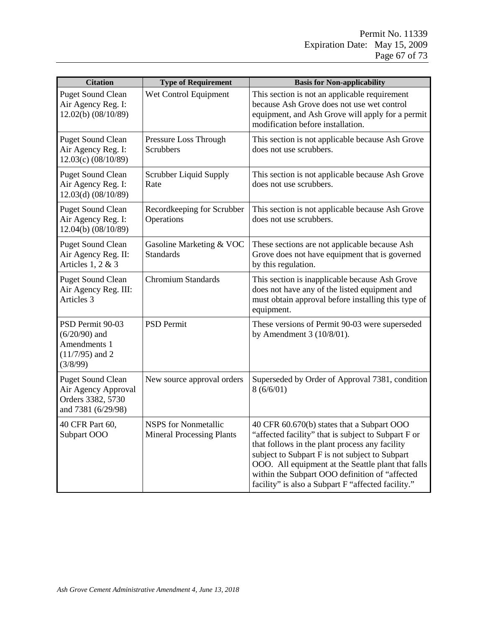| <b>Citation</b>                                                                            | <b>Type of Requirement</b>                                      | <b>Basis for Non-applicability</b>                                                                                                                                                                                                                                                                                                                                  |
|--------------------------------------------------------------------------------------------|-----------------------------------------------------------------|---------------------------------------------------------------------------------------------------------------------------------------------------------------------------------------------------------------------------------------------------------------------------------------------------------------------------------------------------------------------|
| <b>Puget Sound Clean</b><br>Air Agency Reg. I:<br>12.02(b) (08/10/89)                      | Wet Control Equipment                                           | This section is not an applicable requirement<br>because Ash Grove does not use wet control<br>equipment, and Ash Grove will apply for a permit<br>modification before installation.                                                                                                                                                                                |
| <b>Puget Sound Clean</b><br>Air Agency Reg. I:<br>$12.03(c)$ (08/10/89)                    | Pressure Loss Through<br><b>Scrubbers</b>                       | This section is not applicable because Ash Grove<br>does not use scrubbers.                                                                                                                                                                                                                                                                                         |
| <b>Puget Sound Clean</b><br>Air Agency Reg. I:<br>12.03(d) (08/10/89)                      | Scrubber Liquid Supply<br>Rate                                  | This section is not applicable because Ash Grove<br>does not use scrubbers.                                                                                                                                                                                                                                                                                         |
| <b>Puget Sound Clean</b><br>Air Agency Reg. I:<br>12.04(b) (08/10/89)                      | Recordkeeping for Scrubber<br>Operations                        | This section is not applicable because Ash Grove<br>does not use scrubbers.                                                                                                                                                                                                                                                                                         |
| <b>Puget Sound Clean</b><br>Air Agency Reg. II:<br>Articles 1, 2 & 3                       | Gasoline Marketing & VOC<br><b>Standards</b>                    | These sections are not applicable because Ash<br>Grove does not have equipment that is governed<br>by this regulation.                                                                                                                                                                                                                                              |
| <b>Puget Sound Clean</b><br>Air Agency Reg. III:<br>Articles 3                             | <b>Chromium Standards</b>                                       | This section is inapplicable because Ash Grove<br>does not have any of the listed equipment and<br>must obtain approval before installing this type of<br>equipment.                                                                                                                                                                                                |
| PSD Permit 90-03<br>$(6/20/90)$ and<br>Amendments 1<br>$(11/7/95)$ and 2<br>(3/8/99)       | <b>PSD Permit</b>                                               | These versions of Permit 90-03 were superseded<br>by Amendment $3(10/8/01)$ .                                                                                                                                                                                                                                                                                       |
| <b>Puget Sound Clean</b><br>Air Agency Approval<br>Orders 3382, 5730<br>and 7381 (6/29/98) | New source approval orders                                      | Superseded by Order of Approval 7381, condition<br>8(6/6/01)                                                                                                                                                                                                                                                                                                        |
| 40 CFR Part 60,<br>Subpart OOO                                                             | <b>NSPS</b> for Nonmetallic<br><b>Mineral Processing Plants</b> | 40 CFR 60.670(b) states that a Subpart OOO<br>"affected facility" that is subject to Subpart F or<br>that follows in the plant process any facility<br>subject to Subpart F is not subject to Subpart<br>OOO. All equipment at the Seattle plant that falls<br>within the Subpart OOO definition of "affected<br>facility" is also a Subpart F "affected facility." |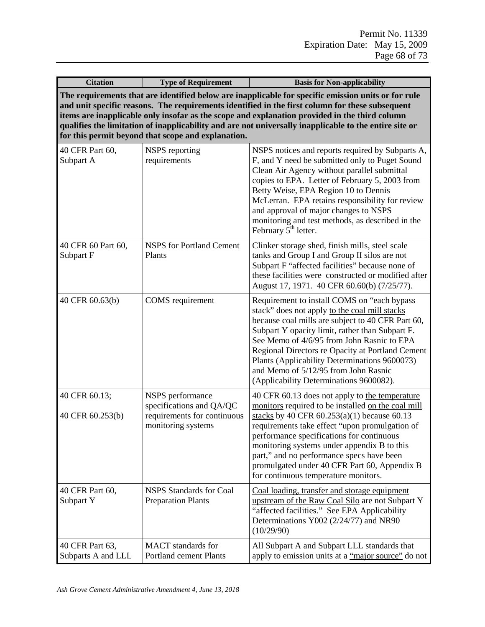| <b>Citation</b>                                                                                                                                                                                                                                                                                                                                                                                                                                                         | <b>Type of Requirement</b>                                                                        | <b>Basis for Non-applicability</b>                                                                                                                                                                                                                                                                                                                                                                                                          |
|-------------------------------------------------------------------------------------------------------------------------------------------------------------------------------------------------------------------------------------------------------------------------------------------------------------------------------------------------------------------------------------------------------------------------------------------------------------------------|---------------------------------------------------------------------------------------------------|---------------------------------------------------------------------------------------------------------------------------------------------------------------------------------------------------------------------------------------------------------------------------------------------------------------------------------------------------------------------------------------------------------------------------------------------|
| The requirements that are identified below are inapplicable for specific emission units or for rule<br>and unit specific reasons. The requirements identified in the first column for these subsequent<br>items are inapplicable only insofar as the scope and explanation provided in the third column<br>qualifies the limitation of inapplicability and are not universally inapplicable to the entire site or<br>for this permit beyond that scope and explanation. |                                                                                                   |                                                                                                                                                                                                                                                                                                                                                                                                                                             |
| 40 CFR Part 60,<br>Subpart A                                                                                                                                                                                                                                                                                                                                                                                                                                            | NSPS reporting<br>requirements                                                                    | NSPS notices and reports required by Subparts A,<br>F, and Y need be submitted only to Puget Sound<br>Clean Air Agency without parallel submittal<br>copies to EPA. Letter of February 5, 2003 from<br>Betty Weise, EPA Region 10 to Dennis<br>McLerran. EPA retains responsibility for review<br>and approval of major changes to NSPS<br>monitoring and test methods, as described in the<br>February 5 <sup>th</sup> letter.             |
| 40 CFR 60 Part 60,<br>Subpart F                                                                                                                                                                                                                                                                                                                                                                                                                                         | <b>NSPS</b> for Portland Cement<br>Plants                                                         | Clinker storage shed, finish mills, steel scale<br>tanks and Group I and Group II silos are not<br>Subpart F "affected facilities" because none of<br>these facilities were constructed or modified after<br>August 17, 1971. 40 CFR 60.60(b) (7/25/77).                                                                                                                                                                                    |
| 40 CFR 60.63(b)                                                                                                                                                                                                                                                                                                                                                                                                                                                         | COMS requirement                                                                                  | Requirement to install COMS on "each bypass"<br>stack" does not apply to the coal mill stacks<br>because coal mills are subject to 40 CFR Part 60,<br>Subpart Y opacity limit, rather than Subpart F.<br>See Memo of 4/6/95 from John Rasnic to EPA<br>Regional Directors re Opacity at Portland Cement<br>Plants (Applicability Determinations 9600073)<br>and Memo of 5/12/95 from John Rasnic<br>(Applicability Determinations 9600082). |
| 40 CFR 60.13;<br>40 CFR 60.253(b)                                                                                                                                                                                                                                                                                                                                                                                                                                       | NSPS performance<br>specifications and QA/QC<br>requirements for continuous<br>monitoring systems | 40 CFR 60.13 does not apply to the temperature<br>monitors required to be installed on the coal mill<br>stacks by 40 CFR $60.253(a)(1)$ because 60.13<br>requirements take effect "upon promulgation of<br>performance specifications for continuous<br>monitoring systems under appendix B to this<br>part," and no performance specs have been<br>promulgated under 40 CFR Part 60, Appendix B<br>for continuous temperature monitors.    |
| 40 CFR Part 60,<br>Subpart Y                                                                                                                                                                                                                                                                                                                                                                                                                                            | <b>NSPS</b> Standards for Coal<br><b>Preparation Plants</b>                                       | Coal loading, transfer and storage equipment<br>upstream of the Raw Coal Silo are not Subpart Y<br>"affected facilities." See EPA Applicability<br>Determinations Y002 (2/24/77) and NR90<br>(10/29/90)                                                                                                                                                                                                                                     |
| 40 CFR Part 63,<br>Subparts A and LLL                                                                                                                                                                                                                                                                                                                                                                                                                                   | <b>MACT</b> standards for<br><b>Portland cement Plants</b>                                        | All Subpart A and Subpart LLL standards that<br>apply to emission units at a "major source" do not                                                                                                                                                                                                                                                                                                                                          |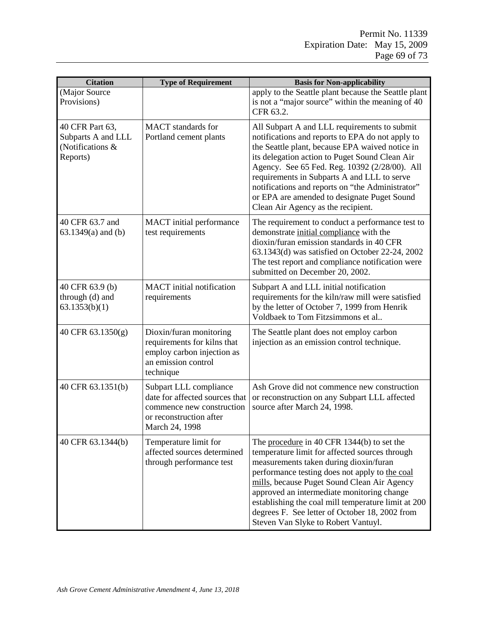| <b>Citation</b>                                                       | <b>Type of Requirement</b>                                                                                                         | <b>Basis for Non-applicability</b>                                                                                                                                                                                                                                                                                                                                                                                                             |
|-----------------------------------------------------------------------|------------------------------------------------------------------------------------------------------------------------------------|------------------------------------------------------------------------------------------------------------------------------------------------------------------------------------------------------------------------------------------------------------------------------------------------------------------------------------------------------------------------------------------------------------------------------------------------|
| (Major Source<br>Provisions)                                          |                                                                                                                                    | apply to the Seattle plant because the Seattle plant<br>is not a "major source" within the meaning of 40<br>CFR 63.2.                                                                                                                                                                                                                                                                                                                          |
| 40 CFR Part 63,<br>Subparts A and LLL<br>(Notifications &<br>Reports) | <b>MACT</b> standards for<br>Portland cement plants                                                                                | All Subpart A and LLL requirements to submit<br>notifications and reports to EPA do not apply to<br>the Seattle plant, because EPA waived notice in<br>its delegation action to Puget Sound Clean Air<br>Agency. See 65 Fed. Reg. 10392 (2/28/00). All<br>requirements in Subparts A and LLL to serve<br>notifications and reports on "the Administrator"<br>or EPA are amended to designate Puget Sound<br>Clean Air Agency as the recipient. |
| 40 CFR 63.7 and<br>$63.1349(a)$ and (b)                               | <b>MACT</b> initial performance<br>test requirements                                                                               | The requirement to conduct a performance test to<br>demonstrate initial compliance with the<br>dioxin/furan emission standards in 40 CFR<br>63.1343(d) was satisfied on October 22-24, 2002<br>The test report and compliance notification were<br>submitted on December 20, 2002.                                                                                                                                                             |
| 40 CFR 63.9 (b)<br>through (d) and<br>63.1353(b)(1)                   | <b>MACT</b> initial notification<br>requirements                                                                                   | Subpart A and LLL initial notification<br>requirements for the kiln/raw mill were satisfied<br>by the letter of October 7, 1999 from Henrik<br>Voldbaek to Tom Fitzsimmons et al                                                                                                                                                                                                                                                               |
| 40 CFR 63.1350(g)                                                     | Dioxin/furan monitoring<br>requirements for kilns that<br>employ carbon injection as<br>an emission control<br>technique           | The Seattle plant does not employ carbon<br>injection as an emission control technique.                                                                                                                                                                                                                                                                                                                                                        |
| 40 CFR 63.1351(b)                                                     | Subpart LLL compliance<br>date for affected sources that<br>commence new construction<br>or reconstruction after<br>March 24, 1998 | Ash Grove did not commence new construction<br>or reconstruction on any Subpart LLL affected<br>source after March 24, 1998.                                                                                                                                                                                                                                                                                                                   |
| 40 CFR 63.1344(b)                                                     | Temperature limit for<br>affected sources determined<br>through performance test                                                   | The procedure in 40 CFR 1344(b) to set the<br>temperature limit for affected sources through<br>measurements taken during dioxin/furan<br>performance testing does not apply to the coal<br>mills, because Puget Sound Clean Air Agency<br>approved an intermediate monitoring change<br>establishing the coal mill temperature limit at 200<br>degrees F. See letter of October 18, 2002 from<br>Steven Van Slyke to Robert Vantuyl.          |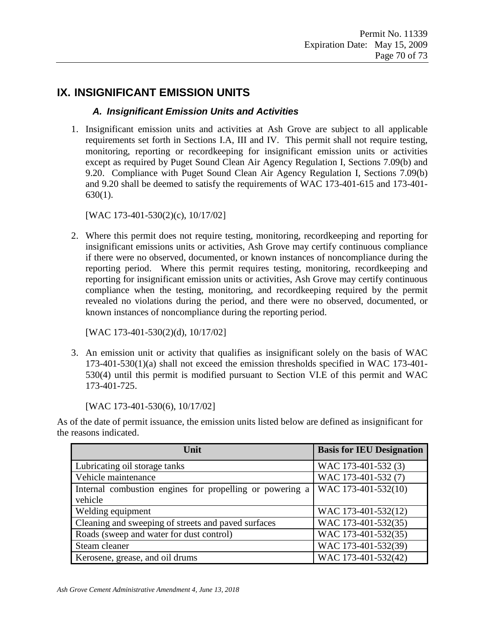# **IX. INSIGNIFICANT EMISSION UNITS**

### *A. Insignificant Emission Units and Activities*

1. Insignificant emission units and activities at Ash Grove are subject to all applicable requirements set forth in Sections I.A, III and IV. This permit shall not require testing, monitoring, reporting or recordkeeping for insignificant emission units or activities except as required by Puget Sound Clean Air Agency Regulation I, Sections 7.09(b) and 9.20. Compliance with Puget Sound Clean Air Agency Regulation I, Sections 7.09(b) and 9.20 shall be deemed to satisfy the requirements of WAC 173-401-615 and 173-401- 630(1).

[WAC 173-401-530(2)(c), 10/17/02]

2. Where this permit does not require testing, monitoring, recordkeeping and reporting for insignificant emissions units or activities, Ash Grove may certify continuous compliance if there were no observed, documented, or known instances of noncompliance during the reporting period. Where this permit requires testing, monitoring, recordkeeping and reporting for insignificant emission units or activities, Ash Grove may certify continuous compliance when the testing, monitoring, and recordkeeping required by the permit revealed no violations during the period, and there were no observed, documented, or known instances of noncompliance during the reporting period.

[WAC 173-401-530(2)(d), 10/17/02]

3. An emission unit or activity that qualifies as insignificant solely on the basis of WAC 173-401-530(1)(a) shall not exceed the emission thresholds specified in WAC 173-401- 530(4) until this permit is modified pursuant to Section VI.E of this permit and WAC 173-401-725.

[WAC 173-401-530(6), 10/17/02]

As of the date of permit issuance, the emission units listed below are defined as insignificant for the reasons indicated.

| Unit                                                     | <b>Basis for IEU Designation</b> |
|----------------------------------------------------------|----------------------------------|
| Lubricating oil storage tanks                            | WAC 173-401-532 (3)              |
| Vehicle maintenance                                      | WAC 173-401-532 (7)              |
| Internal combustion engines for propelling or powering a | WAC 173-401-532(10)              |
| vehicle                                                  |                                  |
| Welding equipment                                        | WAC 173-401-532(12)              |
| Cleaning and sweeping of streets and paved surfaces      | WAC 173-401-532(35)              |
| Roads (sweep and water for dust control)                 | WAC 173-401-532(35)              |
| Steam cleaner                                            | WAC 173-401-532(39)              |
| Kerosene, grease, and oil drums                          | WAC 173-401-532(42)              |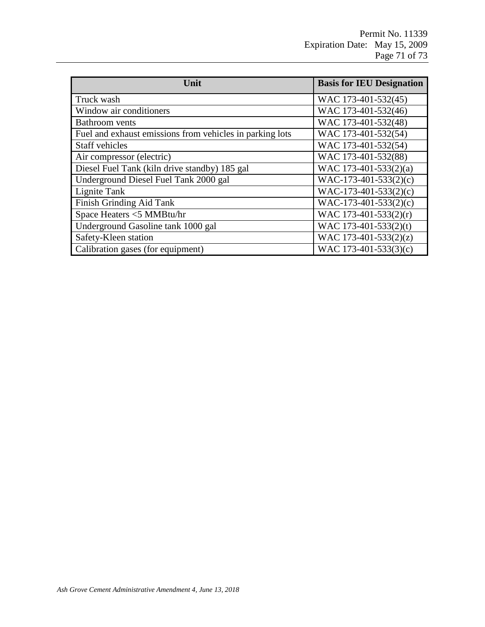Permit No. 11339 Expiration Date: May 15, 2009 Page 71 of 73

| Unit                                                     | <b>Basis for IEU Designation</b> |
|----------------------------------------------------------|----------------------------------|
| Truck wash                                               | WAC 173-401-532(45)              |
| Window air conditioners                                  | WAC 173-401-532(46)              |
| <b>Bathroom</b> vents                                    | WAC 173-401-532(48)              |
| Fuel and exhaust emissions from vehicles in parking lots | WAC 173-401-532(54)              |
| Staff vehicles                                           | WAC 173-401-532(54)              |
| Air compressor (electric)                                | WAC 173-401-532(88)              |
| Diesel Fuel Tank (kiln drive standby) 185 gal            | WAC 173-401-533(2)(a)            |
| Underground Diesel Fuel Tank 2000 gal                    | $WAC-173-401-533(2)(c)$          |
| Lignite Tank                                             | $WAC-173-401-533(2)(c)$          |
| Finish Grinding Aid Tank                                 | $WAC-173-401-533(2)(c)$          |
| Space Heaters <5 MMBtu/hr                                | WAC 173-401-533(2)(r)            |
| Underground Gasoline tank 1000 gal                       | WAC 173-401-533(2)(t)            |
| Safety-Kleen station                                     | WAC 173-401-533(2)(z)            |
| Calibration gases (for equipment)                        | WAC 173-401-533(3)(c)            |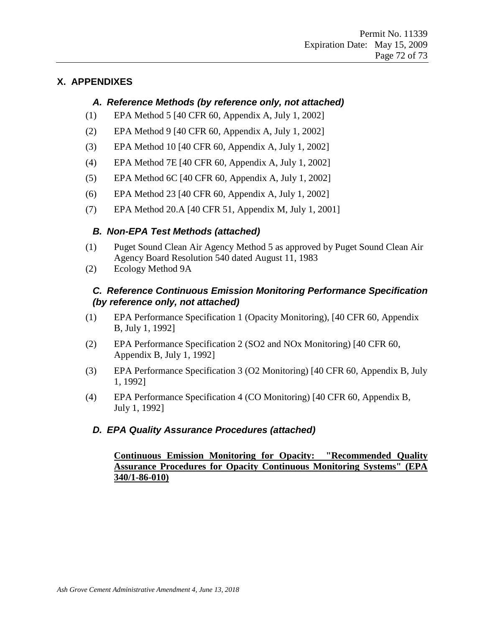### **X. APPENDIXES**

#### *A. Reference Methods (by reference only, not attached)*

- (1) EPA Method 5 [40 CFR 60, Appendix A, July 1, 2002]
- (2) EPA Method 9 [40 CFR 60, Appendix A, July 1, 2002]
- (3) EPA Method 10 [40 CFR 60, Appendix A, July 1, 2002]
- (4) EPA Method 7E [40 CFR 60, Appendix A, July 1, 2002]
- (5) EPA Method 6C [40 CFR 60, Appendix A, July 1, 2002]
- (6) EPA Method 23 [40 CFR 60, Appendix A, July 1, 2002]
- (7) EPA Method 20.A [40 CFR 51, Appendix M, July 1, 2001]

#### *B. Non-EPA Test Methods (attached)*

- (1) Puget Sound Clean Air Agency Method 5 as approved by Puget Sound Clean Air Agency Board Resolution 540 dated August 11, 1983
- (2) Ecology Method 9A

#### *C. Reference Continuous Emission Monitoring Performance Specification (by reference only, not attached)*

- (1) EPA Performance Specification 1 (Opacity Monitoring), [40 CFR 60, Appendix B, July 1, 1992]
- (2) EPA Performance Specification 2 (SO2 and NOx Monitoring) [40 CFR 60, Appendix B, July 1, 1992]
- (3) EPA Performance Specification 3 (O2 Monitoring) [40 CFR 60, Appendix B, July 1, 1992]
- (4) EPA Performance Specification 4 (CO Monitoring) [40 CFR 60, Appendix B, July 1, 1992]

#### *D. EPA Quality Assurance Procedures (attached)*

#### **Continuous Emission Monitoring for Opacity: "Recommended Quality Assurance Procedures for Opacity Continuous Monitoring Systems" (EPA 340/1-86-010)**